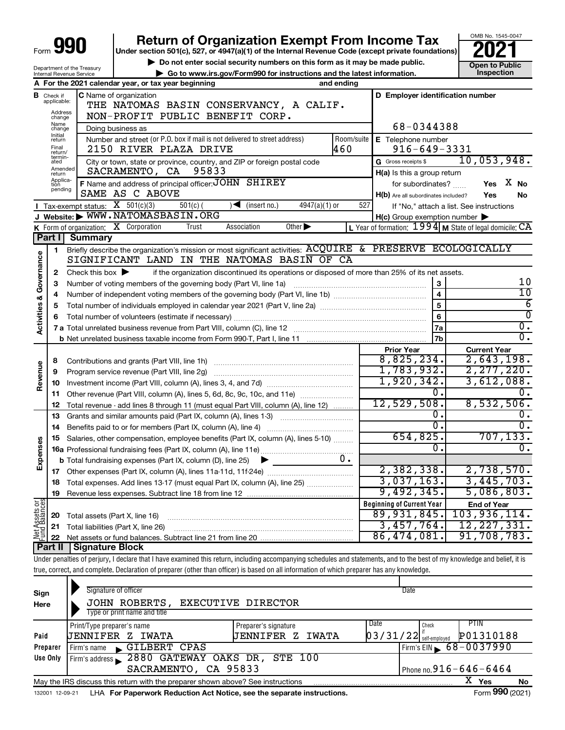| 990                     |                                  |                                                        | <b>Return of Organization Exempt From Income Tax</b><br>Under section 501(c), 527, or 4947(a)(1) of the Internal Revenue Code (except private foundations)                 |                                                          | OMB No. 1545-0047                                                      |  |  |  |  |  |  |  |  |  |
|-------------------------|----------------------------------|--------------------------------------------------------|----------------------------------------------------------------------------------------------------------------------------------------------------------------------------|----------------------------------------------------------|------------------------------------------------------------------------|--|--|--|--|--|--|--|--|--|
|                         |                                  |                                                        | Do not enter social security numbers on this form as it may be made public.                                                                                                | <b>Open to Public</b>                                    |                                                                        |  |  |  |  |  |  |  |  |  |
|                         |                                  | Department of the Treasury<br>Internal Revenue Service | Go to www.irs.gov/Form990 for instructions and the latest information.                                                                                                     |                                                          | Inspection                                                             |  |  |  |  |  |  |  |  |  |
|                         |                                  |                                                        | A For the 2021 calendar year, or tax year beginning<br>and ending                                                                                                          |                                                          |                                                                        |  |  |  |  |  |  |  |  |  |
|                         | <b>B</b> Check if<br>applicable: |                                                        | C Name of organization<br>D Employer identification number                                                                                                                 |                                                          |                                                                        |  |  |  |  |  |  |  |  |  |
|                         | Address                          |                                                        | THE NATOMAS BASIN CONSERVANCY, A CALIF.                                                                                                                                    |                                                          |                                                                        |  |  |  |  |  |  |  |  |  |
|                         | change<br>Name                   |                                                        | NON-PROFIT PUBLIC BENEFIT CORP.                                                                                                                                            |                                                          |                                                                        |  |  |  |  |  |  |  |  |  |
|                         | change<br>Initial                |                                                        | Doing business as                                                                                                                                                          | 68-0344388                                               |                                                                        |  |  |  |  |  |  |  |  |  |
|                         | return<br>Final                  |                                                        | Number and street (or P.O. box if mail is not delivered to street address)<br>Room/suite                                                                                   | E Telephone number                                       |                                                                        |  |  |  |  |  |  |  |  |  |
|                         | return/<br>termin-               |                                                        | 460<br>2150 RIVER PLAZA DRIVE                                                                                                                                              | $916 - 649 - 3331$                                       | 10,053,948.                                                            |  |  |  |  |  |  |  |  |  |
|                         | ated<br>Amended                  |                                                        | City or town, state or province, country, and ZIP or foreign postal code<br>95833<br>SACRAMENTO, CA                                                                        | G Gross receipts \$                                      |                                                                        |  |  |  |  |  |  |  |  |  |
|                         | return<br>Applica-<br>tion       |                                                        | F Name and address of principal officer: JOHN SHIREY                                                                                                                       | H(a) Is this a group return                              | Yes X No                                                               |  |  |  |  |  |  |  |  |  |
|                         | pending                          |                                                        | SAME AS C ABOVE                                                                                                                                                            | for subordinates?<br>H(b) Are all subordinates included? | Yes<br>No                                                              |  |  |  |  |  |  |  |  |  |
|                         |                                  | Tax-exempt status: $X$ 501(c)(3)                       | $\sqrt{\left( \text{insert no.} \right)}$<br>$4947(a)(1)$ or<br>527<br>$501(c)$ (                                                                                          |                                                          | If "No," attach a list. See instructions                               |  |  |  |  |  |  |  |  |  |
|                         |                                  |                                                        | Website: WWW.NATOMASBASIN.ORG                                                                                                                                              | $H(c)$ Group exemption number $\blacktriangleright$      |                                                                        |  |  |  |  |  |  |  |  |  |
|                         |                                  | K Form of organization: X Corporation                  | Trust<br>Association<br>Other $\blacktriangleright$                                                                                                                        |                                                          | L Year of formation: $1994$ M State of legal domicile: $\overline{CA}$ |  |  |  |  |  |  |  |  |  |
|                         | Part I                           | <b>Summary</b>                                         |                                                                                                                                                                            |                                                          |                                                                        |  |  |  |  |  |  |  |  |  |
|                         | 1                                |                                                        | Briefly describe the organization's mission or most significant activities: ACQUIRE & PRESERVE ECOLOGICALLY                                                                |                                                          |                                                                        |  |  |  |  |  |  |  |  |  |
| Activities & Governance |                                  |                                                        | SIGNIFICANT LAND IN THE NATOMAS BASIN OF CA                                                                                                                                |                                                          |                                                                        |  |  |  |  |  |  |  |  |  |
|                         | 2                                | Check this box $\blacktriangleright$                   | if the organization discontinued its operations or disposed of more than 25% of its net assets.                                                                            |                                                          |                                                                        |  |  |  |  |  |  |  |  |  |
|                         | З                                |                                                        | Number of voting members of the governing body (Part VI, line 1a)                                                                                                          | 3                                                        | 10                                                                     |  |  |  |  |  |  |  |  |  |
|                         | 4                                |                                                        |                                                                                                                                                                            | $\overline{4}$                                           | $10 \,$                                                                |  |  |  |  |  |  |  |  |  |
|                         | 5                                |                                                        |                                                                                                                                                                            | $\overline{5}$                                           | $\overline{6}$                                                         |  |  |  |  |  |  |  |  |  |
|                         | 6                                |                                                        |                                                                                                                                                                            | $6\phantom{1}$                                           | $\overline{0}$                                                         |  |  |  |  |  |  |  |  |  |
|                         |                                  |                                                        |                                                                                                                                                                            | l 7a                                                     | $\overline{0}$ .                                                       |  |  |  |  |  |  |  |  |  |
|                         |                                  |                                                        |                                                                                                                                                                            | 7 <sub>b</sub>                                           | $\overline{0}$ .                                                       |  |  |  |  |  |  |  |  |  |
|                         |                                  |                                                        |                                                                                                                                                                            | <b>Prior Year</b>                                        | <b>Current Year</b>                                                    |  |  |  |  |  |  |  |  |  |
|                         | 8                                |                                                        |                                                                                                                                                                            | 8,825,234.                                               | 2,643,198.                                                             |  |  |  |  |  |  |  |  |  |
| Revenue                 | 9                                |                                                        | Program service revenue (Part VIII, line 2g)                                                                                                                               | 1,783,932.                                               | 2, 277, 220.                                                           |  |  |  |  |  |  |  |  |  |
|                         | 10                               |                                                        |                                                                                                                                                                            | 1,920,342.                                               | 3,612,088.                                                             |  |  |  |  |  |  |  |  |  |
|                         | 11                               |                                                        | Other revenue (Part VIII, column (A), lines 5, 6d, 8c, 9c, 10c, and 11e)                                                                                                   | 0.                                                       |                                                                        |  |  |  |  |  |  |  |  |  |
|                         | 12                               |                                                        | Total revenue - add lines 8 through 11 (must equal Part VIII, column (A), line 12)                                                                                         | 12,529,508.                                              | 8,532,506.                                                             |  |  |  |  |  |  |  |  |  |
|                         | 13                               |                                                        | Grants and similar amounts paid (Part IX, column (A), lines 1-3)                                                                                                           | 0.                                                       | $0$ .                                                                  |  |  |  |  |  |  |  |  |  |
|                         | 14                               |                                                        | Benefits paid to or for members (Part IX, column (A), line 4)                                                                                                              | $\overline{0}$ .                                         |                                                                        |  |  |  |  |  |  |  |  |  |
| Ses                     | 15                               |                                                        | Salaries, other compensation, employee benefits (Part IX, column (A), lines 5-10)                                                                                          | 654,825.                                                 | 707, 133.                                                              |  |  |  |  |  |  |  |  |  |
|                         |                                  |                                                        |                                                                                                                                                                            | $\overline{0}$ .                                         | 0.                                                                     |  |  |  |  |  |  |  |  |  |
| Expens                  |                                  |                                                        | $0 \cdot$<br><b>b</b> Total fundraising expenses (Part IX, column (D), line 25)                                                                                            |                                                          |                                                                        |  |  |  |  |  |  |  |  |  |
|                         | 17                               |                                                        | Other expenses (Part IX, column (A), lines 11a-11d, 11f-24e)                                                                                                               | 2,382,338.                                               | 2,738,570.                                                             |  |  |  |  |  |  |  |  |  |
|                         | 18                               |                                                        | Total expenses. Add lines 13-17 (must equal Part IX, column (A), line 25)                                                                                                  | 3,037,163.                                               | 3,445,703.                                                             |  |  |  |  |  |  |  |  |  |
|                         | 19                               |                                                        |                                                                                                                                                                            | 9,492,345.                                               | 5,086,803.                                                             |  |  |  |  |  |  |  |  |  |
| Net Assets or           |                                  |                                                        |                                                                                                                                                                            | <b>Beginning of Current Year</b>                         | <b>End of Year</b>                                                     |  |  |  |  |  |  |  |  |  |
|                         | 20                               | Total assets (Part X, line 16)                         |                                                                                                                                                                            | 89,931,845.<br>3,457,764.                                | 103,936,114.<br>12, 227, 331.                                          |  |  |  |  |  |  |  |  |  |
|                         | 21                               |                                                        | Total liabilities (Part X, line 26)                                                                                                                                        | 86,474,081.                                              | 91,708,783.                                                            |  |  |  |  |  |  |  |  |  |
|                         | 22<br>  Part II                  | <b>Signature Block</b>                                 |                                                                                                                                                                            |                                                          |                                                                        |  |  |  |  |  |  |  |  |  |
|                         |                                  |                                                        | Under penalties of perjury, I declare that I have examined this return, including accompanying schedules and statements, and to the best of my knowledge and belief, it is |                                                          |                                                                        |  |  |  |  |  |  |  |  |  |
|                         |                                  |                                                        | true, correct, and complete. Declaration of preparer (other than officer) is based on all information of which preparer has any knowledge.                                 |                                                          |                                                                        |  |  |  |  |  |  |  |  |  |
|                         |                                  |                                                        |                                                                                                                                                                            |                                                          |                                                                        |  |  |  |  |  |  |  |  |  |

| Sign<br>Here | Signature of officer<br>JOHN ROBERTS,<br>Type or print name and title           | EXECUTIVE DIRECTOR      | Date                                  |                                              |
|--------------|---------------------------------------------------------------------------------|-------------------------|---------------------------------------|----------------------------------------------|
|              | Print/Type preparer's name                                                      | Preparer's signature    | Date<br>Check                         | PIIN                                         |
| Paid         | UENNIFER Z IWATA                                                                | <b>JENNIFER Z IWATA</b> | $\left[03/31/22\right]$ self-employed | P01310188                                    |
| Preparer     | GILBERT CPAS<br>Firm's name                                                     |                         |                                       | Firm's EIN $\frac{68 - 0037990}{ }$          |
| Use Only     | Firm's address 2880 GATEWAY OAKS DR, STE 100                                    |                         |                                       |                                              |
|              | SACRAMENTO, CA 95833                                                            |                         |                                       | Phone no. $916 - 646 - 6464$                 |
|              | May the IRS discuss this return with the preparer shown above? See instructions |                         |                                       | x<br>Yes<br>No                               |
|              |                                                                                 |                         |                                       | $000 \times 0.1$<br>$\overline{\phantom{0}}$ |

132001 12-09-21 LHA **For Paperwork Reduction Act Notice, see the separate instructions.** Form **990** (2021)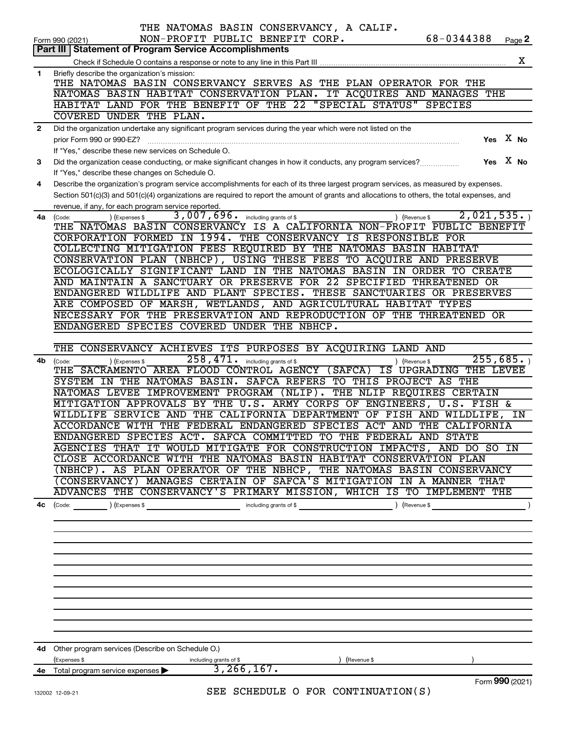|              | THE NATOMAS BASIN CONSERVANCY, A CALIF.                                                                                                                                                                                                                                              |
|--------------|--------------------------------------------------------------------------------------------------------------------------------------------------------------------------------------------------------------------------------------------------------------------------------------|
| ∣ Part III   | 68-0344388<br>NON-PROFIT PUBLIC BENEFIT CORP.<br>Page 2<br>Form 990 (2021)<br><b>Statement of Program Service Accomplishments</b>                                                                                                                                                    |
|              | х                                                                                                                                                                                                                                                                                    |
| $\mathbf{1}$ | Briefly describe the organization's mission:                                                                                                                                                                                                                                         |
|              | THE NATOMAS BASIN CONSERVANCY SERVES AS THE PLAN OPERATOR FOR THE                                                                                                                                                                                                                    |
|              | NATOMAS BASIN HABITAT CONSERVATION PLAN. IT ACQUIRES AND MANAGES THE<br>HABITAT LAND FOR THE BENEFIT OF THE 22 "SPECIAL STATUS" SPECIES                                                                                                                                              |
|              | COVERED UNDER THE PLAN.                                                                                                                                                                                                                                                              |
| $\mathbf{2}$ | Did the organization undertake any significant program services during the year which were not listed on the                                                                                                                                                                         |
|              | Yes $X$ No<br>prior Form 990 or 990-EZ?                                                                                                                                                                                                                                              |
|              | If "Yes," describe these new services on Schedule O.                                                                                                                                                                                                                                 |
| 3            | Yes $X$ No<br>Did the organization cease conducting, or make significant changes in how it conducts, any program services?                                                                                                                                                           |
|              | If "Yes," describe these changes on Schedule O.                                                                                                                                                                                                                                      |
| 4            | Describe the organization's program service accomplishments for each of its three largest program services, as measured by expenses.<br>Section 501(c)(3) and 501(c)(4) organizations are required to report the amount of grants and allocations to others, the total expenses, and |
|              | revenue, if any, for each program service reported.                                                                                                                                                                                                                                  |
| 4a           | 2,021,535.<br>3,007,696. including grants of \$<br>(Expenses \$<br>) (Revenue \$<br>(Code:                                                                                                                                                                                           |
|              | THE NATOMAS BASIN CONSERVANCY IS A CALIFORNIA NON-PROFIT PUBLIC BENEFIT                                                                                                                                                                                                              |
|              | CORPORATION FORMED IN 1994. THE CONSERVANCY IS RESPONSIBLE FOR                                                                                                                                                                                                                       |
|              | COLLECTING MITIGATION FEES REQUIRED BY THE NATOMAS BASIN HABITAT                                                                                                                                                                                                                     |
|              | CONSERVATION PLAN (NBHCP), USING THESE FEES TO ACQUIRE AND PRESERVE<br>ECOLOGICALLY SIGNIFICANT LAND IN THE NATOMAS BASIN IN ORDER TO CREATE                                                                                                                                         |
|              | AND MAINTAIN A SANCTUARY OR PRESERVE FOR 22 SPECIFIED THREATENED OR                                                                                                                                                                                                                  |
|              | ENDANGERED WILDLIFE AND PLANT SPECIES. THESE SANCTUARIES OR PRESERVES                                                                                                                                                                                                                |
|              | ARE COMPOSED OF MARSH, WETLANDS, AND AGRICULTURAL HABITAT TYPES                                                                                                                                                                                                                      |
|              | NECESSARY FOR THE PRESERVATION AND REPRODUCTION OF THE THREATENED OR                                                                                                                                                                                                                 |
|              | ENDANGERED SPECIES COVERED UNDER THE NBHCP.                                                                                                                                                                                                                                          |
|              | THE CONSERVANCY ACHIEVES ITS PURPOSES BY ACQUIRING LAND AND                                                                                                                                                                                                                          |
| 4b           | 255,685.<br>258,471.<br>including grants of \$<br>) (Revenue \$<br>(Code:<br>(Expenses \$                                                                                                                                                                                            |
|              | THE SACRAMENTO AREA FLOOD CONTROL AGENCY (SAFCA)<br>IS UPGRADING THE LEVEE                                                                                                                                                                                                           |
|              | SYSTEM IN THE NATOMAS BASIN.<br>SAFCA REFERS TO THIS PROJECT AS THE                                                                                                                                                                                                                  |
|              | NATOMAS LEVEE IMPROVEMENT PROGRAM (NLIP). THE NLIP REQUIRES CERTAIN                                                                                                                                                                                                                  |
|              | MITIGATION APPROVALS BY THE U.S. ARMY CORPS OF ENGINEERS, U.S. FISH &<br>WILDLIFE SERVICE AND THE CALIFORNIA DEPARTMENT OF FISH AND WILDLIFE,<br>IN                                                                                                                                  |
|              | ACCORDANCE WITH THE FEDERAL ENDANGERED SPECIES ACT AND THE CALIFORNIA                                                                                                                                                                                                                |
|              | ENDANGERED SPECIES ACT. SAFCA COMMITTED TO THE FEDERAL AND STATE                                                                                                                                                                                                                     |
|              | AGENCIES THAT IT WOULD MITIGATE FOR CONSTRUCTION IMPACTS, AND DO SO IN                                                                                                                                                                                                               |
|              | CLOSE ACCORDANCE WITH THE NATOMAS BASIN HABITAT CONSERVATION PLAN                                                                                                                                                                                                                    |
|              | (NBHCP). AS PLAN OPERATOR OF THE NBHCP, THE NATOMAS BASIN CONSERVANCY                                                                                                                                                                                                                |
|              | (CONSERVANCY) MANAGES CERTAIN OF SAFCA'S MITIGATION IN A MANNER THAT<br>ADVANCES THE CONSERVANCY'S PRIMARY MISSION, WHICH IS TO IMPLEMENT THE                                                                                                                                        |
| 4с           | (Revenue \$                                                                                                                                                                                                                                                                          |
|              |                                                                                                                                                                                                                                                                                      |
|              |                                                                                                                                                                                                                                                                                      |
|              |                                                                                                                                                                                                                                                                                      |
|              |                                                                                                                                                                                                                                                                                      |
|              |                                                                                                                                                                                                                                                                                      |
|              |                                                                                                                                                                                                                                                                                      |
|              |                                                                                                                                                                                                                                                                                      |
|              |                                                                                                                                                                                                                                                                                      |
|              |                                                                                                                                                                                                                                                                                      |
|              |                                                                                                                                                                                                                                                                                      |
| 4d -         | Other program services (Describe on Schedule O.)                                                                                                                                                                                                                                     |
|              | (Expenses \$<br>including grants of \$<br>(Revenue \$                                                                                                                                                                                                                                |
|              | 3, 266, 167.<br>4e Total program service expenses >                                                                                                                                                                                                                                  |
|              | Form 990 (2021)<br>SEE SCHEDULE O FOR CONTINUATION(S)                                                                                                                                                                                                                                |
|              | 132002 12-09-21                                                                                                                                                                                                                                                                      |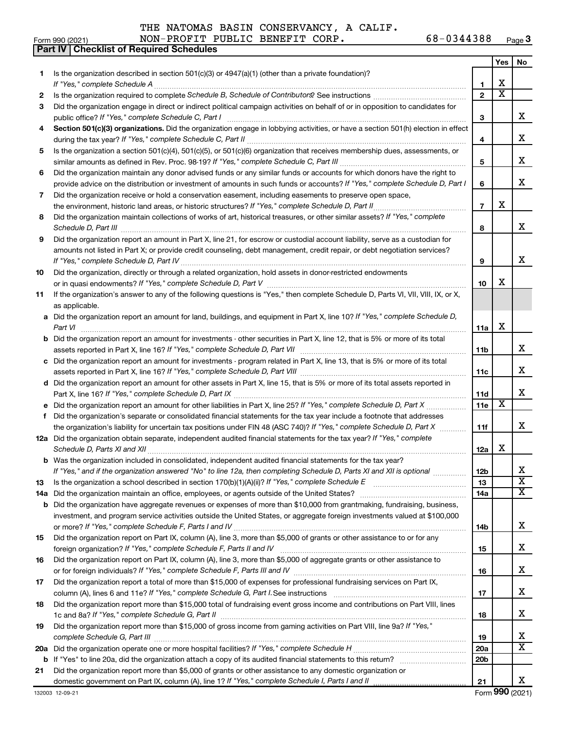**Part IV Checklist of Required Schedules** 

THE NATOMAS BASIN CONSERVANCY, A CALIF.

|     |                                                                                                                                                                                                                              |                 | Yes                   | No                      |
|-----|------------------------------------------------------------------------------------------------------------------------------------------------------------------------------------------------------------------------------|-----------------|-----------------------|-------------------------|
| 1.  | Is the organization described in section 501(c)(3) or 4947(a)(1) (other than a private foundation)?                                                                                                                          |                 |                       |                         |
|     |                                                                                                                                                                                                                              | 1               | х                     |                         |
| 2   |                                                                                                                                                                                                                              | $\overline{2}$  | $\overline{\text{x}}$ |                         |
| 3   | Did the organization engage in direct or indirect political campaign activities on behalf of or in opposition to candidates for                                                                                              |                 |                       |                         |
|     |                                                                                                                                                                                                                              | З               |                       | x                       |
| 4   | Section 501(c)(3) organizations. Did the organization engage in lobbying activities, or have a section 501(h) election in effect                                                                                             |                 |                       |                         |
|     |                                                                                                                                                                                                                              | 4               |                       | x                       |
| 5   | Is the organization a section 501(c)(4), 501(c)(5), or 501(c)(6) organization that receives membership dues, assessments, or                                                                                                 |                 |                       |                         |
|     |                                                                                                                                                                                                                              | 5               |                       | x                       |
| 6   | Did the organization maintain any donor advised funds or any similar funds or accounts for which donors have the right to                                                                                                    |                 |                       |                         |
|     | provide advice on the distribution or investment of amounts in such funds or accounts? If "Yes," complete Schedule D, Part I                                                                                                 | 6               |                       | x                       |
| 7   | Did the organization receive or hold a conservation easement, including easements to preserve open space,                                                                                                                    |                 |                       |                         |
|     | the environment, historic land areas, or historic structures? If "Yes," complete Schedule D, Part II                                                                                                                         | $\overline{7}$  | X                     |                         |
| 8   | Did the organization maintain collections of works of art, historical treasures, or other similar assets? If "Yes," complete                                                                                                 |                 |                       |                         |
|     |                                                                                                                                                                                                                              | 8               |                       | x                       |
| 9   | Did the organization report an amount in Part X, line 21, for escrow or custodial account liability, serve as a custodian for                                                                                                |                 |                       |                         |
|     | amounts not listed in Part X; or provide credit counseling, debt management, credit repair, or debt negotiation services?                                                                                                    |                 |                       |                         |
|     |                                                                                                                                                                                                                              | 9               |                       | X                       |
| 10  | Did the organization, directly or through a related organization, hold assets in donor-restricted endowments                                                                                                                 |                 |                       |                         |
|     |                                                                                                                                                                                                                              | 10              | х                     |                         |
| 11  | If the organization's answer to any of the following questions is "Yes," then complete Schedule D, Parts VI, VII, VIII, IX, or X,                                                                                            |                 |                       |                         |
|     | as applicable.                                                                                                                                                                                                               |                 |                       |                         |
|     | a Did the organization report an amount for land, buildings, and equipment in Part X, line 10? If "Yes," complete Schedule D,                                                                                                |                 |                       |                         |
|     | Part VI                                                                                                                                                                                                                      | 11a             | х                     |                         |
|     | <b>b</b> Did the organization report an amount for investments - other securities in Part X, line 12, that is 5% or more of its total                                                                                        |                 |                       |                         |
|     |                                                                                                                                                                                                                              | 11b             |                       | x                       |
|     | c Did the organization report an amount for investments - program related in Part X, line 13, that is 5% or more of its total                                                                                                |                 |                       |                         |
|     |                                                                                                                                                                                                                              | 11c             |                       | x                       |
|     | d Did the organization report an amount for other assets in Part X, line 15, that is 5% or more of its total assets reported in                                                                                              |                 |                       |                         |
|     |                                                                                                                                                                                                                              | 11d             |                       | x                       |
|     | e Did the organization report an amount for other liabilities in Part X, line 25? If "Yes," complete Schedule D, Part X                                                                                                      | 11e             | X                     |                         |
| f   | Did the organization's separate or consolidated financial statements for the tax year include a footnote that addresses                                                                                                      |                 |                       |                         |
|     | the organization's liability for uncertain tax positions under FIN 48 (ASC 740)? If "Yes," complete Schedule D, Part X                                                                                                       | 11f             |                       | x                       |
|     | 12a Did the organization obtain separate, independent audited financial statements for the tax year? If "Yes," complete                                                                                                      |                 |                       |                         |
|     |                                                                                                                                                                                                                              | 12a             | х                     |                         |
|     | <b>b</b> Was the organization included in consolidated, independent audited financial statements for the tax year?                                                                                                           |                 |                       |                         |
|     | If "Yes," and if the organization answered "No" to line 12a, then completing Schedule D, Parts XI and XII is optional                                                                                                        | 12b             |                       | Δ,                      |
| 13  | Is the organization a school described in section 170(b)(1)(A)(ii)? If "Yes," complete Schedule E manual community content of the organization a school described in section 170(b)(1)(A)(ii)? If "Yes," complete Schedule E | 13              |                       | $\overline{\texttt{x}}$ |
| 14a |                                                                                                                                                                                                                              | 14a             |                       | $\overline{\textbf{X}}$ |
| b   | Did the organization have aggregate revenues or expenses of more than \$10,000 from grantmaking, fundraising, business,                                                                                                      |                 |                       |                         |
|     | investment, and program service activities outside the United States, or aggregate foreign investments valued at \$100,000                                                                                                   |                 |                       |                         |
|     |                                                                                                                                                                                                                              | 14b             |                       | х                       |
| 15  | Did the organization report on Part IX, column (A), line 3, more than \$5,000 of grants or other assistance to or for any                                                                                                    |                 |                       |                         |
|     |                                                                                                                                                                                                                              | 15              |                       | х                       |
| 16  | Did the organization report on Part IX, column (A), line 3, more than \$5,000 of aggregate grants or other assistance to                                                                                                     |                 |                       |                         |
|     |                                                                                                                                                                                                                              | 16              |                       | х                       |
| 17  | Did the organization report a total of more than \$15,000 of expenses for professional fundraising services on Part IX,                                                                                                      |                 |                       |                         |
|     |                                                                                                                                                                                                                              | 17              |                       | х                       |
| 18  | Did the organization report more than \$15,000 total of fundraising event gross income and contributions on Part VIII, lines                                                                                                 |                 |                       |                         |
|     |                                                                                                                                                                                                                              | 18              |                       | х                       |
| 19  | Did the organization report more than \$15,000 of gross income from gaming activities on Part VIII, line 9a? If "Yes,"                                                                                                       |                 |                       |                         |
|     |                                                                                                                                                                                                                              | 19              |                       | x                       |
| 20a |                                                                                                                                                                                                                              | 20a             |                       | $\overline{\textbf{X}}$ |
| b   |                                                                                                                                                                                                                              | 20 <sub>b</sub> |                       |                         |
| 21  | Did the organization report more than \$5,000 of grants or other assistance to any domestic organization or                                                                                                                  |                 |                       |                         |
|     | domestic government on Part IX, column (A), line 1? If "Yes," complete Schedule I, Parts I and II                                                                                                                            | 21              |                       | х                       |
|     | 132003 12-09-21                                                                                                                                                                                                              |                 |                       | Form 990 (2021)         |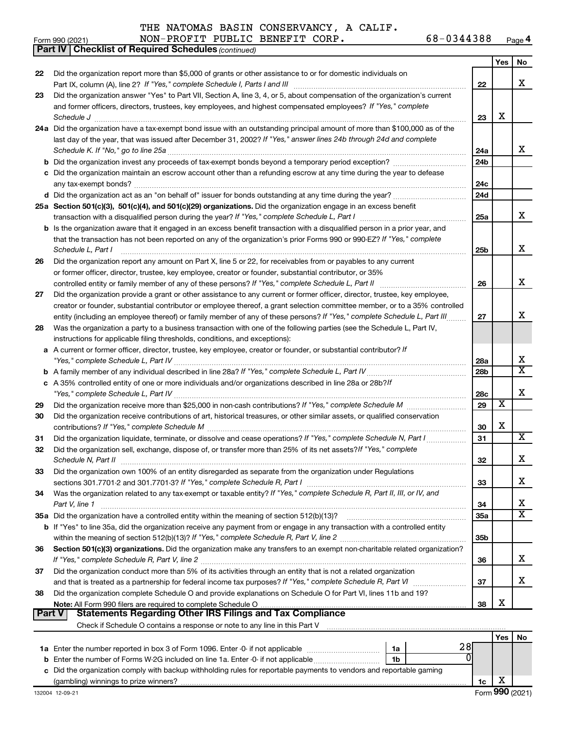|               | <b>Part IV   Checklist of Required Schedules (continued)</b>                                                                                                                                                                                                 |                 |                         |                         |
|---------------|--------------------------------------------------------------------------------------------------------------------------------------------------------------------------------------------------------------------------------------------------------------|-----------------|-------------------------|-------------------------|
|               |                                                                                                                                                                                                                                                              |                 | Yes                     | No                      |
| 22            | Did the organization report more than \$5,000 of grants or other assistance to or for domestic individuals on                                                                                                                                                |                 |                         |                         |
|               |                                                                                                                                                                                                                                                              | 22              |                         | X                       |
| 23            | Did the organization answer "Yes" to Part VII, Section A, line 3, 4, or 5, about compensation of the organization's current                                                                                                                                  |                 |                         |                         |
|               | and former officers, directors, trustees, key employees, and highest compensated employees? If "Yes," complete                                                                                                                                               |                 |                         |                         |
|               | Schedule J <b>Execute Schedule J Execute Schedule J</b>                                                                                                                                                                                                      | 23              | х                       |                         |
|               | 24a Did the organization have a tax-exempt bond issue with an outstanding principal amount of more than \$100,000 as of the                                                                                                                                  |                 |                         |                         |
|               | last day of the year, that was issued after December 31, 2002? If "Yes," answer lines 24b through 24d and complete                                                                                                                                           |                 |                         |                         |
|               |                                                                                                                                                                                                                                                              | 24a             |                         | x                       |
|               |                                                                                                                                                                                                                                                              | 24 <sub>b</sub> |                         |                         |
|               | c Did the organization maintain an escrow account other than a refunding escrow at any time during the year to defease                                                                                                                                       |                 |                         |                         |
|               |                                                                                                                                                                                                                                                              | 24с             |                         |                         |
|               |                                                                                                                                                                                                                                                              | 24d             |                         |                         |
|               | 25a Section 501(c)(3), 501(c)(4), and 501(c)(29) organizations. Did the organization engage in an excess benefit                                                                                                                                             |                 |                         | x                       |
|               |                                                                                                                                                                                                                                                              | 25a             |                         |                         |
|               | <b>b</b> Is the organization aware that it engaged in an excess benefit transaction with a disqualified person in a prior year, and<br>that the transaction has not been reported on any of the organization's prior Forms 990 or 990-EZ? If "Yes," complete |                 |                         |                         |
|               | Schedule L, Part I                                                                                                                                                                                                                                           | 25b             |                         | х                       |
| 26            | Did the organization report any amount on Part X, line 5 or 22, for receivables from or payables to any current                                                                                                                                              |                 |                         |                         |
|               | or former officer, director, trustee, key employee, creator or founder, substantial contributor, or 35%                                                                                                                                                      |                 |                         |                         |
|               |                                                                                                                                                                                                                                                              | 26              |                         | X                       |
| 27            | Did the organization provide a grant or other assistance to any current or former officer, director, trustee, key employee,                                                                                                                                  |                 |                         |                         |
|               | creator or founder, substantial contributor or employee thereof, a grant selection committee member, or to a 35% controlled                                                                                                                                  |                 |                         |                         |
|               | entity (including an employee thereof) or family member of any of these persons? If "Yes," complete Schedule L, Part III                                                                                                                                     | 27              |                         | x                       |
| 28            | Was the organization a party to a business transaction with one of the following parties (see the Schedule L, Part IV,                                                                                                                                       |                 |                         |                         |
|               | instructions for applicable filing thresholds, conditions, and exceptions):                                                                                                                                                                                  |                 |                         |                         |
|               | a A current or former officer, director, trustee, key employee, creator or founder, or substantial contributor? If                                                                                                                                           |                 |                         |                         |
|               |                                                                                                                                                                                                                                                              | 28a             |                         | х                       |
|               |                                                                                                                                                                                                                                                              | 28b             |                         | $\overline{\mathbf{X}}$ |
|               | c A 35% controlled entity of one or more individuals and/or organizations described in line 28a or 28b?/f                                                                                                                                                    |                 |                         |                         |
|               |                                                                                                                                                                                                                                                              | 28c             |                         | х                       |
| 29            |                                                                                                                                                                                                                                                              | 29              | $\overline{\textbf{x}}$ |                         |
| 30            | Did the organization receive contributions of art, historical treasures, or other similar assets, or qualified conservation                                                                                                                                  |                 |                         |                         |
|               |                                                                                                                                                                                                                                                              | 30              | х                       |                         |
| 31            | Did the organization liquidate, terminate, or dissolve and cease operations? If "Yes," complete Schedule N, Part I                                                                                                                                           | 31              |                         | X                       |
| 32            | Did the organization sell, exchange, dispose of, or transfer more than 25% of its net assets? If "Yes," complete                                                                                                                                             |                 |                         |                         |
|               |                                                                                                                                                                                                                                                              | 32              |                         | ▵                       |
| 33            | Did the organization own 100% of an entity disregarded as separate from the organization under Regulations                                                                                                                                                   |                 |                         | x                       |
|               |                                                                                                                                                                                                                                                              | 33              |                         |                         |
| 34            | Was the organization related to any tax-exempt or taxable entity? If "Yes," complete Schedule R, Part II, III, or IV, and<br>Part V, line 1                                                                                                                  | 34              |                         | х                       |
|               |                                                                                                                                                                                                                                                              | <b>35a</b>      |                         | х                       |
|               | b If "Yes" to line 35a, did the organization receive any payment from or engage in any transaction with a controlled entity                                                                                                                                  |                 |                         |                         |
|               |                                                                                                                                                                                                                                                              | 35b             |                         |                         |
| 36            | Section 501(c)(3) organizations. Did the organization make any transfers to an exempt non-charitable related organization?                                                                                                                                   |                 |                         |                         |
|               |                                                                                                                                                                                                                                                              | 36              |                         | x                       |
| 37            | Did the organization conduct more than 5% of its activities through an entity that is not a related organization                                                                                                                                             |                 |                         |                         |
|               |                                                                                                                                                                                                                                                              | 37              |                         | x                       |
| 38            | Did the organization complete Schedule O and provide explanations on Schedule O for Part VI, lines 11b and 19?                                                                                                                                               |                 |                         |                         |
|               |                                                                                                                                                                                                                                                              | 38              | х                       |                         |
| <b>Part V</b> |                                                                                                                                                                                                                                                              |                 |                         |                         |
|               | Check if Schedule O contains a response or note to any line in this Part V [11] [12] Check if Schedule O contains a response or note to any line in this Part V                                                                                              |                 |                         |                         |

|                                                                                                                      |                                                                                          |    |  |  | Yes l |  |  |  |
|----------------------------------------------------------------------------------------------------------------------|------------------------------------------------------------------------------------------|----|--|--|-------|--|--|--|
|                                                                                                                      | 1a Enter the number reported in box 3 of Form 1096. Enter -0- if not applicable          | 1a |  |  |       |  |  |  |
|                                                                                                                      | <b>b</b> Enter the number of Forms W-2G included on line 1a. Enter -0- if not applicable | 1b |  |  |       |  |  |  |
| c Did the organization comply with backup withholding rules for reportable payments to vendors and reportable gaming |                                                                                          |    |  |  |       |  |  |  |
|                                                                                                                      | (gambling) winnings to prize winners?                                                    |    |  |  |       |  |  |  |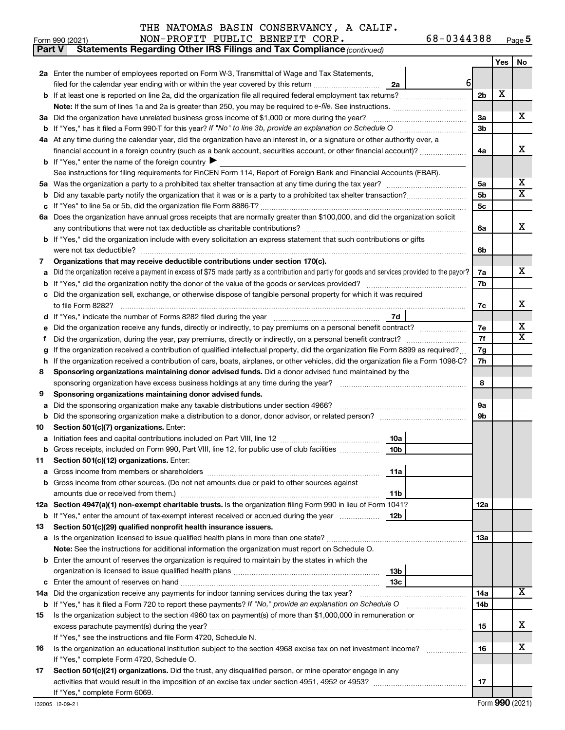| Form 990 (2021) | NON-PROFIT PUBLIC BENEFIT CORP. | 68-0344388 | Page $5$ |
|-----------------|---------------------------------|------------|----------|
|-----------------|---------------------------------|------------|----------|

| <b>Part V</b> | <b>Statements Regarding Other IRS Filings and Tax Compliance (continued)</b>                                                                    |                |     |                              |  |  |  |  |  |
|---------------|-------------------------------------------------------------------------------------------------------------------------------------------------|----------------|-----|------------------------------|--|--|--|--|--|
|               |                                                                                                                                                 |                | Yes | No                           |  |  |  |  |  |
|               | 2a Enter the number of employees reported on Form W-3, Transmittal of Wage and Tax Statements,                                                  |                |     |                              |  |  |  |  |  |
|               | $6 \mid$<br>filed for the calendar year ending with or within the year covered by this return<br>2a                                             |                |     |                              |  |  |  |  |  |
|               | b If at least one is reported on line 2a, did the organization file all required federal employment tax returns?                                | 2 <sub>b</sub> | х   |                              |  |  |  |  |  |
|               | Note: If the sum of lines 1a and 2a is greater than 250, you may be required to e-file. See instructions.                                       |                |     |                              |  |  |  |  |  |
|               | 3a Did the organization have unrelated business gross income of \$1,000 or more during the year?                                                | За             |     | x                            |  |  |  |  |  |
|               |                                                                                                                                                 | 3b             |     |                              |  |  |  |  |  |
|               | 4a At any time during the calendar year, did the organization have an interest in, or a signature or other authority over, a                    |                |     |                              |  |  |  |  |  |
|               | financial account in a foreign country (such as a bank account, securities account, or other financial account)?                                | 4a             |     | X                            |  |  |  |  |  |
|               | <b>b</b> If "Yes," enter the name of the foreign country $\blacktriangleright$                                                                  |                |     |                              |  |  |  |  |  |
|               | See instructions for filing requirements for FinCEN Form 114, Report of Foreign Bank and Financial Accounts (FBAR).                             |                |     |                              |  |  |  |  |  |
| 5а            |                                                                                                                                                 | 5a             |     | x                            |  |  |  |  |  |
| b             |                                                                                                                                                 | 5 <sub>b</sub> |     | $\overline{\texttt{X}}$      |  |  |  |  |  |
| с             |                                                                                                                                                 | 5c             |     |                              |  |  |  |  |  |
|               | 6a Does the organization have annual gross receipts that are normally greater than \$100,000, and did the organization solicit                  |                |     |                              |  |  |  |  |  |
|               |                                                                                                                                                 | 6a             |     | x                            |  |  |  |  |  |
|               | <b>b</b> If "Yes," did the organization include with every solicitation an express statement that such contributions or gifts                   |                |     |                              |  |  |  |  |  |
|               |                                                                                                                                                 |                |     |                              |  |  |  |  |  |
|               |                                                                                                                                                 | 6b             |     |                              |  |  |  |  |  |
| 7             | Organizations that may receive deductible contributions under section 170(c).                                                                   |                |     | x                            |  |  |  |  |  |
| a             | Did the organization receive a payment in excess of \$75 made partly as a contribution and partly for goods and services provided to the payor? | 7a             |     |                              |  |  |  |  |  |
|               |                                                                                                                                                 | 7b             |     |                              |  |  |  |  |  |
|               | c Did the organization sell, exchange, or otherwise dispose of tangible personal property for which it was required                             |                |     | x                            |  |  |  |  |  |
|               |                                                                                                                                                 | 7c             |     |                              |  |  |  |  |  |
|               | 7d                                                                                                                                              |                |     |                              |  |  |  |  |  |
| е             | Did the organization receive any funds, directly or indirectly, to pay premiums on a personal benefit contract?                                 | 7е             |     | x<br>$\overline{\mathtt{x}}$ |  |  |  |  |  |
|               |                                                                                                                                                 | 7f             |     |                              |  |  |  |  |  |
|               | If the organization received a contribution of qualified intellectual property, did the organization file Form 8899 as required?                | 7g             |     |                              |  |  |  |  |  |
| h             | If the organization received a contribution of cars, boats, airplanes, or other vehicles, did the organization file a Form 1098-C?              | 7h             |     |                              |  |  |  |  |  |
| 8             | Sponsoring organizations maintaining donor advised funds. Did a donor advised fund maintained by the                                            |                |     |                              |  |  |  |  |  |
|               | sponsoring organization have excess business holdings at any time during the year?                                                              | 8              |     |                              |  |  |  |  |  |
| 9             | Sponsoring organizations maintaining donor advised funds.                                                                                       |                |     |                              |  |  |  |  |  |
| а             | Did the sponsoring organization make any taxable distributions under section 4966?                                                              | 9а             |     |                              |  |  |  |  |  |
| b             |                                                                                                                                                 | 9b             |     |                              |  |  |  |  |  |
| 10            | Section 501(c)(7) organizations. Enter:                                                                                                         |                |     |                              |  |  |  |  |  |
|               | 10a                                                                                                                                             |                |     |                              |  |  |  |  |  |
|               | 10 <sub>b</sub><br>b Gross receipts, included on Form 990, Part VIII, line 12, for public use of club facilities                                |                |     |                              |  |  |  |  |  |
| 11            | Section 501(c)(12) organizations. Enter:                                                                                                        |                |     |                              |  |  |  |  |  |
| а             | 11a                                                                                                                                             |                |     |                              |  |  |  |  |  |
|               | b Gross income from other sources. (Do not net amounts due or paid to other sources against                                                     |                |     |                              |  |  |  |  |  |
|               | 11b                                                                                                                                             |                |     |                              |  |  |  |  |  |
|               | 12a Section 4947(a)(1) non-exempt charitable trusts. Is the organization filing Form 990 in lieu of Form 1041?                                  | 12a            |     |                              |  |  |  |  |  |
|               | 12b<br><b>b</b> If "Yes," enter the amount of tax-exempt interest received or accrued during the year                                           |                |     |                              |  |  |  |  |  |
| 13            | Section 501(c)(29) qualified nonprofit health insurance issuers.                                                                                |                |     |                              |  |  |  |  |  |
|               | a Is the organization licensed to issue qualified health plans in more than one state?                                                          | 1За            |     |                              |  |  |  |  |  |
|               | Note: See the instructions for additional information the organization must report on Schedule O.                                               |                |     |                              |  |  |  |  |  |
|               | <b>b</b> Enter the amount of reserves the organization is required to maintain by the states in which the                                       |                |     |                              |  |  |  |  |  |
|               | 13b                                                                                                                                             |                |     |                              |  |  |  |  |  |
|               | 13 <sub>c</sub>                                                                                                                                 |                |     |                              |  |  |  |  |  |
|               | 14a Did the organization receive any payments for indoor tanning services during the tax year?                                                  | 14a            |     | $\overline{\text{X}}$        |  |  |  |  |  |
|               | <b>b</b> If "Yes," has it filed a Form 720 to report these payments? If "No," provide an explanation on Schedule O                              | 14b            |     |                              |  |  |  |  |  |
| 15            | Is the organization subject to the section 4960 tax on payment(s) of more than \$1,000,000 in remuneration or                                   |                |     |                              |  |  |  |  |  |
|               |                                                                                                                                                 | 15             |     | x                            |  |  |  |  |  |
|               | If "Yes," see the instructions and file Form 4720, Schedule N.                                                                                  |                |     |                              |  |  |  |  |  |
| 16            | Is the organization an educational institution subject to the section 4968 excise tax on net investment income?                                 | 16             |     | х                            |  |  |  |  |  |
|               | If "Yes," complete Form 4720, Schedule O.                                                                                                       |                |     |                              |  |  |  |  |  |
| 17            | Section 501(c)(21) organizations. Did the trust, any disqualified person, or mine operator engage in any                                        |                |     |                              |  |  |  |  |  |
|               |                                                                                                                                                 | 17             |     |                              |  |  |  |  |  |
|               | If "Yes," complete Form 6069.                                                                                                                   |                |     |                              |  |  |  |  |  |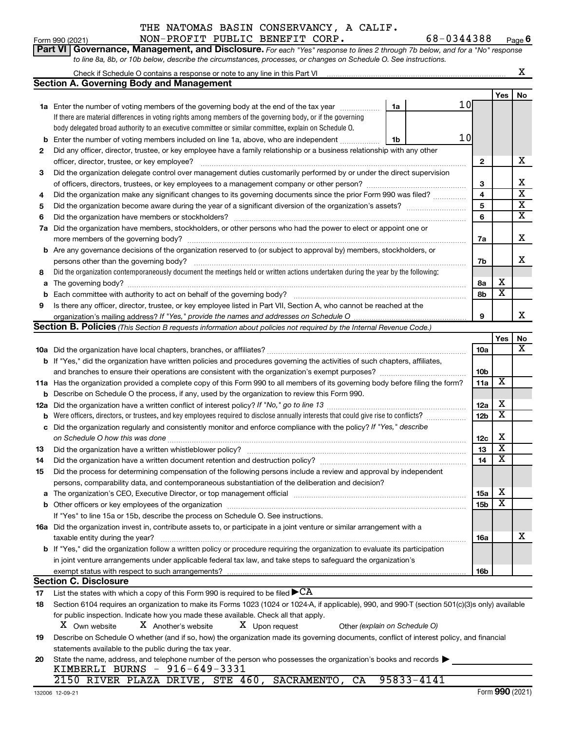THE NATOMAS BASIN CONSERVANCY, A CALIF. Form 990 (2021) NON-PROFIT PUBLIC BENEFIT CORP. 68-0344388 Page **6** 

|     | to line 8a, 8b, or 10b below, describe the circumstances, processes, or changes on Schedule O. See instructions.                                                                                                               |                 |                         |                         |  |  |  |  |  |  |  |  |  |
|-----|--------------------------------------------------------------------------------------------------------------------------------------------------------------------------------------------------------------------------------|-----------------|-------------------------|-------------------------|--|--|--|--|--|--|--|--|--|
|     | Check if Schedule O contains a response or note to any line in this Part VI                                                                                                                                                    |                 |                         | х                       |  |  |  |  |  |  |  |  |  |
|     | <b>Section A. Governing Body and Management</b>                                                                                                                                                                                |                 |                         |                         |  |  |  |  |  |  |  |  |  |
|     |                                                                                                                                                                                                                                |                 | Yes                     | No                      |  |  |  |  |  |  |  |  |  |
|     | 10<br>1a<br>1a Enter the number of voting members of the governing body at the end of the tax year <i>manumum</i>                                                                                                              |                 |                         |                         |  |  |  |  |  |  |  |  |  |
|     | If there are material differences in voting rights among members of the governing body, or if the governing                                                                                                                    |                 |                         |                         |  |  |  |  |  |  |  |  |  |
|     | body delegated broad authority to an executive committee or similar committee, explain on Schedule O.                                                                                                                          |                 |                         |                         |  |  |  |  |  |  |  |  |  |
| b   | 10<br>Enter the number of voting members included on line 1a, above, who are independent<br>1b                                                                                                                                 |                 |                         |                         |  |  |  |  |  |  |  |  |  |
| 2   | Did any officer, director, trustee, or key employee have a family relationship or a business relationship with any other                                                                                                       |                 |                         |                         |  |  |  |  |  |  |  |  |  |
|     | officer, director, trustee, or key employee?                                                                                                                                                                                   |                 |                         |                         |  |  |  |  |  |  |  |  |  |
| 3   | Did the organization delegate control over management duties customarily performed by or under the direct supervision                                                                                                          |                 |                         |                         |  |  |  |  |  |  |  |  |  |
|     |                                                                                                                                                                                                                                | 3               |                         | X                       |  |  |  |  |  |  |  |  |  |
| 4   | Did the organization make any significant changes to its governing documents since the prior Form 990 was filed?                                                                                                               | 4               |                         | $\overline{\textbf{x}}$ |  |  |  |  |  |  |  |  |  |
| 5   |                                                                                                                                                                                                                                | 5               |                         | X                       |  |  |  |  |  |  |  |  |  |
| 6   |                                                                                                                                                                                                                                | 6               |                         | X                       |  |  |  |  |  |  |  |  |  |
| 7a  | Did the organization have members, stockholders, or other persons who had the power to elect or appoint one or                                                                                                                 |                 |                         |                         |  |  |  |  |  |  |  |  |  |
|     |                                                                                                                                                                                                                                | 7a              |                         | х                       |  |  |  |  |  |  |  |  |  |
|     | <b>b</b> Are any governance decisions of the organization reserved to (or subject to approval by) members, stockholders, or                                                                                                    |                 |                         |                         |  |  |  |  |  |  |  |  |  |
|     | persons other than the governing body?                                                                                                                                                                                         | 7b              |                         | х                       |  |  |  |  |  |  |  |  |  |
| 8   | Did the organization contemporaneously document the meetings held or written actions undertaken during the year by the following:                                                                                              |                 |                         |                         |  |  |  |  |  |  |  |  |  |
| a   |                                                                                                                                                                                                                                | 8a              | х                       |                         |  |  |  |  |  |  |  |  |  |
|     |                                                                                                                                                                                                                                | 8b              | $\overline{\textbf{x}}$ |                         |  |  |  |  |  |  |  |  |  |
| 9   | Is there any officer, director, trustee, or key employee listed in Part VII, Section A, who cannot be reached at the                                                                                                           |                 |                         |                         |  |  |  |  |  |  |  |  |  |
|     |                                                                                                                                                                                                                                | 9               |                         | x                       |  |  |  |  |  |  |  |  |  |
|     | Section B. Policies (This Section B requests information about policies not required by the Internal Revenue Code.)                                                                                                            |                 |                         |                         |  |  |  |  |  |  |  |  |  |
|     |                                                                                                                                                                                                                                |                 | Yes                     | No                      |  |  |  |  |  |  |  |  |  |
|     |                                                                                                                                                                                                                                | 10a             |                         | x                       |  |  |  |  |  |  |  |  |  |
|     | <b>b</b> If "Yes," did the organization have written policies and procedures governing the activities of such chapters, affiliates,                                                                                            |                 |                         |                         |  |  |  |  |  |  |  |  |  |
|     | and branches to ensure their operations are consistent with the organization's exempt purposes? www.www.www.www.                                                                                                               | 10 <sub>b</sub> |                         |                         |  |  |  |  |  |  |  |  |  |
|     | 11a Has the organization provided a complete copy of this Form 990 to all members of its governing body before filing the form?                                                                                                | 11a             | х                       |                         |  |  |  |  |  |  |  |  |  |
| b   | Describe on Schedule O the process, if any, used by the organization to review this Form 990.                                                                                                                                  |                 |                         |                         |  |  |  |  |  |  |  |  |  |
| 12a |                                                                                                                                                                                                                                | 12a             | х                       |                         |  |  |  |  |  |  |  |  |  |
| b   | Were officers, directors, or trustees, and key employees required to disclose annually interests that could give rise to conflicts?                                                                                            | 12 <sub>b</sub> | $\overline{\textbf{x}}$ |                         |  |  |  |  |  |  |  |  |  |
| с   | Did the organization regularly and consistently monitor and enforce compliance with the policy? If "Yes," describe                                                                                                             |                 |                         |                         |  |  |  |  |  |  |  |  |  |
|     |                                                                                                                                                                                                                                | 12c             | х                       |                         |  |  |  |  |  |  |  |  |  |
| 13  |                                                                                                                                                                                                                                | 13              | $\overline{\textbf{x}}$ |                         |  |  |  |  |  |  |  |  |  |
| 14  |                                                                                                                                                                                                                                | 14              | X                       |                         |  |  |  |  |  |  |  |  |  |
| 15  | Did the process for determining compensation of the following persons include a review and approval by independent                                                                                                             |                 |                         |                         |  |  |  |  |  |  |  |  |  |
|     | persons, comparability data, and contemporaneous substantiation of the deliberation and decision?                                                                                                                              |                 |                         |                         |  |  |  |  |  |  |  |  |  |
|     | The organization's CEO, Executive Director, or top management official manufactured content of the organization's CEO, Executive Director, or top management official manufactured content of the organization's CEO, Executiv | <b>15a</b>      | х                       |                         |  |  |  |  |  |  |  |  |  |
|     |                                                                                                                                                                                                                                | 15 <sub>b</sub> | х                       |                         |  |  |  |  |  |  |  |  |  |
|     | If "Yes" to line 15a or 15b, describe the process on Schedule O. See instructions.                                                                                                                                             |                 |                         |                         |  |  |  |  |  |  |  |  |  |
|     | 16a Did the organization invest in, contribute assets to, or participate in a joint venture or similar arrangement with a                                                                                                      |                 |                         |                         |  |  |  |  |  |  |  |  |  |
|     | taxable entity during the year?                                                                                                                                                                                                | 16a             |                         | х                       |  |  |  |  |  |  |  |  |  |
|     | b If "Yes," did the organization follow a written policy or procedure requiring the organization to evaluate its participation                                                                                                 |                 |                         |                         |  |  |  |  |  |  |  |  |  |
|     | in joint venture arrangements under applicable federal tax law, and take steps to safeguard the organization's                                                                                                                 |                 |                         |                         |  |  |  |  |  |  |  |  |  |
|     | exempt status with respect to such arrangements?                                                                                                                                                                               | 16b             |                         |                         |  |  |  |  |  |  |  |  |  |
|     | <b>Section C. Disclosure</b>                                                                                                                                                                                                   |                 |                         |                         |  |  |  |  |  |  |  |  |  |
| 17  | List the states with which a copy of this Form 990 is required to be filed $\blacktriangleright$ CA                                                                                                                            |                 |                         |                         |  |  |  |  |  |  |  |  |  |
| 18  | Section 6104 requires an organization to make its Forms 1023 (1024 or 1024-A, if applicable), 990, and 990-T (section 501(c)(3)s only) available                                                                               |                 |                         |                         |  |  |  |  |  |  |  |  |  |
|     | for public inspection. Indicate how you made these available. Check all that apply.                                                                                                                                            |                 |                         |                         |  |  |  |  |  |  |  |  |  |
|     | X Own website<br>X Another's website<br>X Upon request<br>Other (explain on Schedule O)                                                                                                                                        |                 |                         |                         |  |  |  |  |  |  |  |  |  |
| 19  | Describe on Schedule O whether (and if so, how) the organization made its governing documents, conflict of interest policy, and financial                                                                                      |                 |                         |                         |  |  |  |  |  |  |  |  |  |
|     | statements available to the public during the tax year.                                                                                                                                                                        |                 |                         |                         |  |  |  |  |  |  |  |  |  |
| 20  | State the name, address, and telephone number of the person who possesses the organization's books and records<br>KIMBERLI BURNS - 916-649-3331                                                                                |                 |                         |                         |  |  |  |  |  |  |  |  |  |
|     |                                                                                                                                                                                                                                |                 |                         |                         |  |  |  |  |  |  |  |  |  |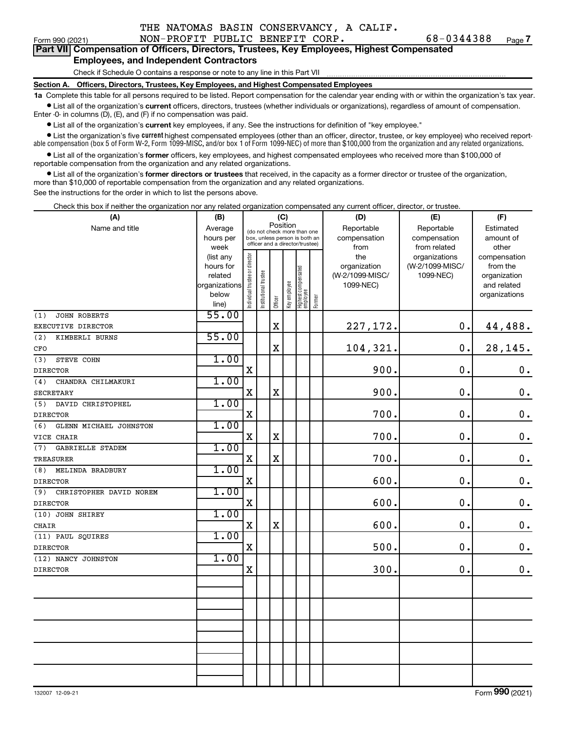### Form 990 (2021) NON-PROFIT PUBLIC BENEFIT CORP. 68-0344388 Page **7**  Part VII Compensation of Officers, Directors, Trustees, Key Employees, Highest Compensated **Employees, and Independent Contractors**

### Check if Schedule O contains a response or note to any line in this Part VII

**Section A. Officers, Directors, Trustees, Key Employees, and Highest Compensated Employees** 

**1a** Complete this table for all persons required to be listed. Report compensation for the calendar year ending with or within the organization's tax year. ¥ List all of the organization's **current** officers, directors, trustees (whether individuals or organizations), regardless of amount of compensation.

Enter -0- in columns (D), (E), and (F) if no compensation was paid.

¥ List all of the organization's **current** key employees, if any. See the instructions for definition of "key employee."

¥ List the organization's five **current** highest compensated employees (other than an officer, director, trustee, or key employee) who received reportable compensation (box 5 of Form W-2, Form 1099-MISC, and/or box 1 of Form 1099-NEC) of more than \$100,000 from the organization and any related organizations.

¥ List all of the organization's **former** officers, key employees, and highest compensated employees who received more than \$100,000 of reportable compensation from the organization and any related organizations.

¥ List all of the organization's **former directors or trustees** that received, in the capacity as a former director or trustee of the organization, more than \$10,000 of reportable compensation from the organization and any related organizations.

See the instructions for the order in which to list the persons above.

Check this box if neither the organization nor any related organization compensated any current officer, director, or trustee.

| (A)                            | (B)            |                                |                                                                                                 |             | (C)          |                                 |        | (D)             | (E)             | (F)                |
|--------------------------------|----------------|--------------------------------|-------------------------------------------------------------------------------------------------|-------------|--------------|---------------------------------|--------|-----------------|-----------------|--------------------|
| Name and title                 | Average        |                                |                                                                                                 | Position    |              |                                 |        | Reportable      | Reportable      | Estimated          |
|                                | hours per      |                                | (do not check more than one<br>box, unless person is both an<br>officer and a director/trustee) |             |              |                                 |        | compensation    | compensation    | amount of          |
|                                | week           |                                |                                                                                                 |             |              |                                 |        | from            | from related    | other              |
|                                | (list any      |                                |                                                                                                 |             |              |                                 |        | the             | organizations   | compensation       |
|                                | hours for      |                                |                                                                                                 |             |              |                                 |        | organization    | (W-2/1099-MISC/ | from the           |
|                                | related        |                                |                                                                                                 |             |              |                                 |        | (W-2/1099-MISC/ | 1099-NEC)       | organization       |
|                                | organizations  |                                |                                                                                                 |             |              |                                 |        | 1099-NEC)       |                 | and related        |
|                                | below          | Individual trustee or director | Institutional trustee                                                                           | Officer     | Key employee | Highest compensated<br>employee | Former |                 |                 | organizations      |
| JOHN ROBERTS<br>(1)            | line)<br>55.00 |                                |                                                                                                 |             |              |                                 |        |                 |                 |                    |
| EXECUTIVE DIRECTOR             |                |                                |                                                                                                 | $\mathbf X$ |              |                                 |        | 227,172.        | 0.              | 44,488.            |
| (2)                            | 55.00          |                                |                                                                                                 |             |              |                                 |        |                 |                 |                    |
| KIMBERLI BURNS                 |                |                                |                                                                                                 | $\mathbf X$ |              |                                 |        | 104,321.        | 0.              | 28,145.            |
| CFO                            |                |                                |                                                                                                 |             |              |                                 |        |                 |                 |                    |
| STEVE COHN<br>(3)              | 1.00           |                                |                                                                                                 |             |              |                                 |        | 900.            | 0.              |                    |
| <b>DIRECTOR</b>                |                | X                              |                                                                                                 |             |              |                                 |        |                 |                 | $\mathbf 0$ .      |
| (4)<br>CHANDRA CHILMAKURI      | 1.00           |                                |                                                                                                 |             |              |                                 |        |                 |                 |                    |
| <b>SECRETARY</b>               |                | X                              |                                                                                                 | $\mathbf X$ |              |                                 |        | 900.            | $\mathbf 0$ .   | $\boldsymbol{0}$ . |
| DAVID CHRISTOPHEL<br>(5)       | 1.00           |                                |                                                                                                 |             |              |                                 |        |                 |                 |                    |
| <b>DIRECTOR</b>                |                | $\mathbf X$                    |                                                                                                 |             |              |                                 |        | 700.            | $\mathbf 0$ .   | $\mathbf 0$ .      |
| (6)<br>GLENN MICHAEL JOHNSTON  | 1.00           |                                |                                                                                                 |             |              |                                 |        | 700.            |                 |                    |
| VICE CHAIR                     |                | X                              |                                                                                                 | $\mathbf X$ |              |                                 |        |                 | $\mathbf 0$ .   | $\mathbf 0$ .      |
| GABRIELLE STADEM<br>(7)        | 1.00           |                                |                                                                                                 |             |              |                                 |        | 700.            | 0.              |                    |
| <b>TREASURER</b>               | 1.00           | X                              |                                                                                                 | $\mathbf X$ |              |                                 |        |                 |                 | $\mathbf 0$ .      |
| MELINDA BRADBURY<br>(8)        |                | X                              |                                                                                                 |             |              |                                 |        | 600.            | $\mathbf 0$ .   | $\mathbf 0$ .      |
| <b>DIRECTOR</b>                | 1.00           |                                |                                                                                                 |             |              |                                 |        |                 |                 |                    |
| (9)<br>CHRISTOPHER DAVID NOREM |                | $\mathbf X$                    |                                                                                                 |             |              |                                 |        | 600.            | $\mathbf 0$ .   | $\mathbf 0$ .      |
| DIRECTOR                       | 1.00           |                                |                                                                                                 |             |              |                                 |        |                 |                 |                    |
| (10) JOHN SHIREY               |                | X                              |                                                                                                 | $\mathbf X$ |              |                                 |        | 600.            | $\mathbf 0$     | $\mathbf 0$ .      |
| CHAIR<br>(11) PAUL SQUIRES     | 1.00           |                                |                                                                                                 |             |              |                                 |        |                 |                 |                    |
| <b>DIRECTOR</b>                |                | $\mathbf X$                    |                                                                                                 |             |              |                                 |        | 500.            | $\mathbf 0$ .   | $\mathbf 0$ .      |
| (12) NANCY JOHNSTON            | 1.00           |                                |                                                                                                 |             |              |                                 |        |                 |                 |                    |
| <b>DIRECTOR</b>                |                | X                              |                                                                                                 |             |              |                                 |        | 300.            | $\mathbf 0$     | $\mathbf 0$ .      |
|                                |                |                                |                                                                                                 |             |              |                                 |        |                 |                 |                    |
|                                |                |                                |                                                                                                 |             |              |                                 |        |                 |                 |                    |
|                                |                |                                |                                                                                                 |             |              |                                 |        |                 |                 |                    |
|                                |                |                                |                                                                                                 |             |              |                                 |        |                 |                 |                    |
|                                |                |                                |                                                                                                 |             |              |                                 |        |                 |                 |                    |
|                                |                |                                |                                                                                                 |             |              |                                 |        |                 |                 |                    |
|                                |                |                                |                                                                                                 |             |              |                                 |        |                 |                 |                    |
|                                |                |                                |                                                                                                 |             |              |                                 |        |                 |                 |                    |
|                                |                |                                |                                                                                                 |             |              |                                 |        |                 |                 |                    |
|                                |                |                                |                                                                                                 |             |              |                                 |        |                 |                 |                    |
|                                |                |                                |                                                                                                 |             |              |                                 |        |                 |                 |                    |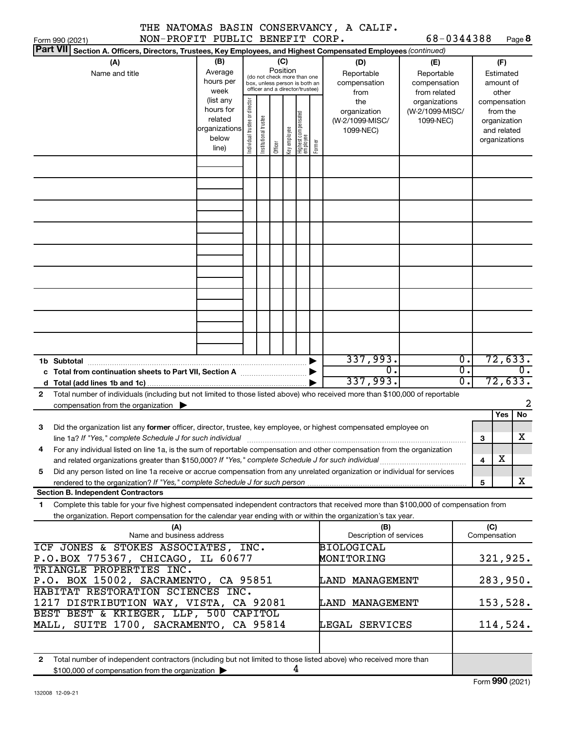|                 |                                 | THE NATOMAS BASIN CONSERVANCY, A CALIF. |                       |  |
|-----------------|---------------------------------|-----------------------------------------|-----------------------|--|
| Form 990 (2021) | NON-PROFIT PUBLIC BENEFIT CORP. |                                         | $68 - 0344388$ Page 8 |  |

| <b>Part VII</b><br>Section A. Officers, Directors, Trustees, Key Employees, and Highest Compensated Employees (continued)                    |                                                    |                                |                       |         |              |                                                                  |        |                              |                               |                  |                         |                         |    |
|----------------------------------------------------------------------------------------------------------------------------------------------|----------------------------------------------------|--------------------------------|-----------------------|---------|--------------|------------------------------------------------------------------|--------|------------------------------|-------------------------------|------------------|-------------------------|-------------------------|----|
| (A)                                                                                                                                          | (B)                                                |                                |                       |         | (C)          |                                                                  |        | (D)                          | (E)                           |                  |                         | (F)                     |    |
| Name and title                                                                                                                               | Position<br>Average<br>(do not check more than one |                                |                       |         |              |                                                                  |        | Reportable                   | Reportable                    |                  |                         | Estimated               |    |
|                                                                                                                                              | hours per<br>week                                  |                                |                       |         |              | box, unless person is both an<br>officer and a director/trustee) |        | compensation<br>compensation |                               |                  |                         | amount of               |    |
|                                                                                                                                              | (list any                                          |                                |                       |         |              |                                                                  |        | from<br>the                  | from related<br>organizations |                  |                         | other<br>compensation   |    |
|                                                                                                                                              | hours for                                          |                                |                       |         |              |                                                                  |        | organization                 | (W-2/1099-MISC/               |                  |                         | from the                |    |
|                                                                                                                                              | related                                            |                                |                       |         |              |                                                                  |        | (W-2/1099-MISC/              | 1099-NEC)                     |                  |                         | organization            |    |
|                                                                                                                                              | organizations<br>below                             |                                |                       |         |              |                                                                  |        | 1099-NEC)                    |                               |                  |                         | and related             |    |
|                                                                                                                                              | line)                                              | Individual trustee or director | Institutional trustee | Officer | Key employee | Highest compensated<br>employee                                  | Former |                              |                               |                  |                         | organizations           |    |
|                                                                                                                                              |                                                    |                                |                       |         |              |                                                                  |        |                              |                               |                  |                         |                         |    |
|                                                                                                                                              |                                                    |                                |                       |         |              |                                                                  |        |                              |                               |                  |                         |                         |    |
|                                                                                                                                              |                                                    |                                |                       |         |              |                                                                  |        |                              |                               |                  |                         |                         |    |
|                                                                                                                                              |                                                    |                                |                       |         |              |                                                                  |        |                              |                               |                  |                         |                         |    |
|                                                                                                                                              |                                                    |                                |                       |         |              |                                                                  |        |                              |                               |                  |                         |                         |    |
|                                                                                                                                              |                                                    |                                |                       |         |              |                                                                  |        |                              |                               |                  |                         |                         |    |
|                                                                                                                                              |                                                    |                                |                       |         |              |                                                                  |        |                              |                               |                  |                         |                         |    |
|                                                                                                                                              |                                                    |                                |                       |         |              |                                                                  |        |                              |                               |                  |                         |                         |    |
|                                                                                                                                              |                                                    |                                |                       |         |              |                                                                  |        |                              |                               |                  |                         |                         |    |
|                                                                                                                                              |                                                    |                                |                       |         |              |                                                                  |        |                              |                               |                  |                         |                         |    |
|                                                                                                                                              |                                                    |                                |                       |         |              |                                                                  |        |                              |                               |                  |                         |                         |    |
|                                                                                                                                              |                                                    |                                |                       |         |              |                                                                  |        |                              |                               |                  |                         |                         |    |
|                                                                                                                                              |                                                    |                                |                       |         |              |                                                                  |        |                              |                               |                  |                         |                         |    |
|                                                                                                                                              |                                                    |                                |                       |         |              |                                                                  |        |                              |                               |                  |                         |                         |    |
|                                                                                                                                              |                                                    |                                |                       |         |              |                                                                  |        |                              |                               |                  |                         |                         |    |
|                                                                                                                                              |                                                    |                                |                       |         |              |                                                                  |        |                              |                               |                  |                         |                         |    |
|                                                                                                                                              |                                                    |                                |                       |         |              |                                                                  |        |                              |                               |                  |                         |                         |    |
|                                                                                                                                              |                                                    |                                |                       |         |              |                                                                  |        | 337,993.                     |                               | $\overline{0}$ . |                         | 72,633.                 |    |
| c Total from continuation sheets to Part VII, Section A [111] [12] [13] Continuum Continuum D                                                |                                                    |                                |                       |         |              |                                                                  |        | σ.                           |                               | $\overline{0}$ . |                         |                         | σ. |
| d                                                                                                                                            |                                                    |                                |                       |         |              |                                                                  |        | 337,993.                     |                               | $\overline{0}$ . |                         | 72,633.                 |    |
| Total number of individuals (including but not limited to those listed above) who received more than \$100,000 of reportable<br>$\mathbf{2}$ |                                                    |                                |                       |         |              |                                                                  |        |                              |                               |                  |                         |                         |    |
| compensation from the organization $\blacktriangleright$                                                                                     |                                                    |                                |                       |         |              |                                                                  |        |                              |                               |                  |                         |                         | 2  |
|                                                                                                                                              |                                                    |                                |                       |         |              |                                                                  |        |                              |                               |                  |                         | Yes                     | No |
| Did the organization list any former officer, director, trustee, key employee, or highest compensated employee on<br>з                       |                                                    |                                |                       |         |              |                                                                  |        |                              |                               |                  |                         |                         |    |
| line 1a? If "Yes," complete Schedule J for such individual                                                                                   |                                                    |                                |                       |         |              |                                                                  |        |                              |                               |                  | 3                       |                         | х  |
| For any individual listed on line 1a, is the sum of reportable compensation and other compensation from the organization<br>4                |                                                    |                                |                       |         |              |                                                                  |        |                              |                               |                  | 4                       | $\overline{\mathbf{X}}$ |    |
| Did any person listed on line 1a receive or accrue compensation from any unrelated organization or individual for services<br>5              |                                                    |                                |                       |         |              |                                                                  |        |                              |                               |                  |                         |                         |    |
| rendered to the organization? If "Yes," complete Schedule J for such person                                                                  |                                                    |                                |                       |         |              |                                                                  |        |                              |                               |                  | $\overline{\mathbf{5}}$ |                         | X  |
| <b>Section B. Independent Contractors</b>                                                                                                    |                                                    |                                |                       |         |              |                                                                  |        |                              |                               |                  |                         |                         |    |
| Complete this table for your five highest compensated independent contractors that received more than \$100,000 of compensation from<br>1    |                                                    |                                |                       |         |              |                                                                  |        |                              |                               |                  |                         |                         |    |
| the organization. Report compensation for the calendar year ending with or within the organization's tax year.                               |                                                    |                                |                       |         |              |                                                                  |        |                              |                               |                  |                         |                         |    |
| (A)                                                                                                                                          |                                                    |                                |                       |         |              |                                                                  |        | (B)                          |                               |                  |                         | (C)                     |    |
| Name and business address                                                                                                                    |                                                    |                                |                       |         |              |                                                                  |        | Description of services      |                               |                  |                         | Compensation            |    |
| ICF JONES & STOKES ASSOCIATES, INC.                                                                                                          |                                                    |                                |                       |         |              |                                                                  |        | BIOLOGICAL                   |                               |                  |                         |                         |    |
| P.O.BOX 775367, CHICAGO, IL 60677                                                                                                            |                                                    |                                |                       |         |              |                                                                  |        | MONITORING                   |                               |                  |                         | 321,925.                |    |
| TRIANGLE PROPERTIES INC.                                                                                                                     |                                                    |                                |                       |         |              |                                                                  |        |                              |                               |                  |                         |                         |    |
| P.O. BOX 15002, SACRAMENTO, CA 95851<br>HABITAT RESTORATION SCIENCES INC.                                                                    |                                                    |                                |                       |         |              |                                                                  |        | LAND MANAGEMENT              |                               |                  |                         | 283,950.                |    |
| 1217 DISTRIBUTION WAY, VISTA, CA 92081                                                                                                       |                                                    |                                |                       |         |              |                                                                  |        | LAND MANAGEMENT              |                               |                  |                         | 153,528.                |    |
| BEST BEST & KRIEGER, LLP, 500 CAPITOL                                                                                                        |                                                    |                                |                       |         |              |                                                                  |        |                              |                               |                  |                         |                         |    |
| MALL, SUITE 1700, SACRAMENTO, CA 95814                                                                                                       |                                                    |                                |                       |         |              |                                                                  |        | LEGAL SERVICES               |                               |                  |                         | 114,524.                |    |
|                                                                                                                                              |                                                    |                                |                       |         |              |                                                                  |        |                              |                               |                  |                         |                         |    |
|                                                                                                                                              |                                                    |                                |                       |         |              |                                                                  |        |                              |                               |                  |                         |                         |    |
| Total number of independent contractors (including but not limited to those listed above) who received more than<br>$\mathbf{2}$             |                                                    |                                |                       |         |              |                                                                  |        |                              |                               |                  |                         |                         |    |
| \$100,000 of compensation from the organization                                                                                              |                                                    |                                |                       |         |              | 4                                                                |        |                              |                               |                  |                         |                         |    |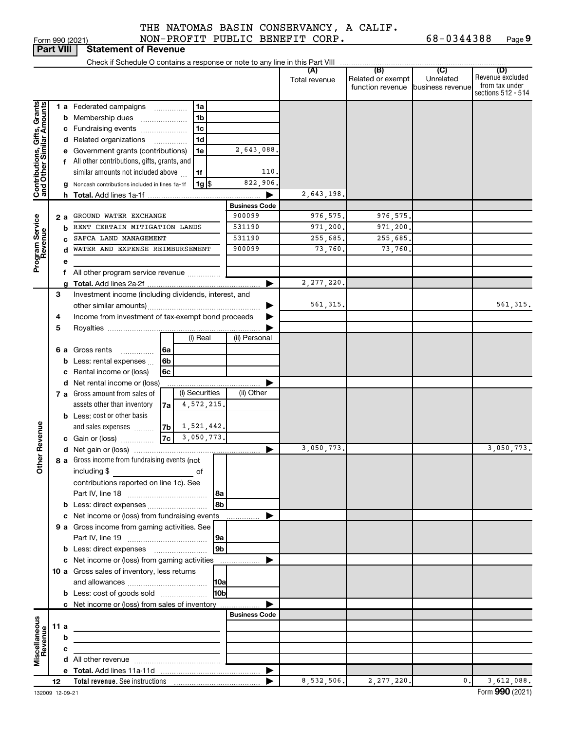Form 990 (2021) NON-PROFIT PUBLIC BENEFIT CORP. 68-0344388 Page **9** 

| <b>Part VIII</b>                                                                        |        |                  | <b>Statement of Revenue</b>                                                                                                                                                                                                                                                                                                                                                                                      |                                                                                              |                                                                                                |                                                            |                                              |                                                |                                                                 |
|-----------------------------------------------------------------------------------------|--------|------------------|------------------------------------------------------------------------------------------------------------------------------------------------------------------------------------------------------------------------------------------------------------------------------------------------------------------------------------------------------------------------------------------------------------------|----------------------------------------------------------------------------------------------|------------------------------------------------------------------------------------------------|------------------------------------------------------------|----------------------------------------------|------------------------------------------------|-----------------------------------------------------------------|
|                                                                                         |        |                  |                                                                                                                                                                                                                                                                                                                                                                                                                  |                                                                                              |                                                                                                |                                                            |                                              |                                                |                                                                 |
|                                                                                         |        |                  |                                                                                                                                                                                                                                                                                                                                                                                                                  |                                                                                              |                                                                                                | (A)<br>Total revenue                                       | (B)<br>Related or exempt<br>function revenue | $\mathcal{C}$<br>Unrelated<br>business revenue | (D)<br>Revenue excluded<br>from tax under<br>sections 512 - 514 |
| Contributions, Gifts, Grants<br>and Other Similar Amounts<br>Program Service<br>Revenue | 2 a    | b<br>C<br>d<br>е | <b>1 a</b> Federated campaigns<br><b>b</b> Membership dues<br>c Fundraising events<br>d Related organizations<br>Government grants (contributions)<br>f All other contributions, gifts, grants, and<br>similar amounts not included above<br>Noncash contributions included in lines 1a-1f<br>GROUND WATER EXCHANGE<br>RENT CERTAIN MITIGATION LANDS<br>SAFCA LAND MANAGEMENT<br>WATER AND EXPENSE REIMBURSEMENT | 1a<br>$\cdots$<br>1 <sub>b</sub><br>1c<br>1d<br>$\overline{\phantom{a}}$<br>1e<br>1f<br>1g S | 2,643,088.<br>110.<br>822,906.<br><b>Business Code</b><br>900099<br>531190<br>531190<br>900099 | 2,643,198.<br>976, 575.<br>971,200.<br>255,685.<br>73,760. | 976,575.<br>971,200.<br>255,685.<br>73,760.  |                                                |                                                                 |
|                                                                                         |        | f                | All other program service revenue                                                                                                                                                                                                                                                                                                                                                                                |                                                                                              |                                                                                                |                                                            |                                              |                                                |                                                                 |
|                                                                                         | 3      |                  | Investment income (including dividends, interest, and                                                                                                                                                                                                                                                                                                                                                            |                                                                                              | ►<br>▶                                                                                         | 2, 277, 220.<br>561, 315.                                  |                                              |                                                | 561, 315.                                                       |
| Revenue                                                                                 | 4<br>5 |                  | Income from investment of tax-exempt bond proceeds                                                                                                                                                                                                                                                                                                                                                               | (i) Real                                                                                     | (ii) Personal                                                                                  |                                                            |                                              |                                                |                                                                 |
|                                                                                         |        | b<br>d           | <b>6 a</b> Gross rents<br>.<br>Less: rental expenses<br>Rental income or (loss)<br>Net rental income or (loss)<br>7 a Gross amount from sales of                                                                                                                                                                                                                                                                 | 6a<br>6b<br>6c<br>(i) Securities                                                             | (ii) Other                                                                                     |                                                            |                                              |                                                |                                                                 |
|                                                                                         |        |                  | assets other than inventory<br><b>b</b> Less: cost or other basis<br>and sales expenses<br><b>c</b> Gain or (loss)                                                                                                                                                                                                                                                                                               | 4,572,215.<br>7a<br> 7b <br>1,521,442.<br> 7cl<br>3,050,773.                                 |                                                                                                |                                                            |                                              |                                                |                                                                 |
| Ĕ                                                                                       |        |                  | 8 a Gross income from fundraising events (not  <br>including \$                                                                                                                                                                                                                                                                                                                                                  | of                                                                                           | ▶                                                                                              | 3,050,773.                                                 |                                              |                                                | 3,050,773.                                                      |
|                                                                                         |        |                  | contributions reported on line 1c). See<br><b>b</b> Less: direct expenses                                                                                                                                                                                                                                                                                                                                        | 8a<br>l 8b                                                                                   |                                                                                                |                                                            |                                              |                                                |                                                                 |
|                                                                                         |        |                  | c Net income or (loss) from fundraising events<br>9 a Gross income from gaming activities. See<br><b>b</b> Less: direct expenses <b>[1]</b> [1] [1] Less: direct expenses                                                                                                                                                                                                                                        | 9 <sub>b</sub>                                                                               |                                                                                                |                                                            |                                              |                                                |                                                                 |
|                                                                                         |        |                  | c Net income or (loss) from gaming activities<br>10 a Gross sales of inventory, less returns<br><b>b</b> Less: cost of goods sold                                                                                                                                                                                                                                                                                | H <sub>0b</sub>                                                                              | ▶                                                                                              |                                                            |                                              |                                                |                                                                 |
|                                                                                         |        |                  | c Net income or (loss) from sales of inventory                                                                                                                                                                                                                                                                                                                                                                   |                                                                                              |                                                                                                |                                                            |                                              |                                                |                                                                 |
| Miscellaneous<br>Revenue                                                                | 11 a   | b                |                                                                                                                                                                                                                                                                                                                                                                                                                  | <u> 1980 - Johann Barbara, martxa alemaniar a</u>                                            | <b>Business Code</b>                                                                           |                                                            |                                              |                                                |                                                                 |
|                                                                                         |        | с                |                                                                                                                                                                                                                                                                                                                                                                                                                  |                                                                                              |                                                                                                |                                                            |                                              |                                                |                                                                 |
|                                                                                         | 12     |                  |                                                                                                                                                                                                                                                                                                                                                                                                                  |                                                                                              |                                                                                                | 8,532,506.                                                 | 2,277,220.                                   | 0.                                             | 3,612,088.                                                      |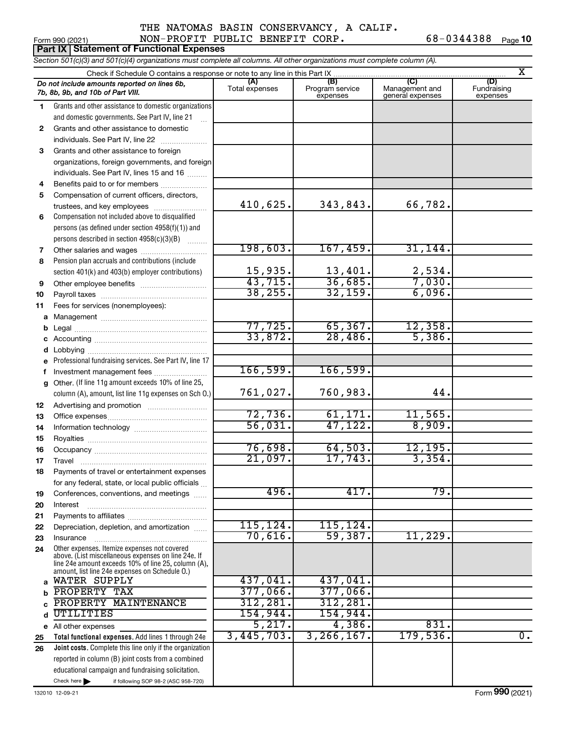### THE NATOMAS BASIN CONSERVANCY, A CALIF. Form 990 (2021) NON-PROFIT PUBLIC BENEFIT CORP. 68-0344388 Page **10**

|                                                                                                                            | <b>Part IX   Statement of Functional Expenses</b>                                                                                                                                                            |                       |                                    |                                           |                                |  |  |  |  |  |
|----------------------------------------------------------------------------------------------------------------------------|--------------------------------------------------------------------------------------------------------------------------------------------------------------------------------------------------------------|-----------------------|------------------------------------|-------------------------------------------|--------------------------------|--|--|--|--|--|
| Section 501(c)(3) and 501(c)(4) organizations must complete all columns. All other organizations must complete column (A). |                                                                                                                                                                                                              |                       |                                    |                                           |                                |  |  |  |  |  |
|                                                                                                                            | X                                                                                                                                                                                                            |                       |                                    |                                           |                                |  |  |  |  |  |
|                                                                                                                            | Do not include amounts reported on lines 6b,<br>7b, 8b, 9b, and 10b of Part VIII.                                                                                                                            | (A)<br>Total expenses | (B)<br>Program service<br>expenses | (C)<br>Management and<br>general expenses | (D)<br>Fundraising<br>expenses |  |  |  |  |  |
| 1                                                                                                                          | Grants and other assistance to domestic organizations                                                                                                                                                        |                       |                                    |                                           |                                |  |  |  |  |  |
|                                                                                                                            | and domestic governments. See Part IV, line 21                                                                                                                                                               |                       |                                    |                                           |                                |  |  |  |  |  |
| 2                                                                                                                          | Grants and other assistance to domestic                                                                                                                                                                      |                       |                                    |                                           |                                |  |  |  |  |  |
|                                                                                                                            | individuals. See Part IV, line 22                                                                                                                                                                            |                       |                                    |                                           |                                |  |  |  |  |  |
| 3                                                                                                                          | Grants and other assistance to foreign                                                                                                                                                                       |                       |                                    |                                           |                                |  |  |  |  |  |
|                                                                                                                            | organizations, foreign governments, and foreign                                                                                                                                                              |                       |                                    |                                           |                                |  |  |  |  |  |
|                                                                                                                            | individuals. See Part IV, lines 15 and 16                                                                                                                                                                    |                       |                                    |                                           |                                |  |  |  |  |  |
| 4                                                                                                                          | Benefits paid to or for members                                                                                                                                                                              |                       |                                    |                                           |                                |  |  |  |  |  |
| 5                                                                                                                          | Compensation of current officers, directors,                                                                                                                                                                 |                       |                                    |                                           |                                |  |  |  |  |  |
|                                                                                                                            | trustees, and key employees                                                                                                                                                                                  | 410,625.              | 343,843.                           | 66,782.                                   |                                |  |  |  |  |  |
| 6                                                                                                                          | Compensation not included above to disqualified                                                                                                                                                              |                       |                                    |                                           |                                |  |  |  |  |  |
|                                                                                                                            | persons (as defined under section 4958(f)(1)) and                                                                                                                                                            |                       |                                    |                                           |                                |  |  |  |  |  |
|                                                                                                                            | persons described in section 4958(c)(3)(B)                                                                                                                                                                   | 198,603.              | 167,459.                           | 31, 144.                                  |                                |  |  |  |  |  |
| 7                                                                                                                          | Other salaries and wages                                                                                                                                                                                     |                       |                                    |                                           |                                |  |  |  |  |  |
| 8                                                                                                                          | Pension plan accruals and contributions (include                                                                                                                                                             | 15,935.               | 13,401.                            | 2,534.                                    |                                |  |  |  |  |  |
|                                                                                                                            | section 401(k) and 403(b) employer contributions)                                                                                                                                                            | 43,715.               | 36,685.                            | 7,030.                                    |                                |  |  |  |  |  |
| 9                                                                                                                          |                                                                                                                                                                                                              | 38, 255.              | 32,159.                            | 6,096.                                    |                                |  |  |  |  |  |
| 10                                                                                                                         |                                                                                                                                                                                                              |                       |                                    |                                           |                                |  |  |  |  |  |
| 11                                                                                                                         | Fees for services (nonemployees):                                                                                                                                                                            |                       |                                    |                                           |                                |  |  |  |  |  |
| а                                                                                                                          |                                                                                                                                                                                                              | 77,725.               | 65, 367.                           | 12,358.                                   |                                |  |  |  |  |  |
| b                                                                                                                          |                                                                                                                                                                                                              | 33,872.               | 28,486.                            | 5,386.                                    |                                |  |  |  |  |  |
| с                                                                                                                          | Lobbying                                                                                                                                                                                                     |                       |                                    |                                           |                                |  |  |  |  |  |
| d                                                                                                                          | Professional fundraising services. See Part IV, line 17                                                                                                                                                      |                       |                                    |                                           |                                |  |  |  |  |  |
| f                                                                                                                          | Investment management fees                                                                                                                                                                                   | 166,599.              | 166,599.                           |                                           |                                |  |  |  |  |  |
| g                                                                                                                          | Other. (If line 11g amount exceeds 10% of line 25,                                                                                                                                                           |                       |                                    |                                           |                                |  |  |  |  |  |
|                                                                                                                            | column (A), amount, list line 11g expenses on Sch O.)                                                                                                                                                        | 761,027.              | 760,983.                           | 44.                                       |                                |  |  |  |  |  |
| 12                                                                                                                         |                                                                                                                                                                                                              |                       |                                    |                                           |                                |  |  |  |  |  |
| 13                                                                                                                         |                                                                                                                                                                                                              | 72,736.               | 61,171.                            | 11,565.                                   |                                |  |  |  |  |  |
| 14                                                                                                                         |                                                                                                                                                                                                              | 56,031.               | 47, 122.                           | 8,909.                                    |                                |  |  |  |  |  |
| 15                                                                                                                         |                                                                                                                                                                                                              |                       |                                    |                                           |                                |  |  |  |  |  |
| 16                                                                                                                         |                                                                                                                                                                                                              | 76,698.               | 64,503.                            | 12, 195.                                  |                                |  |  |  |  |  |
| 17                                                                                                                         | ravel                                                                                                                                                                                                        | 21,097.               | 17,743.                            | 3,354.                                    |                                |  |  |  |  |  |
| 18                                                                                                                         | Payments of travel or entertainment expenses                                                                                                                                                                 |                       |                                    |                                           |                                |  |  |  |  |  |
|                                                                                                                            | for any federal, state, or local public officials                                                                                                                                                            |                       |                                    |                                           |                                |  |  |  |  |  |
| 19                                                                                                                         | Conferences, conventions, and meetings                                                                                                                                                                       | 496.                  | 417.                               | 79.                                       |                                |  |  |  |  |  |
| 20                                                                                                                         | Interest                                                                                                                                                                                                     |                       |                                    |                                           |                                |  |  |  |  |  |
| 21                                                                                                                         |                                                                                                                                                                                                              |                       |                                    |                                           |                                |  |  |  |  |  |
| 22                                                                                                                         | Depreciation, depletion, and amortization                                                                                                                                                                    | 115, 124.             | 115, 124.                          |                                           |                                |  |  |  |  |  |
| 23                                                                                                                         | Insurance                                                                                                                                                                                                    | 70,616.               | 59,387.                            | 11,229.                                   |                                |  |  |  |  |  |
| 24                                                                                                                         | Other expenses. Itemize expenses not covered<br>above. (List miscellaneous expenses on line 24e. If<br>line 24e amount exceeds 10% of line 25, column (A).<br>amount, list line 24e expenses on Schedule O.) |                       |                                    |                                           |                                |  |  |  |  |  |
| a                                                                                                                          | WATER SUPPLY                                                                                                                                                                                                 | 437,041.              | 437,041.                           |                                           |                                |  |  |  |  |  |
|                                                                                                                            | PROPERTY TAX                                                                                                                                                                                                 | 377,066.              | 377,066.                           |                                           |                                |  |  |  |  |  |
| C                                                                                                                          | PROPERTY MAINTENANCE                                                                                                                                                                                         | 312,281.              | 312, 281.                          |                                           |                                |  |  |  |  |  |
| d                                                                                                                          | UTILITIES                                                                                                                                                                                                    | 154,944.              | 154,944.                           |                                           |                                |  |  |  |  |  |
|                                                                                                                            | e All other expenses                                                                                                                                                                                         | 5,217.                | 4,386.                             | 831.                                      |                                |  |  |  |  |  |
| 25                                                                                                                         | Total functional expenses. Add lines 1 through 24e                                                                                                                                                           | 3,445,703.            | 3, 266, 167.                       | 179,536.                                  | $\overline{0}$ .               |  |  |  |  |  |
| 26                                                                                                                         | Joint costs. Complete this line only if the organization                                                                                                                                                     |                       |                                    |                                           |                                |  |  |  |  |  |
|                                                                                                                            | reported in column (B) joint costs from a combined                                                                                                                                                           |                       |                                    |                                           |                                |  |  |  |  |  |
|                                                                                                                            | educational campaign and fundraising solicitation.                                                                                                                                                           |                       |                                    |                                           |                                |  |  |  |  |  |
|                                                                                                                            | Check here $\blacktriangleright$<br>if following SOP 98-2 (ASC 958-720)                                                                                                                                      |                       |                                    |                                           |                                |  |  |  |  |  |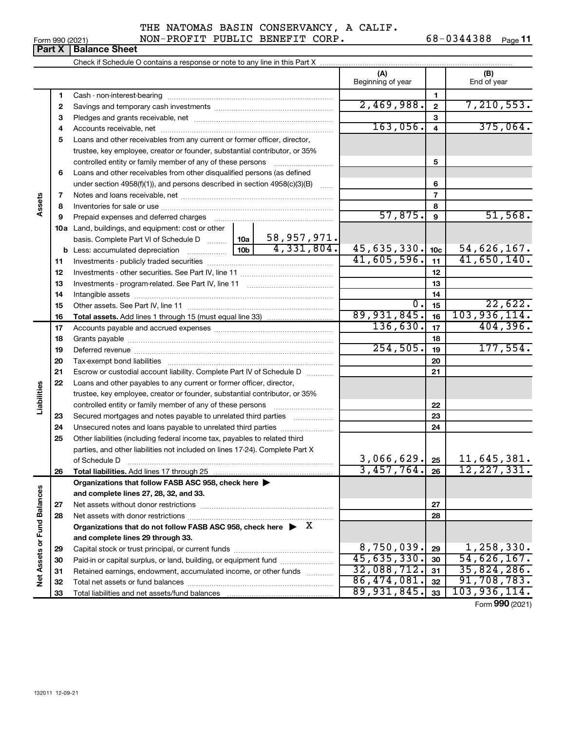|  | Form 990 (2021) |
|--|-----------------|
|  |                 |

NON-PROFIT PUBLIC BENEFIT CORP. 68-0344388 Page 11

|                                    | <b>Part X</b> | <b>Balance Sheet</b>                                                                                                                                                                                                           |            |              |                          |          |                              |
|------------------------------------|---------------|--------------------------------------------------------------------------------------------------------------------------------------------------------------------------------------------------------------------------------|------------|--------------|--------------------------|----------|------------------------------|
|                                    |               | Check if Schedule O contains a response or note to any line in this Part X                                                                                                                                                     |            |              |                          |          |                              |
|                                    |               |                                                                                                                                                                                                                                |            |              | (A)<br>Beginning of year |          | (B)<br>End of year           |
|                                    | 1             |                                                                                                                                                                                                                                |            |              |                          | 1.       |                              |
|                                    | 2             |                                                                                                                                                                                                                                | 2,469,988. | $\mathbf{2}$ | 7, 210, 553.             |          |                              |
|                                    | з             |                                                                                                                                                                                                                                |            |              |                          | 3        |                              |
|                                    | 4             |                                                                                                                                                                                                                                |            |              | 163,056.                 | 4        | 375,064.                     |
|                                    | 5             | Loans and other receivables from any current or former officer, director,                                                                                                                                                      |            |              |                          |          |                              |
|                                    |               | trustee, key employee, creator or founder, substantial contributor, or 35%                                                                                                                                                     |            |              |                          |          |                              |
|                                    |               | controlled entity or family member of any of these persons                                                                                                                                                                     |            |              | 5                        |          |                              |
|                                    | 6             | Loans and other receivables from other disqualified persons (as defined                                                                                                                                                        |            |              |                          |          |                              |
|                                    |               | under section $4958(f)(1)$ , and persons described in section $4958(c)(3)(B)$                                                                                                                                                  |            | 6            |                          |          |                              |
|                                    | 7             |                                                                                                                                                                                                                                |            |              |                          | 7        |                              |
| Assets                             | 8             |                                                                                                                                                                                                                                |            |              |                          | 8        |                              |
|                                    | 9             | Prepaid expenses and deferred charges [11] matter continuum matter and referred charges [11] matter continuum matter continuum matter and continuum matter continuum matter continuum matter continuum matter continuum matter |            |              | 57,875.                  | 9        | 51,568.                      |
|                                    | 10a           | Land, buildings, and equipment: cost or other                                                                                                                                                                                  |            |              |                          |          |                              |
|                                    |               | basis. Complete Part VI of Schedule D    10a   58, 957, 971.                                                                                                                                                                   |            |              |                          |          |                              |
|                                    |               | <b>b</b> Less: accumulated depreciation $\frac{10b}{10b}$ 4, 331, 804.                                                                                                                                                         |            |              | 45,635,330.              | 10c      | 54,626,167.                  |
|                                    | 11            |                                                                                                                                                                                                                                |            |              | 41,605,596.              | 11       | 41,650,140.                  |
|                                    | 12            |                                                                                                                                                                                                                                |            |              |                          | 12       |                              |
|                                    | 13            |                                                                                                                                                                                                                                |            | 13           |                          |          |                              |
|                                    | 14            |                                                                                                                                                                                                                                |            | 14           |                          |          |                              |
|                                    | 15            |                                                                                                                                                                                                                                |            |              | 0.                       | 15       | 22,622.                      |
|                                    | 16            |                                                                                                                                                                                                                                |            |              | 89,931,845.              | 16       | 103,936,114.                 |
|                                    | 17            |                                                                                                                                                                                                                                |            |              | 136,630.                 | 17       | 404,396.                     |
|                                    | 18            |                                                                                                                                                                                                                                |            | 18           |                          |          |                              |
|                                    | 19            |                                                                                                                                                                                                                                | 254,505.   | 19           | 177,554.                 |          |                              |
|                                    | 20            |                                                                                                                                                                                                                                |            | 20           |                          |          |                              |
|                                    | 21            | Escrow or custodial account liability. Complete Part IV of Schedule D                                                                                                                                                          |            |              | 21                       |          |                              |
|                                    | 22            | Loans and other payables to any current or former officer, director,                                                                                                                                                           |            |              |                          |          |                              |
| Liabilities                        |               | trustee, key employee, creator or founder, substantial contributor, or 35%                                                                                                                                                     |            |              |                          |          |                              |
|                                    |               | controlled entity or family member of any of these persons                                                                                                                                                                     |            | 22           |                          |          |                              |
|                                    | 23            | Secured mortgages and notes payable to unrelated third parties                                                                                                                                                                 |            |              |                          | 23       |                              |
|                                    | 24            | Unsecured notes and loans payable to unrelated third parties                                                                                                                                                                   |            |              |                          | 24       |                              |
|                                    | 25            | Other liabilities (including federal income tax, payables to related third                                                                                                                                                     |            |              |                          |          |                              |
|                                    |               | parties, and other liabilities not included on lines 17-24). Complete Part X                                                                                                                                                   |            |              |                          |          |                              |
|                                    |               | of Schedule D                                                                                                                                                                                                                  |            |              | 3,066,629.<br>3,457,764. | 25       | 11,645,381.<br>12, 227, 331. |
|                                    | 26            | Total liabilities. Add lines 17 through 25                                                                                                                                                                                     |            |              |                          | 26       |                              |
|                                    |               | Organizations that follow FASB ASC 958, check here >                                                                                                                                                                           |            |              |                          |          |                              |
|                                    |               | and complete lines 27, 28, 32, and 33.                                                                                                                                                                                         |            |              |                          |          |                              |
|                                    | 27            |                                                                                                                                                                                                                                |            |              |                          | 27       |                              |
|                                    | 28            |                                                                                                                                                                                                                                |            |              |                          | 28       |                              |
|                                    |               | Organizations that do not follow FASB ASC 958, check here $\blacktriangleright$ X                                                                                                                                              |            |              |                          |          |                              |
|                                    |               | and complete lines 29 through 33.                                                                                                                                                                                              |            |              | 8,750,039.               |          | 1,258,330.                   |
| <b>Net Assets or Fund Balances</b> | 29            | Paid-in or capital surplus, or land, building, or equipment fund                                                                                                                                                               |            |              | 45,635,330.              | 29<br>30 | 54,626,167.                  |
|                                    | 30            | Retained earnings, endowment, accumulated income, or other funds                                                                                                                                                               |            |              | 32,088,712.              | 31       | 35,824,286.                  |
|                                    | 31<br>32      | Total net assets or fund balances                                                                                                                                                                                              |            |              | 86,474,081.              | 32       | 91,708,783.                  |
|                                    |               |                                                                                                                                                                                                                                |            |              |                          |          |                              |

Total net assets or fund balances ~~~~~~~~~~~~~~~~~~~~~~

Total liabilities and net assets/fund balances

**Form 990 (2021)** 

**32 33** 

86,474,081. 91,708,783. 89,931,845. 103,936,114.

**32 33**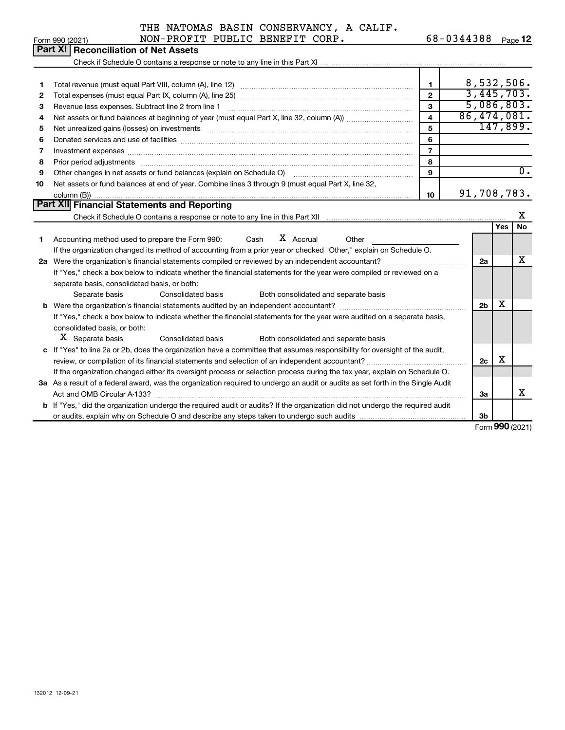132012 12-09-21

### THE NATOMAS BASIN CONSERVANCY, A CALIF. Form 990 (2021) NON-PROFIT PUBLIC BENEFIT CORP. 68-0344388 Page **12**

Check if Schedule O contains a response or note to any line in this Part XI

**Part XI Reconciliation of Net Assets** 

|    |                                                                                                                                                                                                                                |    | 8,532,506.  |
|----|--------------------------------------------------------------------------------------------------------------------------------------------------------------------------------------------------------------------------------|----|-------------|
| 2  |                                                                                                                                                                                                                                | 2  | 3,445,703.  |
| 3  | Revenue less expenses. Subtract line 2 from line 1                                                                                                                                                                             | з  | 5,086,803.  |
| 4  |                                                                                                                                                                                                                                | 4  | 86,474,081. |
| 5  | Net unrealized gains (losses) on investments [11] matter contracts and the state of the state of the state of the state of the state of the state of the state of the state of the state of the state of the state of the stat | 5  | 147,899.    |
| 6  |                                                                                                                                                                                                                                | 6  |             |
|    |                                                                                                                                                                                                                                |    |             |
| 8  |                                                                                                                                                                                                                                | 8  |             |
| 9  | Other changes in net assets or fund balances (explain on Schedule O) manufactured controller than the control of                                                                                                               | 9  |             |
| 10 | Net assets or fund balances at end of year. Combine lines 3 through 9 (must equal Part X, line 32,                                                                                                                             |    |             |
|    |                                                                                                                                                                                                                                | 10 | 91,708,783. |
|    | Part XII Financial Statements and Reporting                                                                                                                                                                                    |    |             |

|    | Check if Schedule O contains a response or note to any line in this Part XII                                                         |                |     | х   |
|----|--------------------------------------------------------------------------------------------------------------------------------------|----------------|-----|-----|
|    |                                                                                                                                      |                | Yes | No. |
|    | X Accrual<br>Accounting method used to prepare the Form 990: Cash<br>Other                                                           |                |     |     |
|    | If the organization changed its method of accounting from a prior year or checked "Other," explain on Schedule O.                    |                |     |     |
| 2a | Were the organization's financial statements compiled or reviewed by an independent accountant?                                      | 2a             |     | х   |
|    | If "Yes," check a box below to indicate whether the financial statements for the year were compiled or reviewed on a                 |                |     |     |
|    | separate basis, consolidated basis, or both:                                                                                         |                |     |     |
|    | Separate basis<br>Consolidated basis<br>Both consolidated and separate basis                                                         |                |     |     |
|    |                                                                                                                                      | 2 <sub>b</sub> | х   |     |
|    | If "Yes," check a box below to indicate whether the financial statements for the year were audited on a separate basis,              |                |     |     |
|    | consolidated basis, or both:                                                                                                         |                |     |     |
|    | X Separate basis<br>Consolidated basis<br>Both consolidated and separate basis                                                       |                |     |     |
|    | c If "Yes" to line 2a or 2b, does the organization have a committee that assumes responsibility for oversight of the audit,          |                |     |     |
|    | review, or compilation of its financial statements and selection of an independent accountant?                                       | 2c             | x   |     |
|    | If the organization changed either its oversight process or selection process during the tax year, explain on Schedule O.            |                |     |     |
|    | 3a As a result of a federal award, was the organization required to undergo an audit or audits as set forth in the Single Audit      |                |     |     |
|    |                                                                                                                                      | За             |     | х   |
|    | <b>b</b> If "Yes," did the organization undergo the required audit or audits? If the organization did not undergo the required audit |                |     |     |
|    | or audits, explain why on Schedule O and describe any steps taken to undergo such audits matured contains all                        | 3b             |     |     |

Form **990** (2021)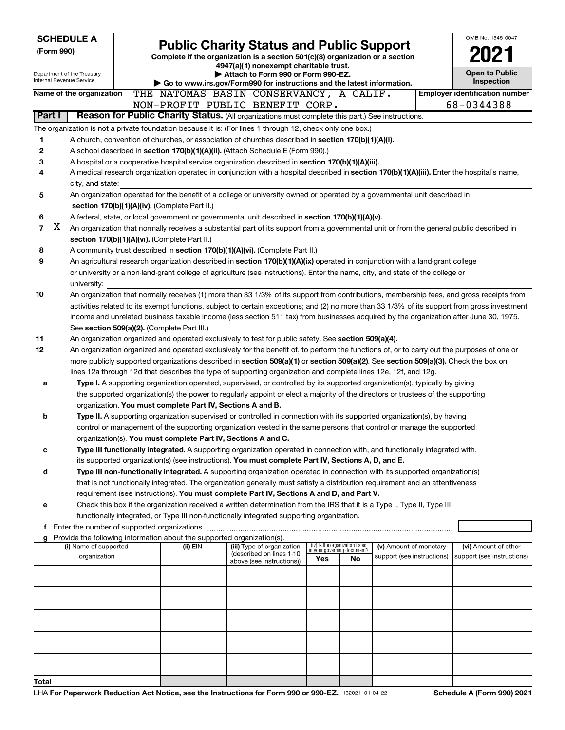|                                                                                           |                                                                                                                                                                                                                         | <b>SCHEDULE A</b>                                      |  |  |                                                                                    |                                                                                                                                                                                                                          |  |                                                                                                                                 |     |                                   |                            |  | OMB No. 1545-0047                                                                                                                            |
|-------------------------------------------------------------------------------------------|-------------------------------------------------------------------------------------------------------------------------------------------------------------------------------------------------------------------------|--------------------------------------------------------|--|--|------------------------------------------------------------------------------------|--------------------------------------------------------------------------------------------------------------------------------------------------------------------------------------------------------------------------|--|---------------------------------------------------------------------------------------------------------------------------------|-----|-----------------------------------|----------------------------|--|----------------------------------------------------------------------------------------------------------------------------------------------|
| (Form 990)                                                                                |                                                                                                                                                                                                                         |                                                        |  |  |                                                                                    |                                                                                                                                                                                                                          |  | <b>Public Charity Status and Public Support</b>                                                                                 |     |                                   |                            |  |                                                                                                                                              |
|                                                                                           |                                                                                                                                                                                                                         |                                                        |  |  |                                                                                    |                                                                                                                                                                                                                          |  | Complete if the organization is a section 501(c)(3) organization or a section                                                   |     |                                   |                            |  |                                                                                                                                              |
|                                                                                           |                                                                                                                                                                                                                         |                                                        |  |  | 4947(a)(1) nonexempt charitable trust.<br>Attach to Form 990 or Form 990-EZ.       |                                                                                                                                                                                                                          |  |                                                                                                                                 |     |                                   |                            |  | <b>Open to Public</b>                                                                                                                        |
|                                                                                           |                                                                                                                                                                                                                         | Department of the Treasury<br>Internal Revenue Service |  |  |                                                                                    |                                                                                                                                                                                                                          |  | Go to www.irs.gov/Form990 for instructions and the latest information.                                                          |     |                                   |                            |  | Inspection                                                                                                                                   |
|                                                                                           |                                                                                                                                                                                                                         | Name of the organization                               |  |  |                                                                                    |                                                                                                                                                                                                                          |  | THE NATOMAS BASIN CONSERVANCY, A CALIF.                                                                                         |     |                                   |                            |  | <b>Employer identification number</b>                                                                                                        |
|                                                                                           |                                                                                                                                                                                                                         |                                                        |  |  |                                                                                    |                                                                                                                                                                                                                          |  | NON-PROFIT PUBLIC BENEFIT CORP.                                                                                                 |     |                                   |                            |  | 68-0344388                                                                                                                                   |
|                                                                                           |                                                                                                                                                                                                                         |                                                        |  |  |                                                                                    |                                                                                                                                                                                                                          |  |                                                                                                                                 |     |                                   |                            |  |                                                                                                                                              |
|                                                                                           | Part I<br>Reason for Public Charity Status. (All organizations must complete this part.) See instructions.<br>The organization is not a private foundation because it is: (For lines 1 through 12, check only one box.) |                                                        |  |  |                                                                                    |                                                                                                                                                                                                                          |  |                                                                                                                                 |     |                                   |                            |  |                                                                                                                                              |
|                                                                                           |                                                                                                                                                                                                                         |                                                        |  |  |                                                                                    |                                                                                                                                                                                                                          |  |                                                                                                                                 |     |                                   |                            |  |                                                                                                                                              |
| 1                                                                                         |                                                                                                                                                                                                                         |                                                        |  |  |                                                                                    |                                                                                                                                                                                                                          |  | A church, convention of churches, or association of churches described in section 170(b)(1)(A)(i).                              |     |                                   |                            |  |                                                                                                                                              |
| 2                                                                                         |                                                                                                                                                                                                                         |                                                        |  |  |                                                                                    |                                                                                                                                                                                                                          |  | A school described in section 170(b)(1)(A)(ii). (Attach Schedule E (Form 990).)                                                 |     |                                   |                            |  |                                                                                                                                              |
| 3                                                                                         |                                                                                                                                                                                                                         |                                                        |  |  |                                                                                    |                                                                                                                                                                                                                          |  | A hospital or a cooperative hospital service organization described in section 170(b)(1)(A)(iii).                               |     |                                   |                            |  |                                                                                                                                              |
| 4                                                                                         |                                                                                                                                                                                                                         |                                                        |  |  |                                                                                    |                                                                                                                                                                                                                          |  |                                                                                                                                 |     |                                   |                            |  | A medical research organization operated in conjunction with a hospital described in section 170(b)(1)(A)(iii). Enter the hospital's name,   |
|                                                                                           |                                                                                                                                                                                                                         | city, and state:                                       |  |  |                                                                                    |                                                                                                                                                                                                                          |  |                                                                                                                                 |     |                                   |                            |  |                                                                                                                                              |
| 5                                                                                         |                                                                                                                                                                                                                         |                                                        |  |  |                                                                                    |                                                                                                                                                                                                                          |  | An organization operated for the benefit of a college or university owned or operated by a governmental unit described in       |     |                                   |                            |  |                                                                                                                                              |
|                                                                                           |                                                                                                                                                                                                                         |                                                        |  |  | section 170(b)(1)(A)(iv). (Complete Part II.)                                      |                                                                                                                                                                                                                          |  |                                                                                                                                 |     |                                   |                            |  |                                                                                                                                              |
| 6                                                                                         |                                                                                                                                                                                                                         |                                                        |  |  |                                                                                    |                                                                                                                                                                                                                          |  | A federal, state, or local government or governmental unit described in section 170(b)(1)(A)(v).                                |     |                                   |                            |  |                                                                                                                                              |
| $\overline{7}$                                                                            | x                                                                                                                                                                                                                       |                                                        |  |  |                                                                                    |                                                                                                                                                                                                                          |  |                                                                                                                                 |     |                                   |                            |  | An organization that normally receives a substantial part of its support from a governmental unit or from the general public described in    |
|                                                                                           |                                                                                                                                                                                                                         |                                                        |  |  | section 170(b)(1)(A)(vi). (Complete Part II.)                                      |                                                                                                                                                                                                                          |  |                                                                                                                                 |     |                                   |                            |  |                                                                                                                                              |
| 8                                                                                         |                                                                                                                                                                                                                         |                                                        |  |  |                                                                                    |                                                                                                                                                                                                                          |  | A community trust described in section 170(b)(1)(A)(vi). (Complete Part II.)                                                    |     |                                   |                            |  |                                                                                                                                              |
| 9                                                                                         |                                                                                                                                                                                                                         |                                                        |  |  |                                                                                    |                                                                                                                                                                                                                          |  | An agricultural research organization described in section 170(b)(1)(A)(ix) operated in conjunction with a land-grant college   |     |                                   |                            |  |                                                                                                                                              |
|                                                                                           |                                                                                                                                                                                                                         |                                                        |  |  |                                                                                    |                                                                                                                                                                                                                          |  | or university or a non-land-grant college of agriculture (see instructions). Enter the name, city, and state of the college or  |     |                                   |                            |  |                                                                                                                                              |
|                                                                                           |                                                                                                                                                                                                                         | university:                                            |  |  |                                                                                    |                                                                                                                                                                                                                          |  |                                                                                                                                 |     |                                   |                            |  |                                                                                                                                              |
| 10                                                                                        |                                                                                                                                                                                                                         |                                                        |  |  |                                                                                    |                                                                                                                                                                                                                          |  |                                                                                                                                 |     |                                   |                            |  | An organization that normally receives (1) more than 33 1/3% of its support from contributions, membership fees, and gross receipts from     |
|                                                                                           |                                                                                                                                                                                                                         |                                                        |  |  |                                                                                    |                                                                                                                                                                                                                          |  |                                                                                                                                 |     |                                   |                            |  | activities related to its exempt functions, subject to certain exceptions; and (2) no more than 33 1/3% of its support from gross investment |
|                                                                                           |                                                                                                                                                                                                                         |                                                        |  |  |                                                                                    |                                                                                                                                                                                                                          |  |                                                                                                                                 |     |                                   |                            |  | income and unrelated business taxable income (less section 511 tax) from businesses acquired by the organization after June 30, 1975.        |
|                                                                                           |                                                                                                                                                                                                                         |                                                        |  |  | See section 509(a)(2). (Complete Part III.)                                        |                                                                                                                                                                                                                          |  |                                                                                                                                 |     |                                   |                            |  |                                                                                                                                              |
| 11                                                                                        |                                                                                                                                                                                                                         |                                                        |  |  |                                                                                    |                                                                                                                                                                                                                          |  | An organization organized and operated exclusively to test for public safety. See section 509(a)(4).                            |     |                                   |                            |  |                                                                                                                                              |
| 12                                                                                        |                                                                                                                                                                                                                         |                                                        |  |  |                                                                                    |                                                                                                                                                                                                                          |  |                                                                                                                                 |     |                                   |                            |  | An organization organized and operated exclusively for the benefit of, to perform the functions of, or to carry out the purposes of one or   |
|                                                                                           |                                                                                                                                                                                                                         |                                                        |  |  |                                                                                    |                                                                                                                                                                                                                          |  |                                                                                                                                 |     |                                   |                            |  | more publicly supported organizations described in section 509(a)(1) or section 509(a)(2). See section 509(a)(3). Check the box on           |
|                                                                                           |                                                                                                                                                                                                                         |                                                        |  |  |                                                                                    |                                                                                                                                                                                                                          |  | lines 12a through 12d that describes the type of supporting organization and complete lines 12e, 12f, and 12g.                  |     |                                   |                            |  |                                                                                                                                              |
| а                                                                                         |                                                                                                                                                                                                                         |                                                        |  |  |                                                                                    |                                                                                                                                                                                                                          |  | Type I. A supporting organization operated, supervised, or controlled by its supported organization(s), typically by giving     |     |                                   |                            |  |                                                                                                                                              |
|                                                                                           |                                                                                                                                                                                                                         |                                                        |  |  |                                                                                    |                                                                                                                                                                                                                          |  | the supported organization(s) the power to regularly appoint or elect a majority of the directors or trustees of the supporting |     |                                   |                            |  |                                                                                                                                              |
|                                                                                           |                                                                                                                                                                                                                         |                                                        |  |  | organization. You must complete Part IV, Sections A and B.                         |                                                                                                                                                                                                                          |  |                                                                                                                                 |     |                                   |                            |  |                                                                                                                                              |
| b                                                                                         |                                                                                                                                                                                                                         |                                                        |  |  |                                                                                    |                                                                                                                                                                                                                          |  | Type II. A supporting organization supervised or controlled in connection with its supported organization(s), by having         |     |                                   |                            |  |                                                                                                                                              |
|                                                                                           |                                                                                                                                                                                                                         |                                                        |  |  |                                                                                    |                                                                                                                                                                                                                          |  | control or management of the supporting organization vested in the same persons that control or manage the supported            |     |                                   |                            |  |                                                                                                                                              |
|                                                                                           |                                                                                                                                                                                                                         |                                                        |  |  | organization(s). You must complete Part IV, Sections A and C.                      |                                                                                                                                                                                                                          |  |                                                                                                                                 |     |                                   |                            |  |                                                                                                                                              |
| с                                                                                         |                                                                                                                                                                                                                         |                                                        |  |  |                                                                                    |                                                                                                                                                                                                                          |  | Type III functionally integrated. A supporting organization operated in connection with, and functionally integrated with,      |     |                                   |                            |  |                                                                                                                                              |
|                                                                                           |                                                                                                                                                                                                                         |                                                        |  |  |                                                                                    |                                                                                                                                                                                                                          |  | its supported organization(s) (see instructions). You must complete Part IV, Sections A, D, and E.                              |     |                                   |                            |  |                                                                                                                                              |
| d                                                                                         |                                                                                                                                                                                                                         |                                                        |  |  |                                                                                    |                                                                                                                                                                                                                          |  | Type III non-functionally integrated. A supporting organization operated in connection with its supported organization(s)       |     |                                   |                            |  |                                                                                                                                              |
|                                                                                           |                                                                                                                                                                                                                         |                                                        |  |  |                                                                                    | that is not functionally integrated. The organization generally must satisfy a distribution requirement and an attentiveness<br>requirement (see instructions). You must complete Part IV, Sections A and D, and Part V. |  |                                                                                                                                 |     |                                   |                            |  |                                                                                                                                              |
|                                                                                           |                                                                                                                                                                                                                         |                                                        |  |  |                                                                                    |                                                                                                                                                                                                                          |  |                                                                                                                                 |     |                                   |                            |  |                                                                                                                                              |
| е                                                                                         |                                                                                                                                                                                                                         |                                                        |  |  |                                                                                    |                                                                                                                                                                                                                          |  | Check this box if the organization received a written determination from the IRS that it is a Type I, Type II, Type III         |     |                                   |                            |  |                                                                                                                                              |
| functionally integrated, or Type III non-functionally integrated supporting organization. |                                                                                                                                                                                                                         |                                                        |  |  |                                                                                    |                                                                                                                                                                                                                          |  |                                                                                                                                 |     |                                   |                            |  |                                                                                                                                              |
|                                                                                           |                                                                                                                                                                                                                         |                                                        |  |  |                                                                                    |                                                                                                                                                                                                                          |  |                                                                                                                                 |     |                                   |                            |  |                                                                                                                                              |
| g                                                                                         |                                                                                                                                                                                                                         | (i) Name of supported                                  |  |  | Provide the following information about the supported organization(s).<br>(ii) EIN |                                                                                                                                                                                                                          |  | (iii) Type of organization                                                                                                      |     | (iv) Is the organization listed   | (v) Amount of monetary     |  | (vi) Amount of other                                                                                                                         |
|                                                                                           |                                                                                                                                                                                                                         | organization                                           |  |  |                                                                                    |                                                                                                                                                                                                                          |  | (described on lines 1-10                                                                                                        | Yes | in your governing document?<br>No | support (see instructions) |  | support (see instructions)                                                                                                                   |
|                                                                                           |                                                                                                                                                                                                                         |                                                        |  |  |                                                                                    |                                                                                                                                                                                                                          |  | above (see instructions))                                                                                                       |     |                                   |                            |  |                                                                                                                                              |
|                                                                                           |                                                                                                                                                                                                                         |                                                        |  |  |                                                                                    |                                                                                                                                                                                                                          |  |                                                                                                                                 |     |                                   |                            |  |                                                                                                                                              |
|                                                                                           |                                                                                                                                                                                                                         |                                                        |  |  |                                                                                    |                                                                                                                                                                                                                          |  |                                                                                                                                 |     |                                   |                            |  |                                                                                                                                              |
|                                                                                           |                                                                                                                                                                                                                         |                                                        |  |  |                                                                                    |                                                                                                                                                                                                                          |  |                                                                                                                                 |     |                                   |                            |  |                                                                                                                                              |
|                                                                                           |                                                                                                                                                                                                                         |                                                        |  |  |                                                                                    |                                                                                                                                                                                                                          |  |                                                                                                                                 |     |                                   |                            |  |                                                                                                                                              |
|                                                                                           |                                                                                                                                                                                                                         |                                                        |  |  |                                                                                    |                                                                                                                                                                                                                          |  |                                                                                                                                 |     |                                   |                            |  |                                                                                                                                              |
|                                                                                           |                                                                                                                                                                                                                         |                                                        |  |  |                                                                                    |                                                                                                                                                                                                                          |  |                                                                                                                                 |     |                                   |                            |  |                                                                                                                                              |
|                                                                                           |                                                                                                                                                                                                                         |                                                        |  |  |                                                                                    |                                                                                                                                                                                                                          |  |                                                                                                                                 |     |                                   |                            |  |                                                                                                                                              |
|                                                                                           |                                                                                                                                                                                                                         |                                                        |  |  |                                                                                    |                                                                                                                                                                                                                          |  |                                                                                                                                 |     |                                   |                            |  |                                                                                                                                              |
| Total                                                                                     |                                                                                                                                                                                                                         |                                                        |  |  |                                                                                    |                                                                                                                                                                                                                          |  |                                                                                                                                 |     |                                   |                            |  |                                                                                                                                              |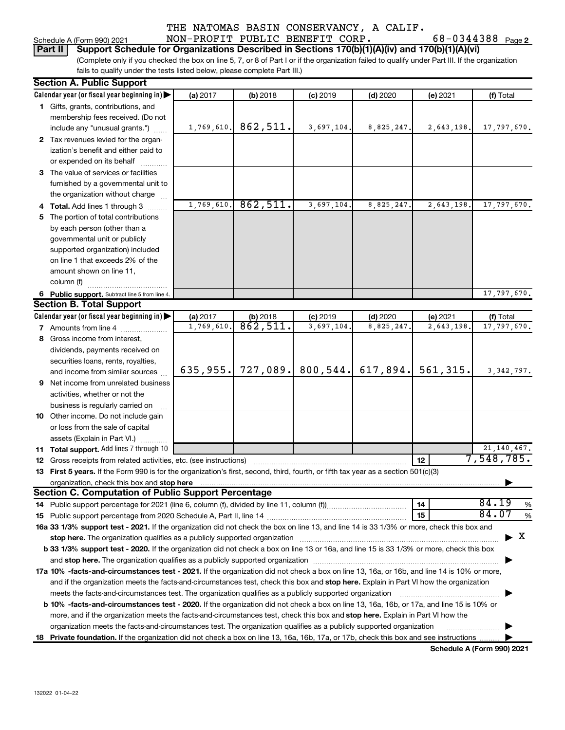## THE NATOMAS BASIN CONSERVANCY, A CALIF. Schedule A (Form 990) 2021 **NON-PROFIT PUBLIC BENEFIT CORP.** 68-0344388 Page 2

### **Part II** | Support Schedule for Organizations Described in Sections 170(b)(1)(A)(iv) and 170(b)(1)(A)(vi)

(Complete only if you checked the box on line 5, 7, or 8 of Part I or if the organization failed to qualify under Part III. If the organization fails to qualify under the tests listed below, please complete Part III.)

| <b>Section A. Public Support</b>                                                                                                                                                                                                    |            |          |            |            |            |               |
|-------------------------------------------------------------------------------------------------------------------------------------------------------------------------------------------------------------------------------------|------------|----------|------------|------------|------------|---------------|
| Calendar year (or fiscal year beginning in)                                                                                                                                                                                         | (a) 2017   | (b) 2018 | $(c)$ 2019 | $(d)$ 2020 | (e) 2021   | (f) Total     |
| 1 Gifts, grants, contributions, and                                                                                                                                                                                                 |            |          |            |            |            |               |
| membership fees received. (Do not                                                                                                                                                                                                   |            |          |            |            |            |               |
| include any "unusual grants.")                                                                                                                                                                                                      | 1,769,610. | 862,511. | 3,697,104. | 8,825,247. | 2,643,198. | 17,797,670.   |
| 2 Tax revenues levied for the organ-                                                                                                                                                                                                |            |          |            |            |            |               |
| ization's benefit and either paid to                                                                                                                                                                                                |            |          |            |            |            |               |
| or expended on its behalf                                                                                                                                                                                                           |            |          |            |            |            |               |
| 3 The value of services or facilities                                                                                                                                                                                               |            |          |            |            |            |               |
| furnished by a governmental unit to                                                                                                                                                                                                 |            |          |            |            |            |               |
| the organization without charge                                                                                                                                                                                                     |            |          |            |            |            |               |
| 4 Total. Add lines 1 through 3                                                                                                                                                                                                      | 1,769,610. | 862,511. | 3,697,104. | 8,825,247  | 2,643,198. | 17,797,670.   |
| 5 The portion of total contributions                                                                                                                                                                                                |            |          |            |            |            |               |
| by each person (other than a                                                                                                                                                                                                        |            |          |            |            |            |               |
| governmental unit or publicly                                                                                                                                                                                                       |            |          |            |            |            |               |
| supported organization) included                                                                                                                                                                                                    |            |          |            |            |            |               |
| on line 1 that exceeds 2% of the                                                                                                                                                                                                    |            |          |            |            |            |               |
| amount shown on line 11,                                                                                                                                                                                                            |            |          |            |            |            |               |
| column (f)                                                                                                                                                                                                                          |            |          |            |            |            |               |
| 6 Public support. Subtract line 5 from line 4.                                                                                                                                                                                      |            |          |            |            |            | 17,797,670.   |
| <b>Section B. Total Support</b>                                                                                                                                                                                                     |            |          |            |            |            |               |
| Calendar year (or fiscal year beginning in)                                                                                                                                                                                         | (a) 2017   | (b) 2018 | $(c)$ 2019 | $(d)$ 2020 | (e) 2021   | (f) Total     |
| <b>7</b> Amounts from line 4                                                                                                                                                                                                        | 1,769,610  | 862,511. | 3,697,104. | 8,825,247  | 2,643,198  | 17,797,670.   |
| 8 Gross income from interest,                                                                                                                                                                                                       |            |          |            |            |            |               |
| dividends, payments received on                                                                                                                                                                                                     |            |          |            |            |            |               |
| securities loans, rents, royalties,                                                                                                                                                                                                 |            |          |            |            |            |               |
| and income from similar sources                                                                                                                                                                                                     | 635,955.   | 727,089. | 800, 544.  | 617,894.   | 561, 315.  | 3, 342, 797.  |
| 9 Net income from unrelated business                                                                                                                                                                                                |            |          |            |            |            |               |
| activities, whether or not the                                                                                                                                                                                                      |            |          |            |            |            |               |
| business is regularly carried on                                                                                                                                                                                                    |            |          |            |            |            |               |
| 10 Other income. Do not include gain                                                                                                                                                                                                |            |          |            |            |            |               |
| or loss from the sale of capital                                                                                                                                                                                                    |            |          |            |            |            |               |
| assets (Explain in Part VI.)                                                                                                                                                                                                        |            |          |            |            |            |               |
| 11 Total support. Add lines 7 through 10                                                                                                                                                                                            |            |          |            |            |            | 21, 140, 467. |
| <b>12</b> Gross receipts from related activities, etc. (see instructions)                                                                                                                                                           |            |          |            |            | 12         | 7,548,785.    |
| 13 First 5 years. If the Form 990 is for the organization's first, second, third, fourth, or fifth tax year as a section 501(c)(3)                                                                                                  |            |          |            |            |            |               |
| organization, check this box and stop here <b>construction and construction</b> construction of the state of the state of the state of the state of the state of the state of the state of the state of the state of the state of t |            |          |            |            |            |               |
| <b>Section C. Computation of Public Support Percentage</b>                                                                                                                                                                          |            |          |            |            |            |               |
|                                                                                                                                                                                                                                     |            |          |            |            | 14         | 84.19<br>$\%$ |
|                                                                                                                                                                                                                                     |            |          |            |            | 15         | 84.07<br>$\%$ |
| 16a 33 1/3% support test - 2021. If the organization did not check the box on line 13, and line 14 is 33 1/3% or more, check this box and                                                                                           |            |          |            |            |            |               |
|                                                                                                                                                                                                                                     |            |          |            |            |            | x             |
| b 33 1/3% support test - 2020. If the organization did not check a box on line 13 or 16a, and line 15 is 33 1/3% or more, check this box                                                                                            |            |          |            |            |            |               |
| and stop here. The organization qualifies as a publicly supported organization [11] manuscription manuscription manuscription manuscription manuscription manuscription and starting and starting and starting and starting an      |            |          |            |            |            |               |
| 17a 10% -facts-and-circumstances test - 2021. If the organization did not check a box on line 13, 16a, or 16b, and line 14 is 10% or more,                                                                                          |            |          |            |            |            |               |
| and if the organization meets the facts-and-circumstances test, check this box and stop here. Explain in Part VI how the organization                                                                                               |            |          |            |            |            |               |
| meets the facts-and-circumstances test. The organization qualifies as a publicly supported organization                                                                                                                             |            |          |            |            |            |               |
| b 10% -facts-and-circumstances test - 2020. If the organization did not check a box on line 13, 16a, 16b, or 17a, and line 15 is 10% or                                                                                             |            |          |            |            |            |               |
| more, and if the organization meets the facts-and-circumstances test, check this box and stop here. Explain in Part VI how the                                                                                                      |            |          |            |            |            |               |
| organization meets the facts-and-circumstances test. The organization qualifies as a publicly supported organization                                                                                                                |            |          |            |            |            |               |
| 18 Private foundation. If the organization did not check a box on line 13, 16a, 16b, 17a, or 17b, check this box and see instructions                                                                                               |            |          |            |            |            |               |
|                                                                                                                                                                                                                                     |            |          |            |            |            |               |

**Schedule A (Form 990) 2021**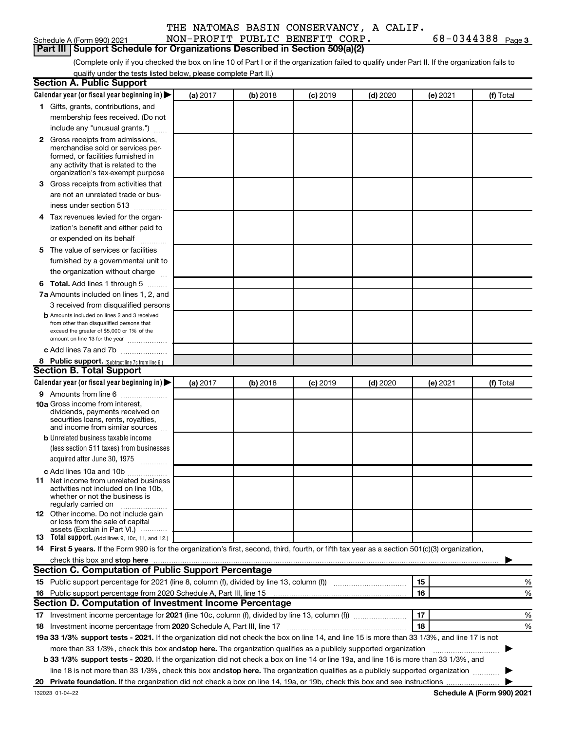| THE NATOMAS BASIN CONSERVANCY, A CALIF. |
|-----------------------------------------|
|                                         |

| Schedule A (Form 990) 2021 |
|----------------------------|
|----------------------------|

# **Part III | Support Schedule for Organizations Described in Section 509(a)(2)**

NON-PROFIT PUBLIC BENEFIT CORP. 68-0344388 Page 3

(Complete only if you checked the box on line 10 of Part I or if the organization failed to qualify under Part II. If the organization fails to qualify under the tests listed below, please complete Part II.)

| <b>Section A. Public Support</b>                                                                                                                                                         |          |          |            |            |          |                                                                                                                                                                                                                                      |
|------------------------------------------------------------------------------------------------------------------------------------------------------------------------------------------|----------|----------|------------|------------|----------|--------------------------------------------------------------------------------------------------------------------------------------------------------------------------------------------------------------------------------------|
| Calendar year (or fiscal year beginning in)                                                                                                                                              | (a) 2017 | (b) 2018 | $(c)$ 2019 | $(d)$ 2020 | (e) 2021 | (f) Total                                                                                                                                                                                                                            |
| 1 Gifts, grants, contributions, and                                                                                                                                                      |          |          |            |            |          |                                                                                                                                                                                                                                      |
| membership fees received. (Do not                                                                                                                                                        |          |          |            |            |          |                                                                                                                                                                                                                                      |
| include any "unusual grants.")                                                                                                                                                           |          |          |            |            |          |                                                                                                                                                                                                                                      |
| 2 Gross receipts from admissions,<br>merchandise sold or services per-<br>formed, or facilities furnished in<br>any activity that is related to the<br>organization's tax-exempt purpose |          |          |            |            |          |                                                                                                                                                                                                                                      |
| 3 Gross receipts from activities that                                                                                                                                                    |          |          |            |            |          |                                                                                                                                                                                                                                      |
| are not an unrelated trade or bus-                                                                                                                                                       |          |          |            |            |          |                                                                                                                                                                                                                                      |
| iness under section 513                                                                                                                                                                  |          |          |            |            |          |                                                                                                                                                                                                                                      |
| 4 Tax revenues levied for the organ-                                                                                                                                                     |          |          |            |            |          |                                                                                                                                                                                                                                      |
| ization's benefit and either paid to                                                                                                                                                     |          |          |            |            |          |                                                                                                                                                                                                                                      |
| or expended on its behalf                                                                                                                                                                |          |          |            |            |          |                                                                                                                                                                                                                                      |
| 5 The value of services or facilities                                                                                                                                                    |          |          |            |            |          |                                                                                                                                                                                                                                      |
| furnished by a governmental unit to                                                                                                                                                      |          |          |            |            |          |                                                                                                                                                                                                                                      |
| the organization without charge                                                                                                                                                          |          |          |            |            |          |                                                                                                                                                                                                                                      |
| 6 Total. Add lines 1 through 5                                                                                                                                                           |          |          |            |            |          |                                                                                                                                                                                                                                      |
| 7a Amounts included on lines 1, 2, and                                                                                                                                                   |          |          |            |            |          |                                                                                                                                                                                                                                      |
| 3 received from disqualified persons                                                                                                                                                     |          |          |            |            |          |                                                                                                                                                                                                                                      |
| <b>b</b> Amounts included on lines 2 and 3 received<br>from other than disqualified persons that<br>exceed the greater of \$5,000 or 1% of the<br>amount on line 13 for the year         |          |          |            |            |          |                                                                                                                                                                                                                                      |
| c Add lines 7a and 7b                                                                                                                                                                    |          |          |            |            |          |                                                                                                                                                                                                                                      |
| 8 Public support. (Subtract line 7c from line 6.)                                                                                                                                        |          |          |            |            |          |                                                                                                                                                                                                                                      |
| <b>Section B. Total Support</b>                                                                                                                                                          |          |          |            |            |          |                                                                                                                                                                                                                                      |
| Calendar year (or fiscal year beginning in)                                                                                                                                              | (a) 2017 | (b) 2018 | $(c)$ 2019 | $(d)$ 2020 | (e) 2021 | (f) Total                                                                                                                                                                                                                            |
| 9 Amounts from line 6                                                                                                                                                                    |          |          |            |            |          |                                                                                                                                                                                                                                      |
| <b>10a</b> Gross income from interest,<br>dividends, payments received on<br>securities loans, rents, royalties,<br>and income from similar sources                                      |          |          |            |            |          |                                                                                                                                                                                                                                      |
| <b>b</b> Unrelated business taxable income                                                                                                                                               |          |          |            |            |          |                                                                                                                                                                                                                                      |
| (less section 511 taxes) from businesses                                                                                                                                                 |          |          |            |            |          |                                                                                                                                                                                                                                      |
| acquired after June 30, 1975<br>$\overline{\phantom{a}}$                                                                                                                                 |          |          |            |            |          |                                                                                                                                                                                                                                      |
| c Add lines 10a and 10b                                                                                                                                                                  |          |          |            |            |          |                                                                                                                                                                                                                                      |
| <b>11</b> Net income from unrelated business<br>activities not included on line 10b,<br>whether or not the business is<br>regularly carried on                                           |          |          |            |            |          |                                                                                                                                                                                                                                      |
| 12 Other income. Do not include gain<br>or loss from the sale of capital<br>assets (Explain in Part VI.)                                                                                 |          |          |            |            |          |                                                                                                                                                                                                                                      |
| <b>13</b> Total support. (Add lines 9, 10c, 11, and 12.)                                                                                                                                 |          |          |            |            |          |                                                                                                                                                                                                                                      |
| 14 First 5 years. If the Form 990 is for the organization's first, second, third, fourth, or fifth tax year as a section 501(c)(3) organization,                                         |          |          |            |            |          |                                                                                                                                                                                                                                      |
| check this box and stop here <i>macuum macuum macuum macuum macuum macuum macuum macuum macuum macuum macuum</i>                                                                         |          |          |            |            |          |                                                                                                                                                                                                                                      |
| <b>Section C. Computation of Public Support Percentage</b>                                                                                                                               |          |          |            |            |          |                                                                                                                                                                                                                                      |
|                                                                                                                                                                                          |          |          |            |            | 15       | %                                                                                                                                                                                                                                    |
|                                                                                                                                                                                          |          |          |            |            | 16       | %                                                                                                                                                                                                                                    |
| Section D. Computation of Investment Income Percentage                                                                                                                                   |          |          |            |            |          |                                                                                                                                                                                                                                      |
| 17 Investment income percentage for 2021 (line 10c, column (f), divided by line 13, column (f) <i>marrouum</i> (m)                                                                       |          |          |            |            | 17       | %                                                                                                                                                                                                                                    |
| 18 Investment income percentage from 2020 Schedule A, Part III, line 17                                                                                                                  |          |          |            |            | 18       | %                                                                                                                                                                                                                                    |
| 19a 33 1/3% support tests - 2021. If the organization did not check the box on line 14, and line 15 is more than 33 1/3%, and line 17 is not                                             |          |          |            |            |          |                                                                                                                                                                                                                                      |
| more than 33 1/3%, check this box and stop here. The organization qualifies as a publicly supported organization                                                                         |          |          |            |            |          | <u>in the state of the state of the state of the state of the state of the state of the state of the state of the state of the state of the state of the state of the state of the state of the state of the state of the state </u> |
| b 33 1/3% support tests - 2020. If the organization did not check a box on line 14 or line 19a, and line 16 is more than 33 1/3%, and                                                    |          |          |            |            |          |                                                                                                                                                                                                                                      |
| line 18 is not more than 33 1/3%, check this box and stop here. The organization qualifies as a publicly supported organization <i></i>                                                  |          |          |            |            |          |                                                                                                                                                                                                                                      |
|                                                                                                                                                                                          |          |          |            |            |          |                                                                                                                                                                                                                                      |
| 132023 01-04-22                                                                                                                                                                          |          |          |            |            |          | Schedule A (Form 990) 2021                                                                                                                                                                                                           |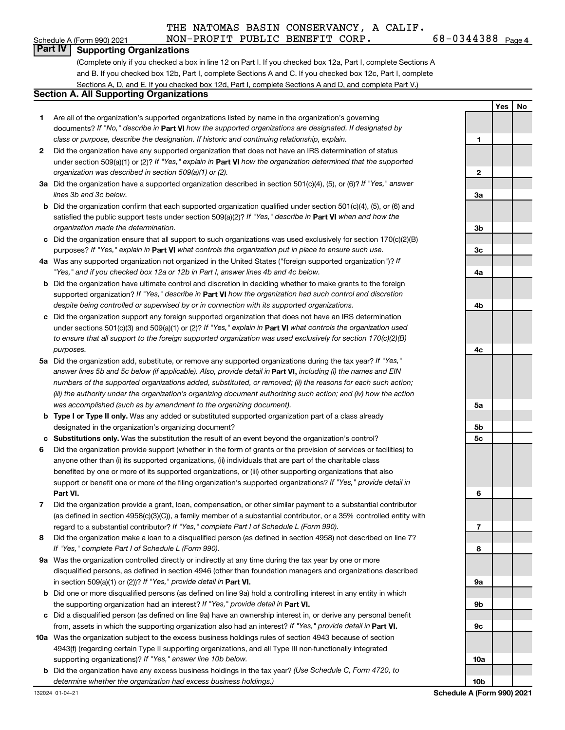### Schedule A (Form 990) 2021 **NON-PROFIT PUBLIC BENEFIT CORP.** 68-0344388 Page 4<br>| **Part IV | Supporting Organizations Part IV Supporting Organizations**

(Complete only if you checked a box in line 12 on Part I. If you checked box 12a, Part I, complete Sections A and B. If you checked box 12b, Part I, complete Sections A and C. If you checked box 12c, Part I, complete Sections A, D, and E. If you checked box 12d, Part I, complete Sections A and D, and complete Part V.)

### **Section A. All Supporting Organizations**

- **1**  Are all of the organization's supported organizations listed by name in the organization's governing documents? *If "No," describe in* **Part VI** *how the supported organizations are designated. If designated by class or purpose, describe the designation. If historic and continuing relationship, explain.*
- **2**  Did the organization have any supported organization that does not have an IRS determination of status under section 509(a)(1) or (2)? *If "Yes," explain in* **Part VI** *how the organization determined that the supported organization was described in section 509(a)(1) or (2).*
- **3a**  Did the organization have a supported organization described in section 501(c)(4), (5), or (6)? *If "Yes," answer lines 3b and 3c below.*
- **b**  Did the organization confirm that each supported organization qualified under section 501(c)(4), (5), or (6) and satisfied the public support tests under section 509(a)(2)? *If "Yes," describe in* **Part VI** *when and how the organization made the determination.*
- **c**  Did the organization ensure that all support to such organizations was used exclusively for section 170(c)(2)(B) purposes? *If "Yes," explain in* **Part VI** *what controls the organization put in place to ensure such use.*
- **4a**  Was any supported organization not organized in the United States ("foreign supported organization")? *If "Yes," and if you checked box 12a or 12b in Part I, answer lines 4b and 4c below.*
- **b**  Did the organization have ultimate control and discretion in deciding whether to make grants to the foreign supported organization? *If "Yes," describe in* **Part VI** *how the organization had such control and discretion despite being controlled or supervised by or in connection with its supported organizations.*
- **c**  Did the organization support any foreign supported organization that does not have an IRS determination under sections 501(c)(3) and 509(a)(1) or (2)? *If "Yes," explain in* **Part VI** *what controls the organization used to ensure that all support to the foreign supported organization was used exclusively for section 170(c)(2)(B) purposes.*
- **5a**  Did the organization add, substitute, or remove any supported organizations during the tax year? *If "Yes," answer lines 5b and 5c below (if applicable). Also, provide detail in* **Part VI,** *including (i) the names and EIN numbers of the supported organizations added, substituted, or removed; (ii) the reasons for each such action; (iii) the authority under the organization's organizing document authorizing such action; and (iv) how the action was accomplished (such as by amendment to the organizing document).*
- **b Type I or Type II only.** Was any added or substituted supported organization part of a class already designated in the organization's organizing document?
- **c Substitutions only.** Was the substitution the result of an event beyond the organization's control?
- **6**  Did the organization provide support (whether in the form of grants or the provision of services or facilities) to anyone other than (i) its supported organizations, (ii) individuals that are part of the charitable class benefited by one or more of its supported organizations, or (iii) other supporting organizations that also support or benefit one or more of the filing organization's supported organizations? *If "Yes," provide detail in*  **Part VI.**
- **7**  Did the organization provide a grant, loan, compensation, or other similar payment to a substantial contributor (as defined in section 4958(c)(3)(C)), a family member of a substantial contributor, or a 35% controlled entity with regard to a substantial contributor? *If "Yes," complete Part I of Schedule L (Form 990).*
- **8**  Did the organization make a loan to a disqualified person (as defined in section 4958) not described on line 7? *If "Yes," complete Part I of Schedule L (Form 990).*
- **9a**  Was the organization controlled directly or indirectly at any time during the tax year by one or more disqualified persons, as defined in section 4946 (other than foundation managers and organizations described in section 509(a)(1) or (2))? *If "Yes," provide detail in* **Part VI.**
- **b**  Did one or more disqualified persons (as defined on line 9a) hold a controlling interest in any entity in which the supporting organization had an interest? *If "Yes," provide detail in* **Part VI.**
- **c**  Did a disqualified person (as defined on line 9a) have an ownership interest in, or derive any personal benefit from, assets in which the supporting organization also had an interest? *If "Yes," provide detail in* **Part VI.**
- **10a**  Was the organization subject to the excess business holdings rules of section 4943 because of section 4943(f) (regarding certain Type II supporting organizations, and all Type III non-functionally integrated supporting organizations)? *If "Yes," answer line 10b below.*
- **b**  Did the organization have any excess business holdings in the tax year? *(Use Schedule C, Form 4720, to determine whether the organization had excess business holdings.)*

|                 | $Yes$ | $\overline{\phantom{a}}$ No |
|-----------------|-------|-----------------------------|
|                 |       |                             |
| 1               |       |                             |
|                 |       |                             |
|                 |       |                             |
| $\overline{2}$  |       |                             |
|                 |       |                             |
| 3a              |       |                             |
|                 |       |                             |
| 3b              |       |                             |
|                 |       |                             |
| 3 <sub>c</sub>  |       |                             |
| 4a              |       |                             |
|                 |       |                             |
|                 |       |                             |
| 4b              |       |                             |
|                 |       |                             |
|                 |       |                             |
| 4c              |       |                             |
|                 |       |                             |
|                 |       |                             |
|                 |       |                             |
|                 |       |                             |
| 5a              |       |                             |
| 5b              |       |                             |
| 5c              |       |                             |
|                 |       |                             |
|                 |       |                             |
|                 |       |                             |
| 6               |       |                             |
|                 |       |                             |
|                 |       |                             |
| 7               |       |                             |
|                 |       |                             |
| 8               |       |                             |
|                 |       |                             |
| 9а              |       |                             |
|                 |       |                             |
| 9b              |       |                             |
| 9с              |       |                             |
|                 |       |                             |
|                 |       |                             |
| 10a             |       |                             |
|                 |       |                             |
| 10 <sub>b</sub> |       |                             |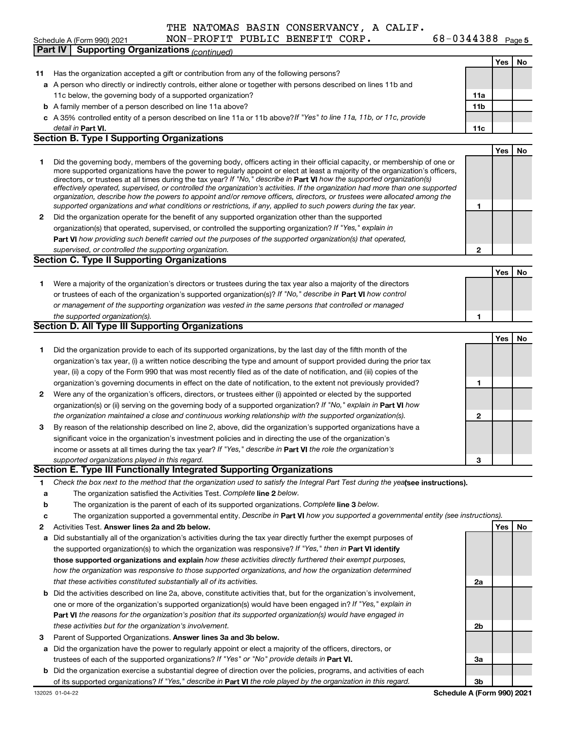|--|

# Schedule A (Form 990) 2021 **NON-PROFIT PUBLIC BENEFIT CORP.** 68-0344388 Page 5

|    | <b>Supporting Organizations (continued)</b><br>Part IV                                                                                                                                                                                       |                            |     |    |
|----|----------------------------------------------------------------------------------------------------------------------------------------------------------------------------------------------------------------------------------------------|----------------------------|-----|----|
|    |                                                                                                                                                                                                                                              |                            | Yes | No |
| 11 | Has the organization accepted a gift or contribution from any of the following persons?                                                                                                                                                      |                            |     |    |
|    | a A person who directly or indirectly controls, either alone or together with persons described on lines 11b and                                                                                                                             |                            |     |    |
|    | 11c below, the governing body of a supported organization?                                                                                                                                                                                   | 11a                        |     |    |
|    | <b>b</b> A family member of a person described on line 11a above?                                                                                                                                                                            | 11 <sub>b</sub>            |     |    |
|    | c A 35% controlled entity of a person described on line 11a or 11b above?If "Yes" to line 11a, 11b, or 11c, provide                                                                                                                          |                            |     |    |
|    | detail in Part VI.                                                                                                                                                                                                                           | 11c                        |     |    |
|    | <b>Section B. Type I Supporting Organizations</b>                                                                                                                                                                                            |                            |     |    |
|    |                                                                                                                                                                                                                                              |                            | Yes | No |
| 1  | Did the governing body, members of the governing body, officers acting in their official capacity, or membership of one or                                                                                                                   |                            |     |    |
|    | more supported organizations have the power to regularly appoint or elect at least a majority of the organization's officers,                                                                                                                |                            |     |    |
|    | directors, or trustees at all times during the tax year? If "No," describe in Part VI how the supported organization(s)                                                                                                                      |                            |     |    |
|    | effectively operated, supervised, or controlled the organization's activities. If the organization had more than one supported                                                                                                               |                            |     |    |
|    | organization, describe how the powers to appoint and/or remove officers, directors, or trustees were allocated among the<br>supported organizations and what conditions or restrictions, if any, applied to such powers during the tax year. | 1                          |     |    |
| 2  | Did the organization operate for the benefit of any supported organization other than the supported                                                                                                                                          |                            |     |    |
|    | organization(s) that operated, supervised, or controlled the supporting organization? If "Yes," explain in                                                                                                                                   |                            |     |    |
|    | Part VI how providing such benefit carried out the purposes of the supported organization(s) that operated,                                                                                                                                  |                            |     |    |
|    | supervised, or controlled the supporting organization.                                                                                                                                                                                       | $\mathbf{2}$               |     |    |
|    | <b>Section C. Type II Supporting Organizations</b>                                                                                                                                                                                           |                            |     |    |
|    |                                                                                                                                                                                                                                              |                            | Yes | No |
| 1  | Were a majority of the organization's directors or trustees during the tax year also a majority of the directors                                                                                                                             |                            |     |    |
|    | or trustees of each of the organization's supported organization(s)? If "No," describe in Part VI how control                                                                                                                                |                            |     |    |
|    | or management of the supporting organization was vested in the same persons that controlled or managed                                                                                                                                       |                            |     |    |
|    | the supported organization(s).                                                                                                                                                                                                               | 1                          |     |    |
|    | <b>Section D. All Type III Supporting Organizations</b>                                                                                                                                                                                      |                            |     |    |
|    |                                                                                                                                                                                                                                              |                            | Yes | No |
| 1  | Did the organization provide to each of its supported organizations, by the last day of the fifth month of the                                                                                                                               |                            |     |    |
|    | organization's tax year, (i) a written notice describing the type and amount of support provided during the prior tax                                                                                                                        |                            |     |    |
|    | year, (ii) a copy of the Form 990 that was most recently filed as of the date of notification, and (iii) copies of the                                                                                                                       |                            |     |    |
|    | organization's governing documents in effect on the date of notification, to the extent not previously provided?                                                                                                                             | 1                          |     |    |
| 2  | Were any of the organization's officers, directors, or trustees either (i) appointed or elected by the supported                                                                                                                             |                            |     |    |
|    | organization(s) or (ii) serving on the governing body of a supported organization? If "No," explain in Part VI how                                                                                                                           |                            |     |    |
|    | the organization maintained a close and continuous working relationship with the supported organization(s).                                                                                                                                  | 2                          |     |    |
| з  | By reason of the relationship described on line 2, above, did the organization's supported organizations have a                                                                                                                              |                            |     |    |
|    | significant voice in the organization's investment policies and in directing the use of the organization's                                                                                                                                   |                            |     |    |
|    | income or assets at all times during the tax year? If "Yes," describe in Part VI the role the organization's                                                                                                                                 |                            |     |    |
|    | supported organizations played in this regard.                                                                                                                                                                                               | з                          |     |    |
|    | Section E. Type III Functionally Integrated Supporting Organizations                                                                                                                                                                         |                            |     |    |
| 1  | Check the box next to the method that the organization used to satisfy the Integral Part Test during the yealsee instructions).                                                                                                              |                            |     |    |
| а  | The organization satisfied the Activities Test. Complete line 2 below.                                                                                                                                                                       |                            |     |    |
| b  | The organization is the parent of each of its supported organizations. Complete line 3 below.                                                                                                                                                |                            |     |    |
| c  | The organization supported a governmental entity. Describe in Part VI how you supported a governmental entity (see instructions).                                                                                                            |                            |     |    |
| 2  | Activities Test. Answer lines 2a and 2b below.                                                                                                                                                                                               |                            | Yes | No |
| а  | Did substantially all of the organization's activities during the tax year directly further the exempt purposes of                                                                                                                           |                            |     |    |
|    | the supported organization(s) to which the organization was responsive? If "Yes," then in Part VI identify                                                                                                                                   |                            |     |    |
|    | those supported organizations and explain how these activities directly furthered their exempt purposes,                                                                                                                                     |                            |     |    |
|    | how the organization was responsive to those supported organizations, and how the organization determined                                                                                                                                    |                            |     |    |
|    | that these activities constituted substantially all of its activities.                                                                                                                                                                       | 2a                         |     |    |
|    | <b>b</b> Did the activities described on line 2a, above, constitute activities that, but for the organization's involvement,                                                                                                                 |                            |     |    |
|    | one or more of the organization's supported organization(s) would have been engaged in? If "Yes," explain in                                                                                                                                 |                            |     |    |
|    | Part VI the reasons for the organization's position that its supported organization(s) would have engaged in                                                                                                                                 |                            |     |    |
|    | these activities but for the organization's involvement.                                                                                                                                                                                     | 2b                         |     |    |
| з  | Parent of Supported Organizations. Answer lines 3a and 3b below.                                                                                                                                                                             |                            |     |    |
| а  | Did the organization have the power to regularly appoint or elect a majority of the officers, directors, or                                                                                                                                  |                            |     |    |
|    | trustees of each of the supported organizations? If "Yes" or "No" provide details in Part VI.                                                                                                                                                | За                         |     |    |
|    | <b>b</b> Did the organization exercise a substantial degree of direction over the policies, programs, and activities of each                                                                                                                 |                            |     |    |
|    | of its supported organizations? If "Yes," describe in Part VI the role played by the organization in this regard.                                                                                                                            | Зb                         |     |    |
|    | 132025 01-04-22                                                                                                                                                                                                                              | Schedule A (Form 990) 2021 |     |    |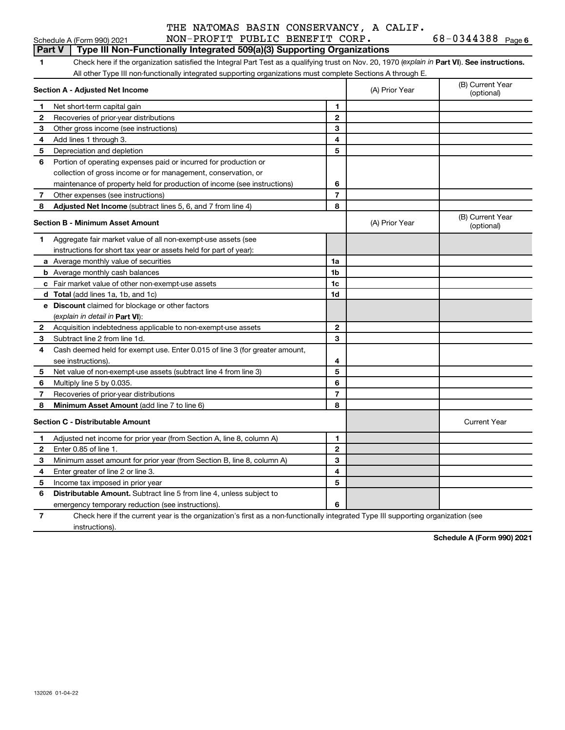|  |  |  | THE NATOMAS BASIN CONSERVANCY, A CALIF. |  |  |
|--|--|--|-----------------------------------------|--|--|
|--|--|--|-----------------------------------------|--|--|

### Schedule A (Form 990) 2021 **NON-PROFIT PUBLIC BENEFIT CORP.** 68-0344388 Page 6<br>| **Part V** | Type III Non-Functionally Integrated 509(a)(3) Supporting Organizations **Part V Type III Non-Functionally Integrated 509(a)(3) Supporting Organizations 1** Check here if the organization satisfied the Integral Part Test as a qualifying trust on Nov. 20, 1970 ( *explain in* **Part VI**). **See instructions.**  All other Type III non-functionally integrated supporting organizations must complete Sections A through E. **Section A - Adjusted Net Income** (A) Prior Year (B) Current Year (optional) **1 1 2** Recoveries of prior-year distributions **2 3** Other gross income (see instructions) **3 4** Add lines 1 through 3. **4 5** Depreciation and depletion **5 6** Portion of operating expenses paid or incurred for production or collection of gross income or for management, conservation, or maintenance of property held for production of income (see instructions) **6 7** Other expenses (see instructions) **7 8 Adjusted Net Income** (subtract lines 5, 6, and 7 from line 4) **8 Section B - Minimum Asset Amount** (A) Prior Year (B) Current Year (optional) **1** Aggregate fair market value of all non-exempt-use assets (see instructions for short tax year or assets held for part of year): **a** Average monthly value of securities **1a 1a b** Average monthly cash balances **1b and 1b and 1b and 1b and 1b and 1b and 1b and 1b and 1b and 1b and 1b and 1b and 1b and 1b and 1b and 1b and 1b and 1b and 1b and 1b and 1b and 1b and 1b and 1b and 1b and 1b and 1b an c** Fair market value of other non-exempt-use assets **1c 1c d Total** (add lines 1a, 1b, and 1c) **1d 1d 1d 1d 1d e Discount** claimed for blockage or other factors ( *explain in detail in* **Part VI**): **2** Acquisition indebtedness applicable to non-exempt-use assets **2 3** Subtract line 2 from line 1d. **3 4** Cash deemed held for exempt use. Enter 0.015 of line 3 (for greater amount, see instructions). **4 5** Net value of non-exempt-use assets (subtract line 4 from line 3) **5 6** Multiply line 5 by 0.035. **6 7** Recoveries of prior-year distributions **7 8 Minimum Asset Amount** (add line 7 to line 6) **8 Section C - Distributable Amount** Current Year **1** Adjusted net income for prior year (from Section A, line 8, column A) **1 2** Enter 0.85 of line 1. **2 3** Minimum asset amount for prior year (from Section B, line 8, column A) **3 4** Enter greater of line 2 or line 3. **4 5** Income tax imposed in prior year **5 6 Distributable Amount.** Subtract line 5 from line 4, unless subject to emergency temporary reduction (see instructions). **6**

**7**  Check here if the current year is the organization's first as a non-functionally integrated Type III supporting organization (see instructions).

**Schedule A (Form 990) 2021**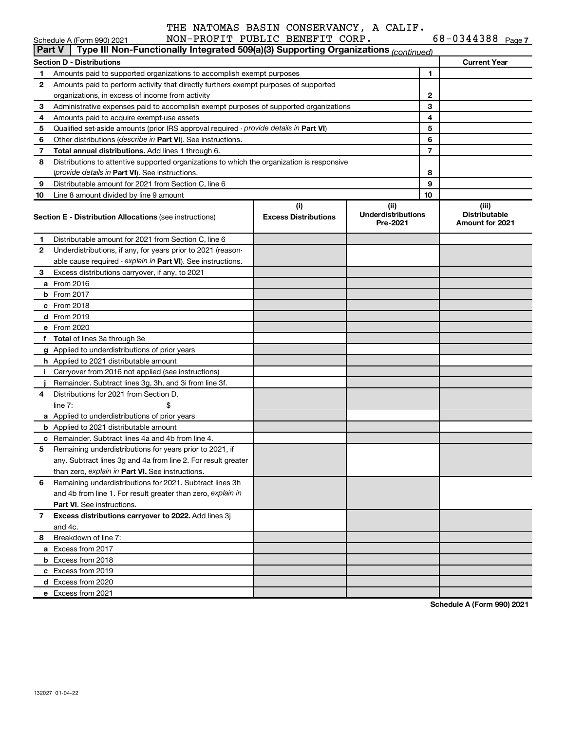| $68 - 0344388$ Page 7 |  |
|-----------------------|--|
|                       |  |

|               | Schedule A (Form 990) 2021                                                                 | NON-PROFIT PUBLIC BENEFIT CORP.    |                                               |                | $68 - 0344388$ Page 7                                   |
|---------------|--------------------------------------------------------------------------------------------|------------------------------------|-----------------------------------------------|----------------|---------------------------------------------------------|
| <b>Part V</b> | Type III Non-Functionally Integrated 509(a)(3) Supporting Organizations (continued)        |                                    |                                               |                |                                                         |
|               | <b>Section D - Distributions</b>                                                           |                                    |                                               |                | <b>Current Year</b>                                     |
| 1             | Amounts paid to supported organizations to accomplish exempt purposes                      |                                    |                                               | 1              |                                                         |
| 2             | Amounts paid to perform activity that directly furthers exempt purposes of supported       |                                    |                                               |                |                                                         |
|               | organizations, in excess of income from activity                                           |                                    |                                               | 2              |                                                         |
| 3             | Administrative expenses paid to accomplish exempt purposes of supported organizations      |                                    |                                               | 3              |                                                         |
| 4             | Amounts paid to acquire exempt-use assets                                                  |                                    |                                               | 4              |                                                         |
| 5             | Qualified set-aside amounts (prior IRS approval required - provide details in Part VI)     |                                    |                                               | 5              |                                                         |
| 6             | Other distributions (describe in Part VI). See instructions.                               |                                    |                                               | 6              |                                                         |
| 7             | Total annual distributions. Add lines 1 through 6.                                         |                                    |                                               | $\overline{7}$ |                                                         |
| 8             | Distributions to attentive supported organizations to which the organization is responsive |                                    |                                               |                |                                                         |
|               | (provide details in Part VI). See instructions.                                            |                                    |                                               | 8<br>9         |                                                         |
| 9             | Distributable amount for 2021 from Section C, line 6                                       |                                    |                                               | 10             |                                                         |
| 10            | Line 8 amount divided by line 9 amount                                                     |                                    |                                               |                |                                                         |
|               | <b>Section E - Distribution Allocations (see instructions)</b>                             | (i)<br><b>Excess Distributions</b> | (ii)<br><b>Underdistributions</b><br>Pre-2021 |                | (iii)<br><b>Distributable</b><br><b>Amount for 2021</b> |
| 1             | Distributable amount for 2021 from Section C, line 6                                       |                                    |                                               |                |                                                         |
| 2             | Underdistributions, if any, for years prior to 2021 (reason-                               |                                    |                                               |                |                                                         |
|               | able cause required - explain in Part VI). See instructions.                               |                                    |                                               |                |                                                         |
| 3             | Excess distributions carryover, if any, to 2021                                            |                                    |                                               |                |                                                         |
|               | a From 2016                                                                                |                                    |                                               |                |                                                         |
|               | <b>b</b> From 2017                                                                         |                                    |                                               |                |                                                         |
|               | c From 2018                                                                                |                                    |                                               |                |                                                         |
|               | d From 2019                                                                                |                                    |                                               |                |                                                         |
|               | e From 2020                                                                                |                                    |                                               |                |                                                         |
|               | f Total of lines 3a through 3e                                                             |                                    |                                               |                |                                                         |
|               | g Applied to underdistributions of prior years                                             |                                    |                                               |                |                                                         |
|               | h Applied to 2021 distributable amount                                                     |                                    |                                               |                |                                                         |
|               | i Carryover from 2016 not applied (see instructions)                                       |                                    |                                               |                |                                                         |
|               | Remainder. Subtract lines 3g, 3h, and 3i from line 3f.                                     |                                    |                                               |                |                                                         |
| 4             | Distributions for 2021 from Section D,                                                     |                                    |                                               |                |                                                         |
|               | line $7:$                                                                                  |                                    |                                               |                |                                                         |
|               | a Applied to underdistributions of prior years                                             |                                    |                                               |                |                                                         |
|               | <b>b</b> Applied to 2021 distributable amount                                              |                                    |                                               |                |                                                         |
|               | c Remainder. Subtract lines 4a and 4b from line 4.                                         |                                    |                                               |                |                                                         |
|               | 5 Remaining underdistributions for years prior to 2021, if                                 |                                    |                                               |                |                                                         |
|               | any. Subtract lines 3g and 4a from line 2. For result greater                              |                                    |                                               |                |                                                         |
|               | than zero, explain in Part VI. See instructions.                                           |                                    |                                               |                |                                                         |
| 6             | Remaining underdistributions for 2021. Subtract lines 3h                                   |                                    |                                               |                |                                                         |
|               | and 4b from line 1. For result greater than zero, explain in                               |                                    |                                               |                |                                                         |
|               | <b>Part VI.</b> See instructions.                                                          |                                    |                                               |                |                                                         |
| 7             | Excess distributions carryover to 2022. Add lines 3j                                       |                                    |                                               |                |                                                         |
|               | and 4c.                                                                                    |                                    |                                               |                |                                                         |
| 8             | Breakdown of line 7:                                                                       |                                    |                                               |                |                                                         |
|               | a Excess from 2017                                                                         |                                    |                                               |                |                                                         |
|               | <b>b</b> Excess from 2018                                                                  |                                    |                                               |                |                                                         |
|               | c Excess from 2019                                                                         |                                    |                                               |                |                                                         |
|               | d Excess from 2020                                                                         |                                    |                                               |                |                                                         |
|               | e Excess from 2021                                                                         |                                    |                                               |                |                                                         |

**Schedule A (Form 990) 2021**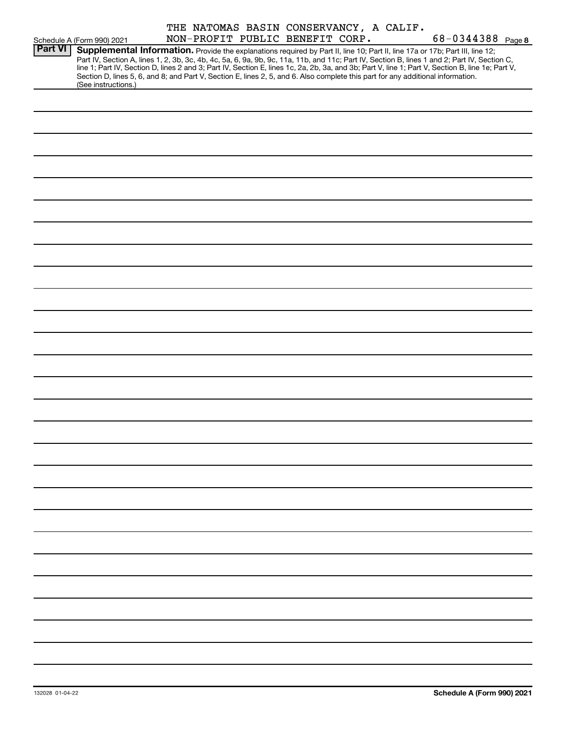| <b>Part VI</b> | Schedule A (Form 990) 2021<br>Supplemental Information. Provide the explanations required by Part II, line 10; Part II, line 17a or 17b; Part III, line 12; | NON-PROFIT PUBLIC BENEFIT CORP. |  | THE NATOMAS BASIN CONSERVANCY, A CALIF. | $68 - 0344388$ Page 8                                                                                                                                                                                                                                                                            |
|----------------|-------------------------------------------------------------------------------------------------------------------------------------------------------------|---------------------------------|--|-----------------------------------------|--------------------------------------------------------------------------------------------------------------------------------------------------------------------------------------------------------------------------------------------------------------------------------------------------|
|                | Section D, lines 5, 6, and 8; and Part V, Section E, lines 2, 5, and 6. Also complete this part for any additional information.<br>(See instructions.)      |                                 |  |                                         | Part IV, Section A, lines 1, 2, 3b, 3c, 4b, 4c, 5a, 6, 9a, 9b, 9c, 11a, 11b, and 11c; Part IV, Section B, lines 1 and 2; Part IV, Section C,<br>line 1; Part IV, Section D, lines 2 and 3; Part IV, Section E, lines 1c, 2a, 2b, 3a, and 3b; Part V, line 1; Part V, Section B, line 1e; Part V, |
|                |                                                                                                                                                             |                                 |  |                                         |                                                                                                                                                                                                                                                                                                  |
|                |                                                                                                                                                             |                                 |  |                                         |                                                                                                                                                                                                                                                                                                  |
|                |                                                                                                                                                             |                                 |  |                                         |                                                                                                                                                                                                                                                                                                  |
|                |                                                                                                                                                             |                                 |  |                                         |                                                                                                                                                                                                                                                                                                  |
|                |                                                                                                                                                             |                                 |  |                                         |                                                                                                                                                                                                                                                                                                  |
|                |                                                                                                                                                             |                                 |  |                                         |                                                                                                                                                                                                                                                                                                  |
|                |                                                                                                                                                             |                                 |  |                                         |                                                                                                                                                                                                                                                                                                  |
|                |                                                                                                                                                             |                                 |  |                                         |                                                                                                                                                                                                                                                                                                  |
|                |                                                                                                                                                             |                                 |  |                                         |                                                                                                                                                                                                                                                                                                  |
|                |                                                                                                                                                             |                                 |  |                                         |                                                                                                                                                                                                                                                                                                  |
|                |                                                                                                                                                             |                                 |  |                                         |                                                                                                                                                                                                                                                                                                  |
|                |                                                                                                                                                             |                                 |  |                                         |                                                                                                                                                                                                                                                                                                  |
|                |                                                                                                                                                             |                                 |  |                                         |                                                                                                                                                                                                                                                                                                  |
|                |                                                                                                                                                             |                                 |  |                                         |                                                                                                                                                                                                                                                                                                  |
|                |                                                                                                                                                             |                                 |  |                                         |                                                                                                                                                                                                                                                                                                  |
|                |                                                                                                                                                             |                                 |  |                                         |                                                                                                                                                                                                                                                                                                  |
|                |                                                                                                                                                             |                                 |  |                                         |                                                                                                                                                                                                                                                                                                  |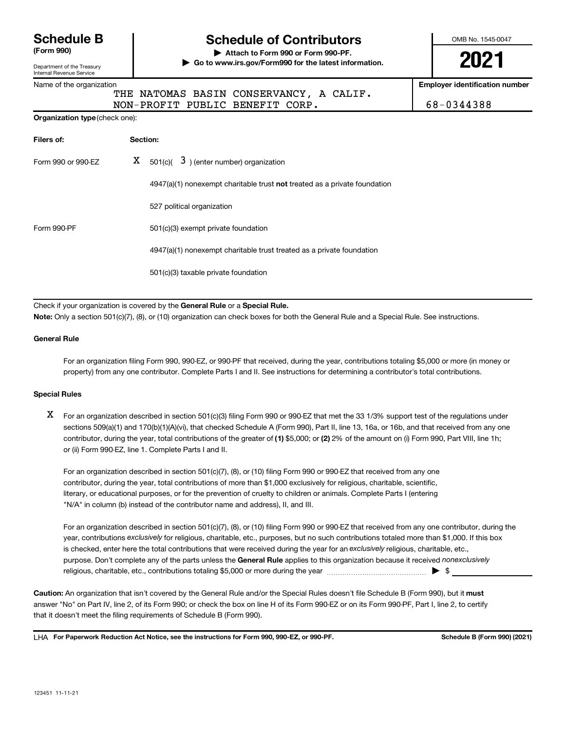# **Schedule B**

**(Form 990)** 

Department of the Treasury Internal Revenue Service

Name of the organization

# **Schedule of Contributors**

**| Attach to Form 990 or Form 990-PF. | Go to www.irs.gov/Form990 for the latest information.**  OMB No. 1545-0047

**2021** 

**Employer identification number** 

68-0344388

|  |  | $\sim$ |  |
|--|--|--------|--|
|  |  |        |  |

### I NATOMAS BASIN CONSERVANCY, A CALIF. NON-PROFIT PUBLIC BENEFIT CORP.

**Organization type**(check one):

| Filers of:<br>Section: |  |                                                                             |  |  |  |  |
|------------------------|--|-----------------------------------------------------------------------------|--|--|--|--|
| Form 990 or 990-EZ     |  | $X = 501(c)$ (3) (enter number) organization                                |  |  |  |  |
|                        |  | $4947(a)(1)$ nonexempt charitable trust not treated as a private foundation |  |  |  |  |
|                        |  | 527 political organization                                                  |  |  |  |  |
| Form 990-PF            |  | 501(c)(3) exempt private foundation                                         |  |  |  |  |
|                        |  | 4947(a)(1) nonexempt charitable trust treated as a private foundation       |  |  |  |  |
|                        |  | 501(c)(3) taxable private foundation                                        |  |  |  |  |
|                        |  |                                                                             |  |  |  |  |

Check if your organization is covered by the **General Rule** or a **Special Rule. Note:** Only a section 501(c)(7), (8), or (10) organization can check boxes for both the General Rule and a Special Rule. See instructions.

#### **General Rule**

For an organization filing Form 990, 990-EZ, or 990-PF that received, during the year, contributions totaling \$5,000 or more (in money or property) from any one contributor. Complete Parts I and II. See instructions for determining a contributor's total contributions.

### **Special Rules**

X For an organization described in section 501(c)(3) filing Form 990 or 990-EZ that met the 33 1/3% support test of the regulations under sections 509(a)(1) and 170(b)(1)(A)(vi), that checked Schedule A (Form 990), Part II, line 13, 16a, or 16b, and that received from any one contributor, during the year, total contributions of the greater of **(1)** \$5,000; or **(2)** 2% of the amount on (i) Form 990, Part VIII, line 1h; or (ii) Form 990-EZ, line 1. Complete Parts I and II.

For an organization described in section 501(c)(7), (8), or (10) filing Form 990 or 990-EZ that received from any one contributor, during the year, total contributions of more than \$1,000 exclusively for religious, charitable, scientific, literary, or educational purposes, or for the prevention of cruelty to children or animals. Complete Parts I (entering "N/A" in column (b) instead of the contributor name and address), II, and III.

For an organization described in section 501(c)(7), (8), or (10) filing Form 990 or 990-EZ that received from any one contributor, during the year, contributions exclusively for religious, charitable, etc., purposes, but no such contributions totaled more than \$1,000. If this box is checked, enter here the total contributions that were received during the year for an exclusively religious, charitable, etc., purpose. Don't complete any of the parts unless the **General Rule** applies to this organization because it received *nonexclusively*  religious, charitable, etc., contributions totaling \$5,000 or more during the year  $\ldots$  $\ldots$  $\ldots$  $\ldots$  $\ldots$  $\ldots$ 

**Caution:** An organization that isn't covered by the General Rule and/or the Special Rules doesn't file Schedule B (Form 990), but it **must**  answer "No" on Part IV, line 2, of its Form 990; or check the box on line H of its Form 990-EZ or on its Form 990-PF, Part I, line 2, to certify that it doesn't meet the filing requirements of Schedule B (Form 990).

LHA For Paperwork Reduction Act Notice, see the instructions for Form 990, 990-EZ, or 990-PF. Schedule B (Form 990) (2021)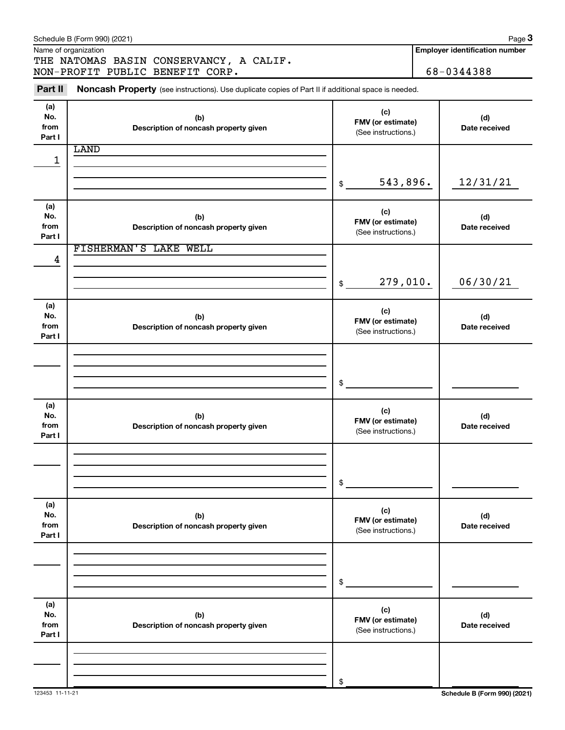|                              | Schedule B (Form 990) (2021)                                                                        |                                                 | Page 3                                |
|------------------------------|-----------------------------------------------------------------------------------------------------|-------------------------------------------------|---------------------------------------|
|                              | Name of organization<br>THE NATOMAS BASIN CONSERVANCY, A CALIF.                                     |                                                 | <b>Employer identification number</b> |
|                              | NON-PROFIT PUBLIC BENEFIT CORP.                                                                     |                                                 | 68-0344388                            |
| Part II                      | Noncash Property (see instructions). Use duplicate copies of Part II if additional space is needed. |                                                 |                                       |
| (a)<br>No.<br>from<br>Part I | (b)<br>Description of noncash property given                                                        | (c)<br>FMV (or estimate)<br>(See instructions.) | (d)<br>Date received                  |
|                              | LAND                                                                                                |                                                 |                                       |
| 1                            |                                                                                                     |                                                 |                                       |
|                              |                                                                                                     | 543,896.<br>\$                                  | 12/31/21                              |
| (a)<br>No.<br>from<br>Part I | (b)<br>Description of noncash property given                                                        | (c)<br>FMV (or estimate)<br>(See instructions.) | (d)<br>Date received                  |
|                              | FISHERMAN'S LAKE WELL                                                                               |                                                 |                                       |
| 4                            |                                                                                                     | 279,010.<br>$\$\$                               | 06/30/21                              |
| (a)<br>No.<br>from<br>Part I | (b)<br>Description of noncash property given                                                        | (c)<br>FMV (or estimate)<br>(See instructions.) | (d)<br>Date received                  |
|                              |                                                                                                     |                                                 |                                       |
|                              |                                                                                                     | $\mathfrak s$                                   |                                       |
| (a)<br>No.<br>from<br>Part I | (b)<br>Description of noncash property given                                                        | (c)<br>FMV (or estimate)<br>(See instructions.) | (d)<br>Date received                  |
|                              |                                                                                                     |                                                 |                                       |
|                              |                                                                                                     | \$                                              |                                       |
| (a)<br>No.<br>from<br>Part I | (b)<br>Description of noncash property given                                                        | (c)<br>FMV (or estimate)<br>(See instructions.) | (d)<br>Date received                  |
|                              |                                                                                                     |                                                 |                                       |
|                              |                                                                                                     | \$                                              |                                       |
| (a)<br>No.<br>from<br>Part I | (b)<br>Description of noncash property given                                                        | (c)<br>FMV (or estimate)<br>(See instructions.) | (d)<br>Date received                  |
|                              |                                                                                                     |                                                 |                                       |
|                              |                                                                                                     | \$                                              |                                       |
|                              |                                                                                                     |                                                 |                                       |

123453 11-11-21 **Schedule B (Form 990) (2021)**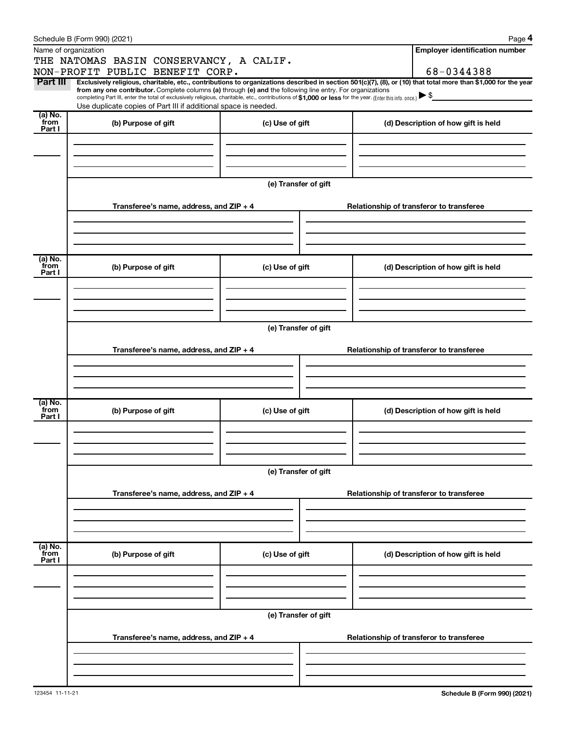|                           | Schedule B (Form 990) (2021)                                                                                                                                                                                                                                                                                                                  |                      |                                          | Page 4                                                                                                                                                                       |  |  |
|---------------------------|-----------------------------------------------------------------------------------------------------------------------------------------------------------------------------------------------------------------------------------------------------------------------------------------------------------------------------------------------|----------------------|------------------------------------------|------------------------------------------------------------------------------------------------------------------------------------------------------------------------------|--|--|
|                           | Name of organization                                                                                                                                                                                                                                                                                                                          |                      |                                          | <b>Employer identification number</b>                                                                                                                                        |  |  |
|                           | THE NATOMAS BASIN CONSERVANCY, A CALIF.                                                                                                                                                                                                                                                                                                       |                      |                                          |                                                                                                                                                                              |  |  |
| Part III                  | NON-PROFIT PUBLIC BENEFIT CORP.                                                                                                                                                                                                                                                                                                               |                      |                                          | 68-0344388<br>Exclusively religious, charitable, etc., contributions to organizations described in section 501(c)(7), (8), or (10) that total more than \$1,000 for the year |  |  |
|                           | from any one contributor. Complete columns (a) through (e) and the following line entry. For organizations<br>completing Part III, enter the total of exclusively religious, charitable, etc., contributions of \$1,000 or less for the year. (Enter this info. once.) \\$<br>Use duplicate copies of Part III if additional space is needed. |                      |                                          |                                                                                                                                                                              |  |  |
| (a) No.<br>from<br>Part I | (b) Purpose of gift                                                                                                                                                                                                                                                                                                                           | (c) Use of gift      |                                          | (d) Description of how gift is held                                                                                                                                          |  |  |
|                           |                                                                                                                                                                                                                                                                                                                                               |                      |                                          |                                                                                                                                                                              |  |  |
|                           |                                                                                                                                                                                                                                                                                                                                               | (e) Transfer of gift |                                          |                                                                                                                                                                              |  |  |
|                           | Transferee's name, address, and ZIP + 4                                                                                                                                                                                                                                                                                                       |                      |                                          | Relationship of transferor to transferee                                                                                                                                     |  |  |
|                           |                                                                                                                                                                                                                                                                                                                                               |                      |                                          |                                                                                                                                                                              |  |  |
| (a) No.<br>from<br>Part I | (b) Purpose of gift                                                                                                                                                                                                                                                                                                                           | (c) Use of gift      |                                          | (d) Description of how gift is held                                                                                                                                          |  |  |
|                           |                                                                                                                                                                                                                                                                                                                                               |                      |                                          |                                                                                                                                                                              |  |  |
|                           |                                                                                                                                                                                                                                                                                                                                               | (e) Transfer of gift |                                          |                                                                                                                                                                              |  |  |
|                           | Transferee's name, address, and ZIP + 4                                                                                                                                                                                                                                                                                                       |                      |                                          | Relationship of transferor to transferee                                                                                                                                     |  |  |
|                           |                                                                                                                                                                                                                                                                                                                                               |                      |                                          |                                                                                                                                                                              |  |  |
| (a) No.<br>from<br>Part I | (b) Purpose of gift                                                                                                                                                                                                                                                                                                                           | (c) Use of gift      |                                          | (d) Description of how gift is held                                                                                                                                          |  |  |
|                           |                                                                                                                                                                                                                                                                                                                                               |                      |                                          |                                                                                                                                                                              |  |  |
|                           |                                                                                                                                                                                                                                                                                                                                               | (e) Transfer of gift |                                          |                                                                                                                                                                              |  |  |
|                           | Transferee's name, address, and ZIP + 4                                                                                                                                                                                                                                                                                                       |                      |                                          | Relationship of transferor to transferee                                                                                                                                     |  |  |
|                           |                                                                                                                                                                                                                                                                                                                                               |                      |                                          |                                                                                                                                                                              |  |  |
| (a) No.<br>from<br>Part I | (b) Purpose of gift                                                                                                                                                                                                                                                                                                                           | (c) Use of gift      |                                          | (d) Description of how gift is held                                                                                                                                          |  |  |
|                           |                                                                                                                                                                                                                                                                                                                                               |                      |                                          |                                                                                                                                                                              |  |  |
|                           | (e) Transfer of gift                                                                                                                                                                                                                                                                                                                          |                      |                                          |                                                                                                                                                                              |  |  |
|                           | Transferee's name, address, and ZIP + 4                                                                                                                                                                                                                                                                                                       |                      | Relationship of transferor to transferee |                                                                                                                                                                              |  |  |
|                           |                                                                                                                                                                                                                                                                                                                                               |                      |                                          |                                                                                                                                                                              |  |  |
|                           |                                                                                                                                                                                                                                                                                                                                               |                      |                                          |                                                                                                                                                                              |  |  |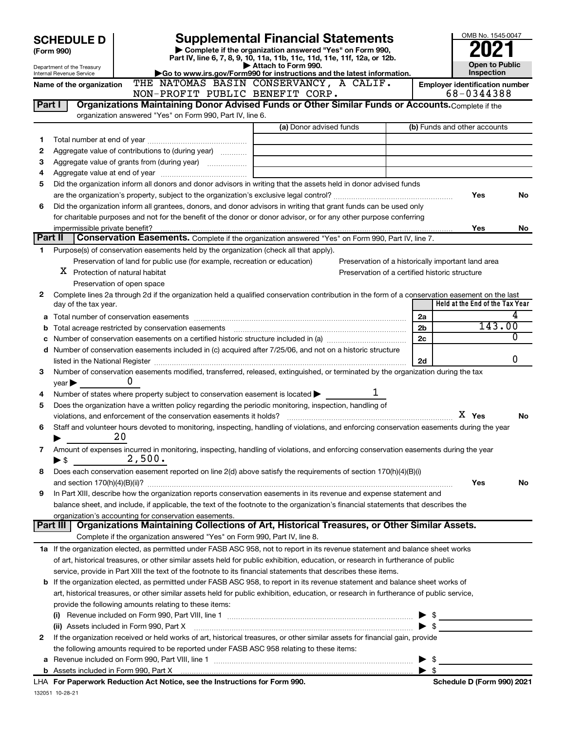|         | <b>SCHEDULE D</b>                                      |                                                                                                                                                                                                                                                                                 |                                                                                               |  |                          | OMB No. 1545-0047                                  |        |  |
|---------|--------------------------------------------------------|---------------------------------------------------------------------------------------------------------------------------------------------------------------------------------------------------------------------------------------------------------------------------------|-----------------------------------------------------------------------------------------------|--|--------------------------|----------------------------------------------------|--------|--|
|         | (Form 990)                                             | <b>Supplemental Financial Statements</b><br>Complete if the organization answered "Yes" on Form 990,                                                                                                                                                                            |                                                                                               |  |                          |                                                    |        |  |
|         |                                                        |                                                                                                                                                                                                                                                                                 | Part IV, line 6, 7, 8, 9, 10, 11a, 11b, 11c, 11d, 11e, 11f, 12a, or 12b.                      |  |                          | <b>Open to Public</b>                              |        |  |
|         | Department of the Treasury<br>Internal Revenue Service |                                                                                                                                                                                                                                                                                 | Attach to Form 990.<br>Go to www.irs.gov/Form990 for instructions and the latest information. |  |                          | Inspection                                         |        |  |
|         | Name of the organization                               |                                                                                                                                                                                                                                                                                 | THE NATOMAS BASIN CONSERVANCY, A CALIF.                                                       |  |                          | <b>Employer identification number</b>              |        |  |
|         |                                                        | NON-PROFIT PUBLIC BENEFIT CORP.                                                                                                                                                                                                                                                 |                                                                                               |  |                          | 68-0344388                                         |        |  |
| Part I  |                                                        | Organizations Maintaining Donor Advised Funds or Other Similar Funds or Accounts. Complete if the                                                                                                                                                                               |                                                                                               |  |                          |                                                    |        |  |
|         |                                                        | organization answered "Yes" on Form 990, Part IV, line 6.                                                                                                                                                                                                                       |                                                                                               |  |                          |                                                    |        |  |
|         |                                                        |                                                                                                                                                                                                                                                                                 | (a) Donor advised funds                                                                       |  |                          | (b) Funds and other accounts                       |        |  |
| 1       |                                                        |                                                                                                                                                                                                                                                                                 |                                                                                               |  |                          |                                                    |        |  |
| 2       |                                                        | Aggregate value of contributions to (during year)                                                                                                                                                                                                                               |                                                                                               |  |                          |                                                    |        |  |
| 3       |                                                        |                                                                                                                                                                                                                                                                                 |                                                                                               |  |                          |                                                    |        |  |
| 4<br>5  |                                                        | Did the organization inform all donors and donor advisors in writing that the assets held in donor advised funds                                                                                                                                                                |                                                                                               |  |                          |                                                    |        |  |
|         |                                                        |                                                                                                                                                                                                                                                                                 |                                                                                               |  |                          | Yes                                                | No     |  |
| 6       |                                                        | Did the organization inform all grantees, donors, and donor advisors in writing that grant funds can be used only                                                                                                                                                               |                                                                                               |  |                          |                                                    |        |  |
|         |                                                        | for charitable purposes and not for the benefit of the donor or donor advisor, or for any other purpose conferring                                                                                                                                                              |                                                                                               |  |                          |                                                    |        |  |
|         | impermissible private benefit?                         |                                                                                                                                                                                                                                                                                 |                                                                                               |  |                          | Yes                                                | No.    |  |
| Part II |                                                        | Conservation Easements. Complete if the organization answered "Yes" on Form 990, Part IV, line 7.                                                                                                                                                                               |                                                                                               |  |                          |                                                    |        |  |
| 1       |                                                        | Purpose(s) of conservation easements held by the organization (check all that apply).                                                                                                                                                                                           |                                                                                               |  |                          |                                                    |        |  |
|         |                                                        | Preservation of land for public use (for example, recreation or education)                                                                                                                                                                                                      |                                                                                               |  |                          | Preservation of a historically important land area |        |  |
|         | $X$ Protection of natural habitat                      |                                                                                                                                                                                                                                                                                 | Preservation of a certified historic structure                                                |  |                          |                                                    |        |  |
|         |                                                        | Preservation of open space                                                                                                                                                                                                                                                      |                                                                                               |  |                          |                                                    |        |  |
| 2       |                                                        | Complete lines 2a through 2d if the organization held a qualified conservation contribution in the form of a conservation easement on the last                                                                                                                                  |                                                                                               |  |                          |                                                    |        |  |
|         | day of the tax year.                                   |                                                                                                                                                                                                                                                                                 |                                                                                               |  |                          | Held at the End of the Tax Year                    |        |  |
|         |                                                        |                                                                                                                                                                                                                                                                                 |                                                                                               |  | 2a                       |                                                    | 4      |  |
| b       |                                                        |                                                                                                                                                                                                                                                                                 |                                                                                               |  | 2 <sub>b</sub>           |                                                    | 143.00 |  |
|         |                                                        |                                                                                                                                                                                                                                                                                 |                                                                                               |  | 2c                       |                                                    | 0      |  |
|         |                                                        | d Number of conservation easements included in (c) acquired after 7/25/06, and not on a historic structure                                                                                                                                                                      |                                                                                               |  |                          |                                                    |        |  |
|         |                                                        | listed in the National Register [111] Marshall Marshall Marshall Marshall Marshall Marshall Marshall Marshall M                                                                                                                                                                 |                                                                                               |  | 2d                       |                                                    | 0      |  |
| 3       |                                                        | Number of conservation easements modified, transferred, released, extinguished, or terminated by the organization during the tax<br>0                                                                                                                                           |                                                                                               |  |                          |                                                    |        |  |
| 4       | year                                                   | Number of states where property subject to conservation easement is located $\blacktriangleright$                                                                                                                                                                               | 1                                                                                             |  |                          |                                                    |        |  |
| 5       |                                                        | Does the organization have a written policy regarding the periodic monitoring, inspection, handling of                                                                                                                                                                          |                                                                                               |  |                          |                                                    |        |  |
|         |                                                        |                                                                                                                                                                                                                                                                                 |                                                                                               |  |                          | X Yes                                              | No     |  |
| 6       |                                                        | Staff and volunteer hours devoted to monitoring, inspecting, handling of violations, and enforcing conservation easements during the year                                                                                                                                       |                                                                                               |  |                          |                                                    |        |  |
|         |                                                        | 20                                                                                                                                                                                                                                                                              |                                                                                               |  |                          |                                                    |        |  |
| 7       |                                                        | Amount of expenses incurred in monitoring, inspecting, handling of violations, and enforcing conservation easements during the year                                                                                                                                             |                                                                                               |  |                          |                                                    |        |  |
|         | $\blacktriangleright$ \$                               | 2,500.                                                                                                                                                                                                                                                                          |                                                                                               |  |                          |                                                    |        |  |
| 8       |                                                        | Does each conservation easement reported on line 2(d) above satisfy the requirements of section 170(h)(4)(B)(i)                                                                                                                                                                 |                                                                                               |  |                          |                                                    |        |  |
|         |                                                        |                                                                                                                                                                                                                                                                                 |                                                                                               |  |                          | Yes                                                | No     |  |
| 9       |                                                        | In Part XIII, describe how the organization reports conservation easements in its revenue and expense statement and                                                                                                                                                             |                                                                                               |  |                          |                                                    |        |  |
|         |                                                        | balance sheet, and include, if applicable, the text of the footnote to the organization's financial statements that describes the                                                                                                                                               |                                                                                               |  |                          |                                                    |        |  |
|         |                                                        | organization's accounting for conservation easements.                                                                                                                                                                                                                           |                                                                                               |  |                          |                                                    |        |  |
|         | Part III                                               | Organizations Maintaining Collections of Art, Historical Treasures, or Other Similar Assets.                                                                                                                                                                                    |                                                                                               |  |                          |                                                    |        |  |
|         |                                                        | Complete if the organization answered "Yes" on Form 990, Part IV, line 8.                                                                                                                                                                                                       |                                                                                               |  |                          |                                                    |        |  |
|         |                                                        | 1a If the organization elected, as permitted under FASB ASC 958, not to report in its revenue statement and balance sheet works                                                                                                                                                 |                                                                                               |  |                          |                                                    |        |  |
|         |                                                        | of art, historical treasures, or other similar assets held for public exhibition, education, or research in furtherance of public                                                                                                                                               |                                                                                               |  |                          |                                                    |        |  |
|         |                                                        | service, provide in Part XIII the text of the footnote to its financial statements that describes these items.                                                                                                                                                                  |                                                                                               |  |                          |                                                    |        |  |
|         |                                                        | <b>b</b> If the organization elected, as permitted under FASB ASC 958, to report in its revenue statement and balance sheet works of<br>art, historical treasures, or other similar assets held for public exhibition, education, or research in furtherance of public service, |                                                                                               |  |                          |                                                    |        |  |
|         |                                                        | provide the following amounts relating to these items:                                                                                                                                                                                                                          |                                                                                               |  |                          |                                                    |        |  |
|         |                                                        |                                                                                                                                                                                                                                                                                 |                                                                                               |  | - \$                     |                                                    |        |  |
|         |                                                        | (ii) Assets included in Form 990, Part X                                                                                                                                                                                                                                        |                                                                                               |  | ► \$                     |                                                    |        |  |
| 2       |                                                        | If the organization received or held works of art, historical treasures, or other similar assets for financial gain, provide                                                                                                                                                    |                                                                                               |  |                          |                                                    |        |  |
|         |                                                        | the following amounts required to be reported under FASB ASC 958 relating to these items:                                                                                                                                                                                       |                                                                                               |  |                          |                                                    |        |  |
|         |                                                        |                                                                                                                                                                                                                                                                                 |                                                                                               |  | $\blacktriangleright$ \$ |                                                    |        |  |
|         |                                                        |                                                                                                                                                                                                                                                                                 |                                                                                               |  | $\blacktriangleright$ \$ |                                                    |        |  |
|         |                                                        | For Department Poduction Act Notice, can the Instructions for Form 000                                                                                                                                                                                                          |                                                                                               |  |                          | Schodule D (Form 000) 2021                         |        |  |

LHA **For Paperwork Reduction Act Notice, see the Instructions for Form 990. Schedule D (Form 990) 2021**  132051 10-28-21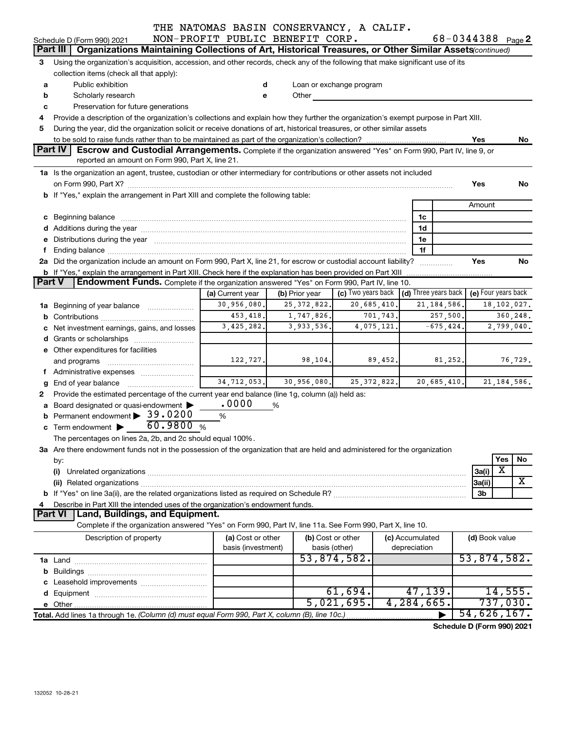|               |                                                                                                                                                                                                                                     | THE NATOMAS BASIN CONSERVANCY, A CALIF.<br>NON-PROFIT PUBLIC BENEFIT CORP. |                   |                                                                                                                                                                                                                               |                                | 68-0344388 Page 2          |                                  |               |  |  |
|---------------|-------------------------------------------------------------------------------------------------------------------------------------------------------------------------------------------------------------------------------------|----------------------------------------------------------------------------|-------------------|-------------------------------------------------------------------------------------------------------------------------------------------------------------------------------------------------------------------------------|--------------------------------|----------------------------|----------------------------------|---------------|--|--|
|               | Schedule D (Form 990) 2021<br>Part III                                                                                                                                                                                              |                                                                            |                   |                                                                                                                                                                                                                               |                                |                            |                                  |               |  |  |
|               | Organizations Maintaining Collections of Art, Historical Treasures, or Other Similar Assets (continued)                                                                                                                             |                                                                            |                   |                                                                                                                                                                                                                               |                                |                            |                                  |               |  |  |
| 3             | Using the organization's acquisition, accession, and other records, check any of the following that make significant use of its                                                                                                     |                                                                            |                   |                                                                                                                                                                                                                               |                                |                            |                                  |               |  |  |
|               | collection items (check all that apply):                                                                                                                                                                                            |                                                                            |                   |                                                                                                                                                                                                                               |                                |                            |                                  |               |  |  |
| a             | Public exhibition                                                                                                                                                                                                                   | d                                                                          |                   | Loan or exchange program                                                                                                                                                                                                      |                                |                            |                                  |               |  |  |
| b             | Scholarly research                                                                                                                                                                                                                  | е                                                                          |                   | Other and the contract of the contract of the contract of the contract of the contract of the contract of the contract of the contract of the contract of the contract of the contract of the contract of the contract of the |                                |                            |                                  |               |  |  |
| c             | Preservation for future generations                                                                                                                                                                                                 |                                                                            |                   |                                                                                                                                                                                                                               |                                |                            |                                  |               |  |  |
| 4             | Provide a description of the organization's collections and explain how they further the organization's exempt purpose in Part XIII.                                                                                                |                                                                            |                   |                                                                                                                                                                                                                               |                                |                            |                                  |               |  |  |
| 5             | During the year, did the organization solicit or receive donations of art, historical treasures, or other similar assets                                                                                                            |                                                                            |                   |                                                                                                                                                                                                                               |                                |                            |                                  |               |  |  |
|               |                                                                                                                                                                                                                                     |                                                                            |                   |                                                                                                                                                                                                                               |                                |                            | Yes                              | No.           |  |  |
|               | Part IV<br>Escrow and Custodial Arrangements. Complete if the organization answered "Yes" on Form 990, Part IV, line 9, or                                                                                                          |                                                                            |                   |                                                                                                                                                                                                                               |                                |                            |                                  |               |  |  |
|               | reported an amount on Form 990, Part X, line 21.                                                                                                                                                                                    |                                                                            |                   |                                                                                                                                                                                                                               |                                |                            |                                  |               |  |  |
|               | 1a Is the organization an agent, trustee, custodian or other intermediary for contributions or other assets not included                                                                                                            |                                                                            |                   |                                                                                                                                                                                                                               |                                |                            |                                  |               |  |  |
|               |                                                                                                                                                                                                                                     |                                                                            |                   |                                                                                                                                                                                                                               |                                |                            | Yes                              | No            |  |  |
|               | b If "Yes," explain the arrangement in Part XIII and complete the following table:                                                                                                                                                  |                                                                            |                   |                                                                                                                                                                                                                               |                                |                            |                                  |               |  |  |
|               |                                                                                                                                                                                                                                     |                                                                            |                   |                                                                                                                                                                                                                               |                                |                            | Amount                           |               |  |  |
|               | c Beginning balance <b>communications</b> and a construction of the construction of the construction of the construction of the construction of the construction of the construction of the construction of the construction of the |                                                                            |                   |                                                                                                                                                                                                                               | 1c                             |                            |                                  |               |  |  |
|               |                                                                                                                                                                                                                                     |                                                                            |                   |                                                                                                                                                                                                                               | 1d                             |                            |                                  |               |  |  |
|               | e Distributions during the year manufactured and an account of the year manufactured and account of the year manufactured and account of the USA of the Distributions during the year                                               |                                                                            |                   |                                                                                                                                                                                                                               | 1e                             |                            |                                  |               |  |  |
|               |                                                                                                                                                                                                                                     |                                                                            |                   |                                                                                                                                                                                                                               | 1f                             |                            |                                  |               |  |  |
|               | 2a Did the organization include an amount on Form 990, Part X, line 21, for escrow or custodial account liability?                                                                                                                  |                                                                            |                   |                                                                                                                                                                                                                               | .                              |                            | Yes                              | <b>No</b>     |  |  |
|               | <b>b</b> If "Yes," explain the arrangement in Part XIII. Check here if the explanation has been provided on Part XIII                                                                                                               |                                                                            |                   |                                                                                                                                                                                                                               |                                |                            |                                  |               |  |  |
| <b>Part V</b> | <b>Endowment Funds.</b> Complete if the organization answered "Yes" on Form 990, Part IV, line 10.                                                                                                                                  |                                                                            |                   |                                                                                                                                                                                                                               |                                |                            |                                  |               |  |  |
|               |                                                                                                                                                                                                                                     | (a) Current year                                                           | (b) Prior year    | (c) Two years back                                                                                                                                                                                                            | $\,$ (d) Three years back $\,$ |                            | (e) Four years back              |               |  |  |
|               | 1a Beginning of year balance                                                                                                                                                                                                        | 30,956,080.                                                                | 25, 372, 822.     | 20,685,410.                                                                                                                                                                                                                   |                                | 21, 184, 586.              |                                  | 18, 102, 027. |  |  |
|               |                                                                                                                                                                                                                                     | 453,418.                                                                   | 1,747,826.        | 701,743.                                                                                                                                                                                                                      |                                | 257,500.                   |                                  | 360,248.      |  |  |
|               | Net investment earnings, gains, and losses                                                                                                                                                                                          | 3,425,282.                                                                 | 3,933,536.        | 4,075,121.                                                                                                                                                                                                                    |                                | $-675, 424.$               |                                  | 2,799,040.    |  |  |
|               |                                                                                                                                                                                                                                     |                                                                            |                   |                                                                                                                                                                                                                               |                                |                            |                                  |               |  |  |
|               | e Other expenditures for facilities                                                                                                                                                                                                 |                                                                            |                   |                                                                                                                                                                                                                               |                                |                            |                                  |               |  |  |
|               |                                                                                                                                                                                                                                     | 122,727.                                                                   | 98,104.           | 89,452.                                                                                                                                                                                                                       |                                | 81,252.                    |                                  | 76,729.       |  |  |
|               | f Administrative expenses                                                                                                                                                                                                           |                                                                            |                   |                                                                                                                                                                                                                               |                                |                            |                                  |               |  |  |
| g             | End of year balance                                                                                                                                                                                                                 | 34, 712, 053.                                                              | 30,956,080.       | 25, 372, 822.                                                                                                                                                                                                                 |                                | 20,685,410.                |                                  | 21, 184, 586. |  |  |
| 2             | Provide the estimated percentage of the current year end balance (line 1g, column (a)) held as:                                                                                                                                     |                                                                            |                   |                                                                                                                                                                                                                               |                                |                            |                                  |               |  |  |
| a             | Board designated or quasi-endowment                                                                                                                                                                                                 | .0000                                                                      | $\%$              |                                                                                                                                                                                                                               |                                |                            |                                  |               |  |  |
|               | Permanent endowment > 39.0200                                                                                                                                                                                                       | $\%$                                                                       |                   |                                                                                                                                                                                                                               |                                |                            |                                  |               |  |  |
|               | 60.9800%<br>$\mathbf c$ Term endowment $\blacktriangleright$                                                                                                                                                                        |                                                                            |                   |                                                                                                                                                                                                                               |                                |                            |                                  |               |  |  |
|               | The percentages on lines 2a, 2b, and 2c should equal 100%.                                                                                                                                                                          |                                                                            |                   |                                                                                                                                                                                                                               |                                |                            |                                  |               |  |  |
|               | 3a Are there endowment funds not in the possession of the organization that are held and administered for the organization                                                                                                          |                                                                            |                   |                                                                                                                                                                                                                               |                                |                            |                                  |               |  |  |
|               | by:                                                                                                                                                                                                                                 |                                                                            |                   |                                                                                                                                                                                                                               |                                |                            | Yes                              | No            |  |  |
|               | (i)                                                                                                                                                                                                                                 |                                                                            |                   |                                                                                                                                                                                                                               |                                |                            | $\overline{\mathbf{X}}$<br>3a(i) |               |  |  |
|               |                                                                                                                                                                                                                                     |                                                                            |                   |                                                                                                                                                                                                                               |                                |                            |                                  | X             |  |  |
|               |                                                                                                                                                                                                                                     |                                                                            |                   |                                                                                                                                                                                                                               |                                |                            | 3a(ii)                           |               |  |  |
|               |                                                                                                                                                                                                                                     |                                                                            |                   |                                                                                                                                                                                                                               |                                |                            | 3b                               |               |  |  |
| 4             | Describe in Part XIII the intended uses of the organization's endowment funds.<br>Land, Buildings, and Equipment.<br><b>Part VI</b>                                                                                                 |                                                                            |                   |                                                                                                                                                                                                                               |                                |                            |                                  |               |  |  |
|               | Complete if the organization answered "Yes" on Form 990, Part IV, line 11a. See Form 990, Part X, line 10.                                                                                                                          |                                                                            |                   |                                                                                                                                                                                                                               |                                |                            |                                  |               |  |  |
|               |                                                                                                                                                                                                                                     |                                                                            |                   |                                                                                                                                                                                                                               |                                |                            |                                  |               |  |  |
|               | Description of property                                                                                                                                                                                                             | (a) Cost or other                                                          | (b) Cost or other |                                                                                                                                                                                                                               | (c) Accumulated                |                            | (d) Book value                   |               |  |  |
|               |                                                                                                                                                                                                                                     | basis (investment)                                                         | basis (other)     |                                                                                                                                                                                                                               | depreciation                   |                            |                                  |               |  |  |
|               |                                                                                                                                                                                                                                     |                                                                            |                   | 53,874,582.                                                                                                                                                                                                                   |                                |                            | 53,874,582.                      |               |  |  |
| b             |                                                                                                                                                                                                                                     |                                                                            |                   |                                                                                                                                                                                                                               |                                |                            |                                  |               |  |  |
|               |                                                                                                                                                                                                                                     |                                                                            |                   |                                                                                                                                                                                                                               |                                |                            |                                  |               |  |  |
| d             |                                                                                                                                                                                                                                     |                                                                            |                   | 61,694.                                                                                                                                                                                                                       | 47, 139.                       |                            |                                  | 14,555.       |  |  |
|               |                                                                                                                                                                                                                                     |                                                                            |                   | 5,021,695.                                                                                                                                                                                                                    | 4,284,665.                     |                            |                                  | 737,030.      |  |  |
|               | Total. Add lines 1a through 1e. (Column (d) must equal Form 990, Part X, column (B), line 10c.)                                                                                                                                     |                                                                            |                   |                                                                                                                                                                                                                               |                                |                            | 54,626,167.                      |               |  |  |
|               |                                                                                                                                                                                                                                     |                                                                            |                   |                                                                                                                                                                                                                               |                                | Schedule D (Form 990) 2021 |                                  |               |  |  |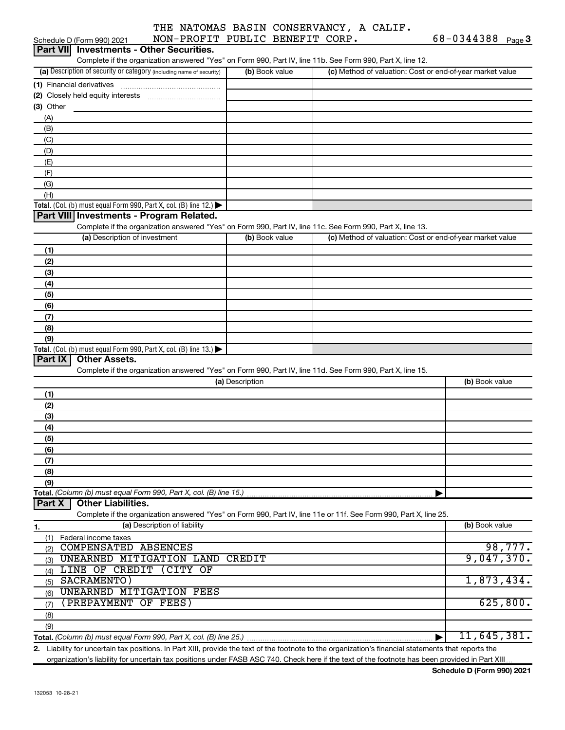|             | Schedule D (Form 990) 2021    | NON-PROFIT PUBLIC BENEFIT CORP.                                                                                                                   |                 |                |                                                           | $68 - 0344388$ Page 3 |          |
|-------------|-------------------------------|---------------------------------------------------------------------------------------------------------------------------------------------------|-----------------|----------------|-----------------------------------------------------------|-----------------------|----------|
|             |                               | Part VII Investments - Other Securities.                                                                                                          |                 |                |                                                           |                       |          |
|             |                               | Complete if the organization answered "Yes" on Form 990, Part IV, line 11b. See Form 990, Part X, line 12.                                        |                 |                |                                                           |                       |          |
|             |                               | (a) Description of security or category (including name of security)                                                                              |                 | (b) Book value | (c) Method of valuation: Cost or end-of-year market value |                       |          |
|             |                               |                                                                                                                                                   |                 |                |                                                           |                       |          |
|             |                               |                                                                                                                                                   |                 |                |                                                           |                       |          |
| $(3)$ Other |                               |                                                                                                                                                   |                 |                |                                                           |                       |          |
| (A)         |                               |                                                                                                                                                   |                 |                |                                                           |                       |          |
| (B)         |                               |                                                                                                                                                   |                 |                |                                                           |                       |          |
| (C)         |                               |                                                                                                                                                   |                 |                |                                                           |                       |          |
| (D)         |                               |                                                                                                                                                   |                 |                |                                                           |                       |          |
| (E)         |                               |                                                                                                                                                   |                 |                |                                                           |                       |          |
| (F)         |                               |                                                                                                                                                   |                 |                |                                                           |                       |          |
| (G)         |                               |                                                                                                                                                   |                 |                |                                                           |                       |          |
| (H)         |                               |                                                                                                                                                   |                 |                |                                                           |                       |          |
|             |                               | Total. (Col. (b) must equal Form 990, Part X, col. (B) line 12.)                                                                                  |                 |                |                                                           |                       |          |
|             |                               | Part VIII Investments - Program Related.                                                                                                          |                 |                |                                                           |                       |          |
|             |                               | Complete if the organization answered "Yes" on Form 990, Part IV, line 11c. See Form 990, Part X, line 13.                                        |                 |                |                                                           |                       |          |
|             | (a) Description of investment |                                                                                                                                                   |                 | (b) Book value | (c) Method of valuation: Cost or end-of-year market value |                       |          |
| (1)         |                               |                                                                                                                                                   |                 |                |                                                           |                       |          |
| (2)         |                               |                                                                                                                                                   |                 |                |                                                           |                       |          |
| (3)         |                               |                                                                                                                                                   |                 |                |                                                           |                       |          |
| (4)         |                               |                                                                                                                                                   |                 |                |                                                           |                       |          |
| (5)         |                               |                                                                                                                                                   |                 |                |                                                           |                       |          |
| (6)         |                               |                                                                                                                                                   |                 |                |                                                           |                       |          |
|             |                               |                                                                                                                                                   |                 |                |                                                           |                       |          |
| (7)<br>(8)  |                               |                                                                                                                                                   |                 |                |                                                           |                       |          |
| (9)         |                               |                                                                                                                                                   |                 |                |                                                           |                       |          |
|             |                               | Total. (Col. (b) must equal Form 990, Part X, col. (B) line 13.)                                                                                  |                 |                |                                                           |                       |          |
| Part IX     | <b>Other Assets.</b>          |                                                                                                                                                   |                 |                |                                                           |                       |          |
|             |                               | Complete if the organization answered "Yes" on Form 990, Part IV, line 11d. See Form 990, Part X, line 15.                                        |                 |                |                                                           |                       |          |
|             |                               |                                                                                                                                                   | (a) Description |                |                                                           | (b) Book value        |          |
|             |                               |                                                                                                                                                   |                 |                |                                                           |                       |          |
| (1)<br>(2)  |                               |                                                                                                                                                   |                 |                |                                                           |                       |          |
|             |                               |                                                                                                                                                   |                 |                |                                                           |                       |          |
| (3)         |                               |                                                                                                                                                   |                 |                |                                                           |                       |          |
| (4)         |                               |                                                                                                                                                   |                 |                |                                                           |                       |          |
| (5)         |                               |                                                                                                                                                   |                 |                |                                                           |                       |          |
| (6)         |                               |                                                                                                                                                   |                 |                |                                                           |                       |          |
| (7)         |                               |                                                                                                                                                   |                 |                |                                                           |                       |          |
| (8)         |                               |                                                                                                                                                   |                 |                |                                                           |                       |          |
| (9)         |                               |                                                                                                                                                   |                 |                |                                                           |                       |          |
| Part X      | <b>Other Liabilities.</b>     | Total. (Column (b) must equal Form 990, Part X, col. (B) line 15.)                                                                                |                 |                |                                                           |                       |          |
|             |                               |                                                                                                                                                   |                 |                |                                                           |                       |          |
|             |                               | Complete if the organization answered "Yes" on Form 990, Part IV, line 11e or 11f. See Form 990, Part X, line 25.<br>(a) Description of liability |                 |                |                                                           | (b) Book value        |          |
| 1.          |                               |                                                                                                                                                   |                 |                |                                                           |                       |          |
| (1)         | Federal income taxes          |                                                                                                                                                   |                 |                |                                                           |                       |          |
| (2)         | <b>COMPENSATED ABSENCES</b>   |                                                                                                                                                   |                 |                |                                                           |                       | 98,777.  |
| (3)         |                               | UNEARNED MITIGATION LAND CREDIT                                                                                                                   |                 |                |                                                           | 9,047,370.            |          |
|             |                               | (4) LINE OF CREDIT (CITY OF                                                                                                                       |                 |                |                                                           |                       |          |
| (5)         | SACRAMENTO)                   |                                                                                                                                                   |                 |                |                                                           | 1,873,434.            |          |
| (6)         |                               | <b>UNEARNED MITIGATION FEES</b>                                                                                                                   |                 |                |                                                           |                       |          |
| (7)         | (PREPAYMENT OF FEES)          |                                                                                                                                                   |                 |                |                                                           |                       | 625,800. |
| (8)         |                               |                                                                                                                                                   |                 |                |                                                           |                       |          |
| (9)         |                               |                                                                                                                                                   |                 |                |                                                           |                       |          |
|             |                               | Total. (Column (b) must equal Form 990, Part X, col. (B) line 25.)                                                                                |                 |                |                                                           | 11,645,381.           |          |

**2.** Liability for uncertain tax positions. In Part XIII, provide the text of the footnote to the organization's financial statements that reports the organization's liability for uncertain tax positions under FASB ASC 740. Check here if the text of the footnote has been provided in Part XIII.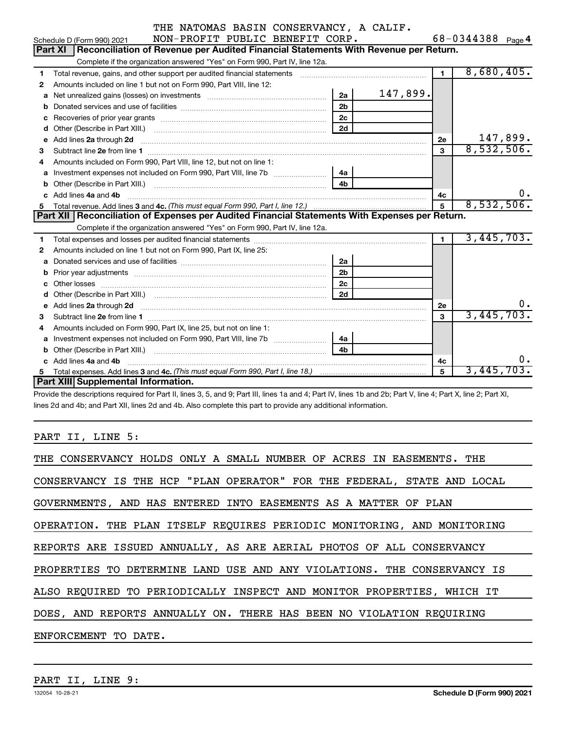|  |  |  | THE NATOMAS BASIN CONSERVANCY, A CALIF. |  |  |
|--|--|--|-----------------------------------------|--|--|
|--|--|--|-----------------------------------------|--|--|

|    | NON-PROFIT PUBLIC BENEFIT CORP.<br>Schedule D (Form 990) 2021                                                                                               |                |                      | 68-0344388 Page 4 |
|----|-------------------------------------------------------------------------------------------------------------------------------------------------------------|----------------|----------------------|-------------------|
|    | Reconciliation of Revenue per Audited Financial Statements With Revenue per Return.<br><b>Part XI</b>                                                       |                |                      |                   |
|    | Complete if the organization answered "Yes" on Form 990, Part IV, line 12a.                                                                                 |                |                      |                   |
| 1  | Total revenue, gains, and other support per audited financial statements [111][11] Total revenue, gains, and other support per audited financial statements |                | $\mathbf{1}$         | 8,680,405.        |
| 2  | Amounts included on line 1 but not on Form 990, Part VIII, line 12:                                                                                         |                |                      |                   |
| a  | Net unrealized gains (losses) on investments [111] Net unrealized gains (losses) on investments [11] Moreover,                                              | 2a             | 147,899.             |                   |
| b  |                                                                                                                                                             | 2 <sub>b</sub> |                      |                   |
| с  |                                                                                                                                                             | 2 <sub>c</sub> |                      |                   |
| d  |                                                                                                                                                             | 2d             |                      |                   |
| е  |                                                                                                                                                             |                | 2e                   | 147,899.          |
| 3  |                                                                                                                                                             |                | 3                    | 8,532,506.        |
|    | Amounts included on Form 990, Part VIII, line 12, but not on line 1:                                                                                        |                |                      |                   |
| a  | Investment expenses not included on Form 990, Part VIII, line 7b [11, 11, 11, 11, 11, 11, 11, 11, 11                                                        | 4a             |                      |                   |
|    |                                                                                                                                                             |                |                      |                   |
|    | Add lines 4a and 4b                                                                                                                                         |                | 4с                   | ο.                |
| 5. |                                                                                                                                                             |                | 5                    | 8,532,506.        |
|    |                                                                                                                                                             |                |                      |                   |
|    | Part XII   Reconciliation of Expenses per Audited Financial Statements With Expenses per Return.                                                            |                |                      |                   |
|    | Complete if the organization answered "Yes" on Form 990, Part IV, line 12a.                                                                                 |                |                      |                   |
| 1  |                                                                                                                                                             |                | $\blacktriangleleft$ | 3,445,703.        |
| 2  | Amounts included on line 1 but not on Form 990, Part IX, line 25:                                                                                           |                |                      |                   |
| a  |                                                                                                                                                             | 2a             |                      |                   |
| b  |                                                                                                                                                             | 2 <sub>b</sub> |                      |                   |
|    |                                                                                                                                                             | 2c             |                      |                   |
|    |                                                                                                                                                             | 2d             |                      |                   |
| e  |                                                                                                                                                             |                | <b>2e</b>            | 0.                |
| 3  | Add lines 2a through 2d <b>must be a constructed as the constant of the constant of the constant of the construction</b>                                    |                | 3                    | 3,445,703.        |
| 4  | Amounts included on Form 990, Part IX, line 25, but not on line 1:                                                                                          |                |                      |                   |
| a  |                                                                                                                                                             | 4a             |                      |                   |
|    |                                                                                                                                                             | 4 <sub>b</sub> |                      |                   |
|    | Add lines 4a and 4b                                                                                                                                         |                | 4с                   | 0.                |
| 5. |                                                                                                                                                             |                | 5                    | 3,445,703.        |

Provide the descriptions required for Part II, lines 3, 5, and 9; Part III, lines 1a and 4; Part IV, lines 1b and 2b; Part V, line 4; Part X, line 2; Part XI, lines 2d and 4b; and Part XII, lines 2d and 4b. Also complete this part to provide any additional information.

# PART II, LINE 5:

| THE CONSERVANCY HOLDS ONLY A SMALL NUMBER OF ACRES IN EASEMENTS. THE    |
|-------------------------------------------------------------------------|
| CONSERVANCY IS THE HCP "PLAN OPERATOR" FOR THE FEDERAL, STATE AND LOCAL |
| GOVERNMENTS, AND HAS ENTERED INTO EASEMENTS AS A MATTER OF PLAN         |
| OPERATION. THE PLAN ITSELF REQUIRES PERIODIC MONITORING, AND MONITORING |
| REPORTS ARE ISSUED ANNUALLY, AS ARE AERIAL PHOTOS OF ALL CONSERVANCY    |
| PROPERTIES TO DETERMINE LAND USE AND ANY VIOLATIONS. THE CONSERVANCY IS |
| ALSO REOUIRED TO PERIODICALLY INSPECT AND MONITOR PROPERTIES, WHICH IT  |
| DOES, AND REPORTS ANNUALLY ON. THERE HAS BEEN NO VIOLATION REQUIRING    |
| ENFORCEMENT TO DATE.                                                    |
|                                                                         |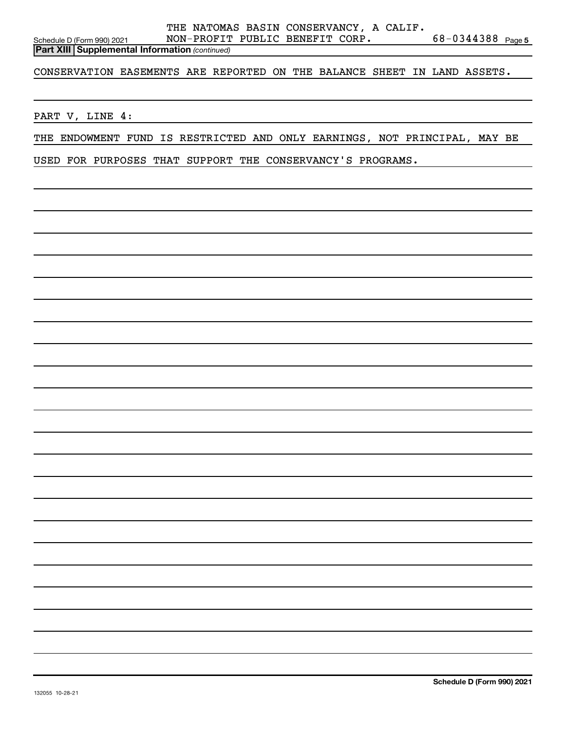CONSERVATION EASEMENTS ARE REPORTED ON THE BALANCE SHEET IN LAND ASSETS.

PART V, LINE 4:

THE ENDOWMENT FUND IS RESTRICTED AND ONLY EARNINGS, NOT PRINCIPAL, MAY BE

USED FOR PURPOSES THAT SUPPORT THE CONSERVANCY'S PROGRAMS.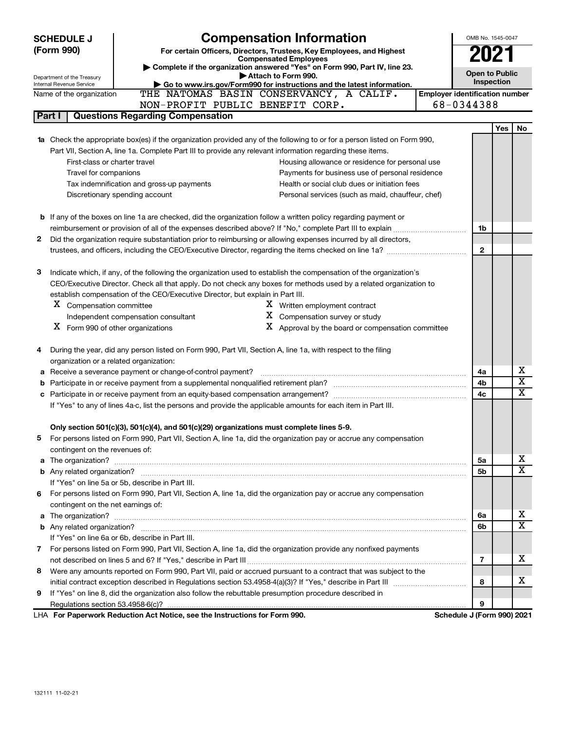|             | <b>SCHEDULE J</b>                                      | <b>Compensation Information</b>                                                                                                  |                                       | OMB No. 1545-0047     |     |                         |
|-------------|--------------------------------------------------------|----------------------------------------------------------------------------------------------------------------------------------|---------------------------------------|-----------------------|-----|-------------------------|
| (Form 990)  |                                                        | For certain Officers, Directors, Trustees, Key Employees, and Highest                                                            |                                       | 2021                  |     |                         |
|             |                                                        | <b>Compensated Employees</b>                                                                                                     |                                       |                       |     |                         |
|             |                                                        | Complete if the organization answered "Yes" on Form 990, Part IV, line 23.<br>Attach to Form 990.                                |                                       | <b>Open to Public</b> |     |                         |
|             | Department of the Treasury<br>Internal Revenue Service | Go to www.irs.gov/Form990 for instructions and the latest information.                                                           |                                       | Inspection            |     |                         |
|             | Name of the organization                               | THE NATOMAS BASIN CONSERVANCY, A CALIF.                                                                                          | <b>Employer identification number</b> |                       |     |                         |
|             |                                                        | NON-PROFIT PUBLIC BENEFIT CORP.                                                                                                  | 68-0344388                            |                       |     |                         |
| Part I      |                                                        | <b>Questions Regarding Compensation</b>                                                                                          |                                       |                       |     |                         |
|             |                                                        |                                                                                                                                  |                                       |                       | Yes | No                      |
|             |                                                        | <b>1a</b> Check the appropriate box(es) if the organization provided any of the following to or for a person listed on Form 990, |                                       |                       |     |                         |
|             |                                                        | Part VII, Section A, line 1a. Complete Part III to provide any relevant information regarding these items.                       |                                       |                       |     |                         |
|             | First-class or charter travel                          | Housing allowance or residence for personal use                                                                                  |                                       |                       |     |                         |
|             | Travel for companions                                  | Payments for business use of personal residence                                                                                  |                                       |                       |     |                         |
|             |                                                        | Tax indemnification and gross-up payments<br>Health or social club dues or initiation fees                                       |                                       |                       |     |                         |
|             |                                                        | Discretionary spending account<br>Personal services (such as maid, chauffeur, chef)                                              |                                       |                       |     |                         |
|             |                                                        |                                                                                                                                  |                                       |                       |     |                         |
|             |                                                        | <b>b</b> If any of the boxes on line 1a are checked, did the organization follow a written policy regarding payment or           |                                       |                       |     |                         |
|             |                                                        |                                                                                                                                  |                                       | 1b                    |     |                         |
| 2           |                                                        | Did the organization require substantiation prior to reimbursing or allowing expenses incurred by all directors,                 |                                       |                       |     |                         |
|             |                                                        |                                                                                                                                  |                                       | $\mathbf{2}$          |     |                         |
|             |                                                        |                                                                                                                                  |                                       |                       |     |                         |
| 3           |                                                        | Indicate which, if any, of the following the organization used to establish the compensation of the organization's               |                                       |                       |     |                         |
|             |                                                        | CEO/Executive Director. Check all that apply. Do not check any boxes for methods used by a related organization to               |                                       |                       |     |                         |
|             |                                                        | establish compensation of the CEO/Executive Director, but explain in Part III.                                                   |                                       |                       |     |                         |
|             | X Compensation committee                               | X Written employment contract                                                                                                    |                                       |                       |     |                         |
|             |                                                        | $X$ Compensation survey or study<br>Independent compensation consultant                                                          |                                       |                       |     |                         |
|             | $X$ Form 990 of other organizations                    | $X$ Approval by the board or compensation committee                                                                              |                                       |                       |     |                         |
|             |                                                        |                                                                                                                                  |                                       |                       |     |                         |
| 4           |                                                        | During the year, did any person listed on Form 990, Part VII, Section A, line 1a, with respect to the filing                     |                                       |                       |     |                         |
|             | organization or a related organization:                |                                                                                                                                  |                                       |                       |     | x                       |
| а           |                                                        | Receive a severance payment or change-of-control payment?                                                                        |                                       | 4a                    |     | $\overline{\textbf{x}}$ |
| b           |                                                        |                                                                                                                                  |                                       | 4b<br>4c              |     | $\overline{\mathtt{x}}$ |
| c           |                                                        |                                                                                                                                  |                                       |                       |     |                         |
|             |                                                        | If "Yes" to any of lines 4a-c, list the persons and provide the applicable amounts for each item in Part III.                    |                                       |                       |     |                         |
|             |                                                        | Only section 501(c)(3), 501(c)(4), and 501(c)(29) organizations must complete lines 5-9.                                         |                                       |                       |     |                         |
|             |                                                        | For persons listed on Form 990, Part VII, Section A, line 1a, did the organization pay or accrue any compensation                |                                       |                       |     |                         |
|             | contingent on the revenues of:                         |                                                                                                                                  |                                       |                       |     |                         |
|             | a The organization?                                    |                                                                                                                                  |                                       | 5а                    |     | x                       |
|             |                                                        |                                                                                                                                  |                                       | 5b                    |     | X                       |
|             |                                                        | If "Yes" on line 5a or 5b, describe in Part III.                                                                                 |                                       |                       |     |                         |
| 6.          |                                                        | For persons listed on Form 990, Part VII, Section A, line 1a, did the organization pay or accrue any compensation                |                                       |                       |     |                         |
|             | contingent on the net earnings of:                     |                                                                                                                                  |                                       |                       |     |                         |
|             |                                                        |                                                                                                                                  |                                       | 6a                    |     | x                       |
|             |                                                        |                                                                                                                                  |                                       | 6b                    |     | $\overline{\mathtt{x}}$ |
|             |                                                        | If "Yes" on line 6a or 6b, describe in Part III.                                                                                 |                                       |                       |     |                         |
| $7^{\circ}$ |                                                        | For persons listed on Form 990, Part VII, Section A, line 1a, did the organization provide any nonfixed payments                 |                                       |                       |     |                         |
|             |                                                        |                                                                                                                                  |                                       | $\overline{7}$        |     | х                       |
| 8           |                                                        | Were any amounts reported on Form 990, Part VII, paid or accrued pursuant to a contract that was subject to the                  |                                       |                       |     |                         |
|             |                                                        |                                                                                                                                  |                                       | 8                     |     | х                       |
| 9           |                                                        | If "Yes" on line 8, did the organization also follow the rebuttable presumption procedure described in                           |                                       |                       |     |                         |
|             |                                                        |                                                                                                                                  |                                       | 9                     |     |                         |
|             |                                                        | LHA For Paperwork Reduction Act Notice, see the Instructions for Form 990.                                                       | Schedule J (Form 990) 2021            |                       |     |                         |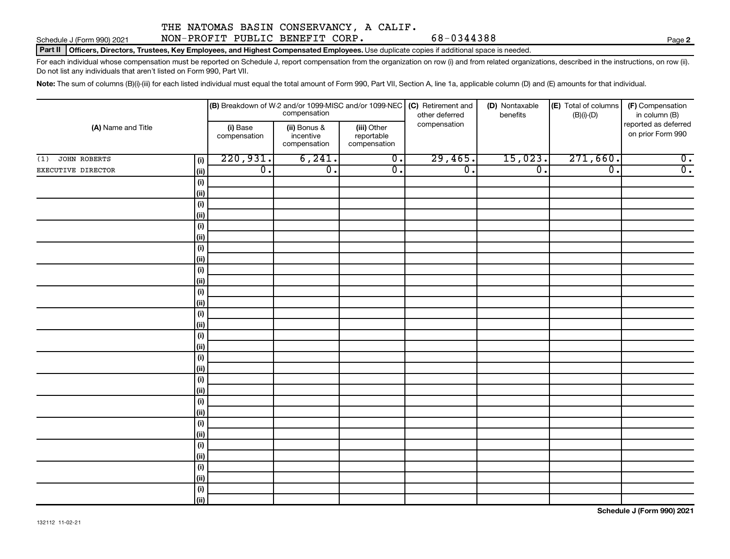Schedule J (Form 990) 2021 NON-PROFIT PUBLIC BENEFIT CORP. 68-0344388

**Part II | Officers, Directors, Trustees, Key Employees, and Highest Compensated Employees.** Use duplicate copies if additional space is needed.

For each individual whose compensation must be reported on Schedule J, report compensation from the organization on row (i) and from related organizations, described in the instructions, on row (ii). Do not list any individuals that aren't listed on Form 990, Part VII.

Note: The sum of columns (B)(i)-(iii) for each listed individual must equal the total amount of Form 990, Part VII, Section A, line 1a, applicable column (D) and (E) amounts for that individual.

| (A) Name and Title  |                              |                          | compensation                              |                                           | $\vert$ (B) Breakdown of W-2 and/or 1099-MISC and/or 1099-NEC $\vert$ (C) Retirement and<br>other deferred | (D) Nontaxable<br>benefits | (E) Total of columns<br>$(B)(i)-(D)$ | (F) Compensation<br>in column (B)         |
|---------------------|------------------------------|--------------------------|-------------------------------------------|-------------------------------------------|------------------------------------------------------------------------------------------------------------|----------------------------|--------------------------------------|-------------------------------------------|
|                     |                              | (i) Base<br>compensation | (ii) Bonus &<br>incentive<br>compensation | (iii) Other<br>reportable<br>compensation | compensation                                                                                               |                            |                                      | reported as deferred<br>on prior Form 990 |
| JOHN ROBERTS<br>(1) | (i)                          | 220,931.                 | 6, 241.                                   | $\overline{0}$ .                          | 29,465.                                                                                                    | 15,023.                    | 271,660.                             | $\overline{0}$ .                          |
| EXECUTIVE DIRECTOR  | (i)                          | $\overline{0}$ .         | $\overline{0}$ .                          | $\overline{0}$ .                          | $\overline{\mathfrak{o}}$ .                                                                                | $\overline{0}$ .           | $\overline{\mathfrak{o}}$ .          | $\overline{0}$ .                          |
|                     | $\qquad \qquad \textbf{(i)}$ |                          |                                           |                                           |                                                                                                            |                            |                                      |                                           |
|                     | $\vert$ (ii)                 |                          |                                           |                                           |                                                                                                            |                            |                                      |                                           |
|                     | (i)                          |                          |                                           |                                           |                                                                                                            |                            |                                      |                                           |
|                     | (ii)                         |                          |                                           |                                           |                                                                                                            |                            |                                      |                                           |
|                     | (i)                          |                          |                                           |                                           |                                                                                                            |                            |                                      |                                           |
|                     | (ii)                         |                          |                                           |                                           |                                                                                                            |                            |                                      |                                           |
|                     | (i)                          |                          |                                           |                                           |                                                                                                            |                            |                                      |                                           |
|                     | $\vert$ (ii)                 |                          |                                           |                                           |                                                                                                            |                            |                                      |                                           |
|                     | (i)                          |                          |                                           |                                           |                                                                                                            |                            |                                      |                                           |
|                     | (ii)                         |                          |                                           |                                           |                                                                                                            |                            |                                      |                                           |
|                     | (i)                          |                          |                                           |                                           |                                                                                                            |                            |                                      |                                           |
|                     | (ii)                         |                          |                                           |                                           |                                                                                                            |                            |                                      |                                           |
|                     | (i)                          |                          |                                           |                                           |                                                                                                            |                            |                                      |                                           |
|                     | (ii)                         |                          |                                           |                                           |                                                                                                            |                            |                                      |                                           |
|                     | $\qquad \qquad \textbf{(i)}$ |                          |                                           |                                           |                                                                                                            |                            |                                      |                                           |
|                     | (ii)                         |                          |                                           |                                           |                                                                                                            |                            |                                      |                                           |
|                     | (i)                          |                          |                                           |                                           |                                                                                                            |                            |                                      |                                           |
|                     | $\vert$ (ii)                 |                          |                                           |                                           |                                                                                                            |                            |                                      |                                           |
|                     | (i)                          |                          |                                           |                                           |                                                                                                            |                            |                                      |                                           |
|                     | (ii)                         |                          |                                           |                                           |                                                                                                            |                            |                                      |                                           |
|                     | (i)                          |                          |                                           |                                           |                                                                                                            |                            |                                      |                                           |
|                     | (ii)                         |                          |                                           |                                           |                                                                                                            |                            |                                      |                                           |
|                     | $(\sf{i})$                   |                          |                                           |                                           |                                                                                                            |                            |                                      |                                           |
|                     | (ii)                         |                          |                                           |                                           |                                                                                                            |                            |                                      |                                           |
|                     | (i)                          |                          |                                           |                                           |                                                                                                            |                            |                                      |                                           |
|                     | (ii)                         |                          |                                           |                                           |                                                                                                            |                            |                                      |                                           |
|                     | (i)                          |                          |                                           |                                           |                                                                                                            |                            |                                      |                                           |
|                     | (ii)                         |                          |                                           |                                           |                                                                                                            |                            |                                      |                                           |
|                     | (i)                          |                          |                                           |                                           |                                                                                                            |                            |                                      |                                           |
|                     | (ii)                         |                          |                                           |                                           |                                                                                                            |                            |                                      |                                           |

**Schedule J (Form 990) 2021**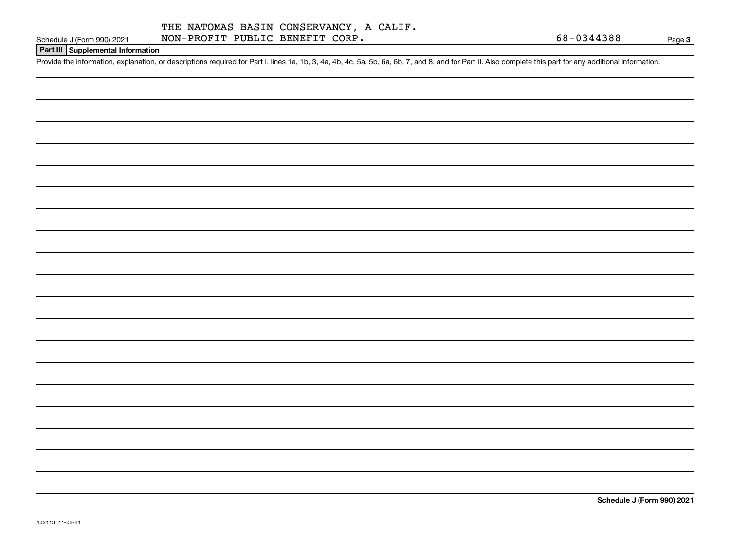### **Part III Supplemental Information**

Provide the information, explanation, or descriptions required for Part I, lines 1a, 1b, 3, 4a, 4b, 4c, 5a, 5b, 6a, 6b, 7, and 8, and for Part II. Also complete this part for any additional information.

**Schedule J (Form 990) 2021**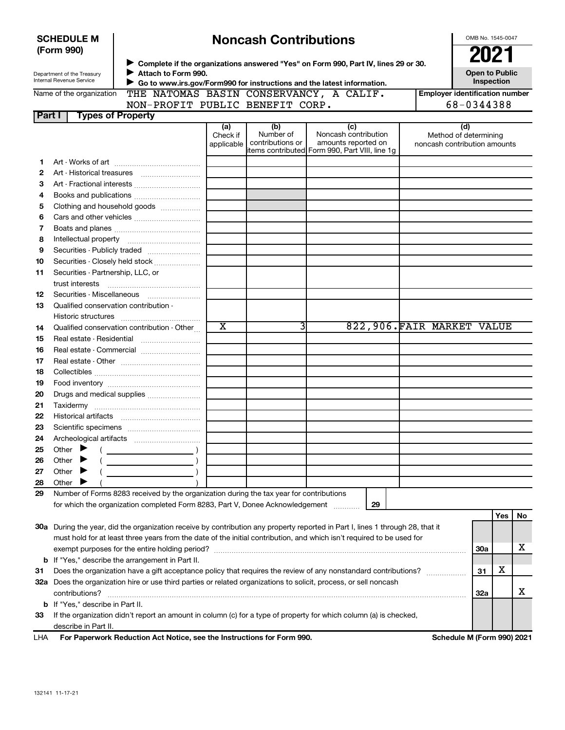| <b>SCHEDULE M</b><br>(Form 990) |                                                                                                                                                                                                                                                 |                                                                                         | OMB No. 1545-0047      |                               |                                                                                                                                |  |                                                       |                                     |
|---------------------------------|-------------------------------------------------------------------------------------------------------------------------------------------------------------------------------------------------------------------------------------------------|-----------------------------------------------------------------------------------------|------------------------|-------------------------------|--------------------------------------------------------------------------------------------------------------------------------|--|-------------------------------------------------------|-------------------------------------|
|                                 | > Complete if the organizations answered "Yes" on Form 990, Part IV, lines 29 or 30.<br>Attach to Form 990.<br>Department of the Treasury<br>Internal Revenue Service<br>Go to www.irs.gov/Form990 for instructions and the latest information. |                                                                                         |                        |                               |                                                                                                                                |  |                                                       | <b>Open to Public</b><br>Inspection |
|                                 | Name of the organization                                                                                                                                                                                                                        | THE NATOMAS BASIN CONSERVANCY, A CALIF.                                                 |                        |                               |                                                                                                                                |  | <b>Employer identification number</b>                 |                                     |
|                                 |                                                                                                                                                                                                                                                 | NON-PROFIT PUBLIC BENEFIT CORP.                                                         |                        |                               |                                                                                                                                |  | 68-0344388                                            |                                     |
| Part I                          | <b>Types of Property</b>                                                                                                                                                                                                                        |                                                                                         |                        |                               |                                                                                                                                |  |                                                       |                                     |
|                                 |                                                                                                                                                                                                                                                 |                                                                                         | (a)                    | (b)                           | (c)                                                                                                                            |  | (d)                                                   |                                     |
|                                 |                                                                                                                                                                                                                                                 |                                                                                         | Check if<br>applicable | Number of<br>contributions or | Noncash contribution<br>amounts reported on<br>items contributed Form 990, Part VIII, line 1g                                  |  | Method of determining<br>noncash contribution amounts |                                     |
| 1                               |                                                                                                                                                                                                                                                 |                                                                                         |                        |                               |                                                                                                                                |  |                                                       |                                     |
| 2                               |                                                                                                                                                                                                                                                 |                                                                                         |                        |                               |                                                                                                                                |  |                                                       |                                     |
| З                               |                                                                                                                                                                                                                                                 |                                                                                         |                        |                               |                                                                                                                                |  |                                                       |                                     |
| 4                               |                                                                                                                                                                                                                                                 |                                                                                         |                        |                               |                                                                                                                                |  |                                                       |                                     |
| 5                               |                                                                                                                                                                                                                                                 | Clothing and household goods                                                            |                        |                               |                                                                                                                                |  |                                                       |                                     |
| 6                               |                                                                                                                                                                                                                                                 |                                                                                         |                        |                               |                                                                                                                                |  |                                                       |                                     |
| 7                               |                                                                                                                                                                                                                                                 |                                                                                         |                        |                               |                                                                                                                                |  |                                                       |                                     |
| 8                               |                                                                                                                                                                                                                                                 |                                                                                         |                        |                               |                                                                                                                                |  |                                                       |                                     |
| 9                               |                                                                                                                                                                                                                                                 | Securities - Publicly traded                                                            |                        |                               |                                                                                                                                |  |                                                       |                                     |
| 10                              |                                                                                                                                                                                                                                                 | Securities - Closely held stock                                                         |                        |                               |                                                                                                                                |  |                                                       |                                     |
| 11                              | Securities - Partnership, LLC, or                                                                                                                                                                                                               |                                                                                         |                        |                               |                                                                                                                                |  |                                                       |                                     |
|                                 | trust interests                                                                                                                                                                                                                                 |                                                                                         |                        |                               |                                                                                                                                |  |                                                       |                                     |
| 12                              |                                                                                                                                                                                                                                                 | Securities - Miscellaneous                                                              |                        |                               |                                                                                                                                |  |                                                       |                                     |
| 13                              | Qualified conservation contribution -                                                                                                                                                                                                           |                                                                                         |                        |                               |                                                                                                                                |  |                                                       |                                     |
|                                 |                                                                                                                                                                                                                                                 |                                                                                         |                        |                               |                                                                                                                                |  |                                                       |                                     |
| 14                              |                                                                                                                                                                                                                                                 | Qualified conservation contribution - Other                                             | $\overline{\text{x}}$  | 3                             | 822,906. FAIR MARKET VALUE                                                                                                     |  |                                                       |                                     |
| 15                              |                                                                                                                                                                                                                                                 |                                                                                         |                        |                               |                                                                                                                                |  |                                                       |                                     |
| 16                              |                                                                                                                                                                                                                                                 | Real estate - Commercial                                                                |                        |                               |                                                                                                                                |  |                                                       |                                     |
| 17                              |                                                                                                                                                                                                                                                 |                                                                                         |                        |                               |                                                                                                                                |  |                                                       |                                     |
| 18                              |                                                                                                                                                                                                                                                 |                                                                                         |                        |                               |                                                                                                                                |  |                                                       |                                     |
| 19                              |                                                                                                                                                                                                                                                 |                                                                                         |                        |                               |                                                                                                                                |  |                                                       |                                     |
| 20                              |                                                                                                                                                                                                                                                 | Drugs and medical supplies                                                              |                        |                               |                                                                                                                                |  |                                                       |                                     |
| 21                              |                                                                                                                                                                                                                                                 |                                                                                         |                        |                               |                                                                                                                                |  |                                                       |                                     |
| 22                              |                                                                                                                                                                                                                                                 |                                                                                         |                        |                               |                                                                                                                                |  |                                                       |                                     |
| 23                              |                                                                                                                                                                                                                                                 |                                                                                         |                        |                               |                                                                                                                                |  |                                                       |                                     |
| 24                              |                                                                                                                                                                                                                                                 |                                                                                         |                        |                               |                                                                                                                                |  |                                                       |                                     |
|                                 |                                                                                                                                                                                                                                                 |                                                                                         |                        |                               |                                                                                                                                |  |                                                       |                                     |
| 25<br>26                        | Other<br>Other                                                                                                                                                                                                                                  |                                                                                         |                        |                               |                                                                                                                                |  |                                                       |                                     |
|                                 | Other                                                                                                                                                                                                                                           |                                                                                         |                        |                               |                                                                                                                                |  |                                                       |                                     |
| 27                              | Other                                                                                                                                                                                                                                           |                                                                                         |                        |                               |                                                                                                                                |  |                                                       |                                     |
| 28<br>29                        |                                                                                                                                                                                                                                                 | Number of Forms 8283 received by the organization during the tax year for contributions |                        |                               |                                                                                                                                |  |                                                       |                                     |
|                                 |                                                                                                                                                                                                                                                 | for which the organization completed Form 8283, Part V, Donee Acknowledgement           |                        |                               | 29                                                                                                                             |  |                                                       |                                     |
|                                 |                                                                                                                                                                                                                                                 |                                                                                         |                        |                               |                                                                                                                                |  | <b>Yes</b>                                            | No                                  |
|                                 |                                                                                                                                                                                                                                                 |                                                                                         |                        |                               |                                                                                                                                |  |                                                       |                                     |
|                                 |                                                                                                                                                                                                                                                 |                                                                                         |                        |                               | 30a During the year, did the organization receive by contribution any property reported in Part I, lines 1 through 28, that it |  |                                                       |                                     |
|                                 |                                                                                                                                                                                                                                                 |                                                                                         |                        |                               | must hold for at least three years from the date of the initial contribution, and which isn't required to be used for          |  |                                                       | х                                   |
|                                 |                                                                                                                                                                                                                                                 |                                                                                         |                        |                               |                                                                                                                                |  | <b>30a</b>                                            |                                     |
|                                 |                                                                                                                                                                                                                                                 | <b>b</b> If "Yes," describe the arrangement in Part II.                                 |                        |                               |                                                                                                                                |  | X                                                     |                                     |
| 31                              |                                                                                                                                                                                                                                                 |                                                                                         |                        |                               | Does the organization have a gift acceptance policy that requires the review of any nonstandard contributions?                 |  | 31                                                    |                                     |
|                                 |                                                                                                                                                                                                                                                 |                                                                                         |                        |                               | 32a Does the organization hire or use third parties or related organizations to solicit, process, or sell noncash              |  |                                                       | х                                   |
|                                 | contributions?                                                                                                                                                                                                                                  |                                                                                         |                        |                               |                                                                                                                                |  | 32a                                                   |                                     |
|                                 | <b>b</b> If "Yes," describe in Part II.                                                                                                                                                                                                         |                                                                                         |                        |                               |                                                                                                                                |  |                                                       |                                     |
| 33                              |                                                                                                                                                                                                                                                 |                                                                                         |                        |                               | If the organization didn't report an amount in column (c) for a type of property for which column (a) is checked,              |  |                                                       |                                     |
|                                 | describe in Part II.                                                                                                                                                                                                                            |                                                                                         |                        |                               |                                                                                                                                |  |                                                       |                                     |
| LHA                             |                                                                                                                                                                                                                                                 | For Paperwork Reduction Act Notice, see the Instructions for Form 990.                  |                        |                               |                                                                                                                                |  | Schedule M (Form 990) 2021                            |                                     |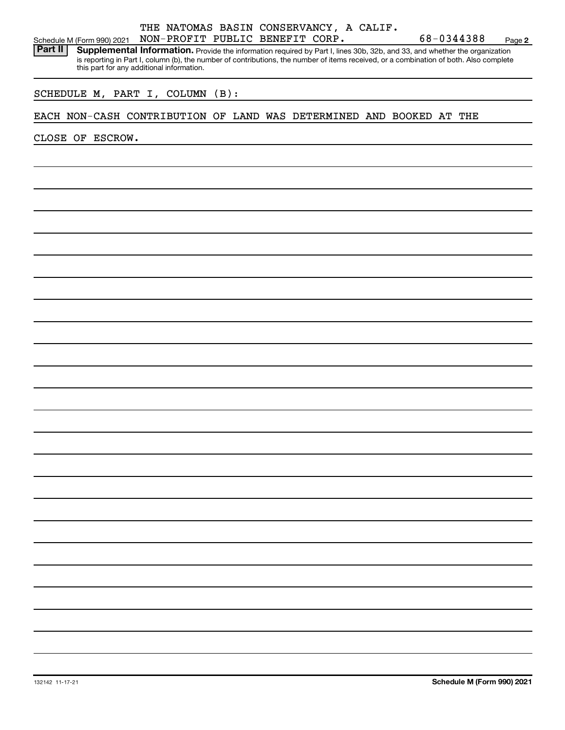### THE NATOMAS BASIN CONSERVANCY, A CALIF. Schedule M (Form 990) 2021 NON-PROFIT PUBLIC BENEFIT CORP. 68-0344388 Page 2<br>**Part II** Supplemental Information. Provide the information required by Part Lines 30b, 32b, and 33 and whether the organization **Supplemental Information.** Provide the information required by Part I, lines 30b, 32b, and 33, and whether the organization is reporting in Part I, column (b), the number of contributions, the number of items received, or a combination of both. Also complete

this part for any additional information.

SCHEDULE M, PART I, COLUMN (B):

EACH NON-CASH CONTRIBUTION OF LAND WAS DETERMINED AND BOOKED AT THE

CLOSE OF ESCROW.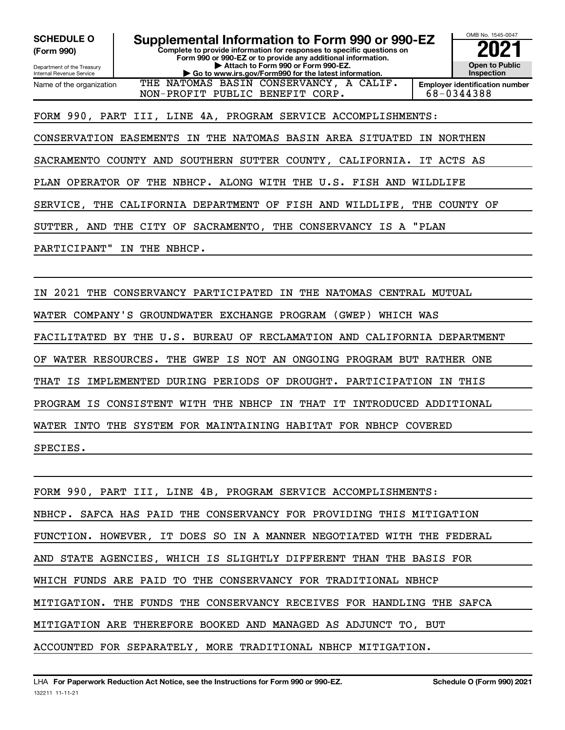**SCHEDULE O** 

**(Form 990)** 

Department of the Treasury Internal Revenue Service

**Supplemental Information to Form 990 or 990-EZ Complete to provide information for responses to specific questions on Form 990 or 990-EZ or to provide any additional information. | Attach to Form 990 or Form 990-EZ. | Go to www.irs.gov/Form990 for the latest information.**  Name of the organization THE NATOMAS BASIN CONSERVANCY, A CALIF.

**2021 Open to Public Inspection Employer identification number**  68-0344388

OMB No. 1545-0047

FORM 990, PART III, LINE 4A, PROGRAM SERVICE ACCOMPLISHMENTS:

NON-PROFIT PUBLIC BENEFIT CORP.

CONSERVATION EASEMENTS IN THE NATOMAS BASIN AREA SITUATED IN NORTHEN

SACRAMENTO COUNTY AND SOUTHERN SUTTER COUNTY, CALIFORNIA. IT ACTS AS

PLAN OPERATOR OF THE NBHCP. ALONG WITH THE U.S. FISH AND WILDLIFE

SERVICE, THE CALIFORNIA DEPARTMENT OF FISH AND WILDLIFE, THE COUNTY OF

SUTTER, AND THE CITY OF SACRAMENTO, THE CONSERVANCY IS A "PLAN

PARTICIPANT" IN THE NBHCP.

IN 2021 THE CONSERVANCY PARTICIPATED IN THE NATOMAS CENTRAL MUTUAL

WATER COMPANY'S GROUNDWATER EXCHANGE PROGRAM (GWEP) WHICH WAS

FACILITATED BY THE U.S. BUREAU OF RECLAMATION AND CALIFORNIA DEPARTMENT

OF WATER RESOURCES. THE GWEP IS NOT AN ONGOING PROGRAM BUT RATHER ONE

THAT IS IMPLEMENTED DURING PERIODS OF DROUGHT. PARTICIPATION IN THIS

PROGRAM IS CONSISTENT WITH THE NBHCP IN THAT IT INTRODUCED ADDITIONAL

WATER INTO THE SYSTEM FOR MAINTAINING HABITAT FOR NBHCP COVERED

SPECIES.

FORM 990, PART III, LINE 4B, PROGRAM SERVICE ACCOMPLISHMENTS: NBHCP. SAFCA HAS PAID THE CONSERVANCY FOR PROVIDING THIS MITIGATION FUNCTION. HOWEVER, IT DOES SO IN A MANNER NEGOTIATED WITH THE FEDERAL AND STATE AGENCIES, WHICH IS SLIGHTLY DIFFERENT THAN THE BASIS FOR WHICH FUNDS ARE PAID TO THE CONSERVANCY FOR TRADITIONAL NBHCP MITIGATION. THE FUNDS THE CONSERVANCY RECEIVES FOR HANDLING THE SAFCA MITIGATION ARE THEREFORE BOOKED AND MANAGED AS ADJUNCT TO, BUT ACCOUNTED FOR SEPARATELY, MORE TRADITIONAL NBHCP MITIGATION.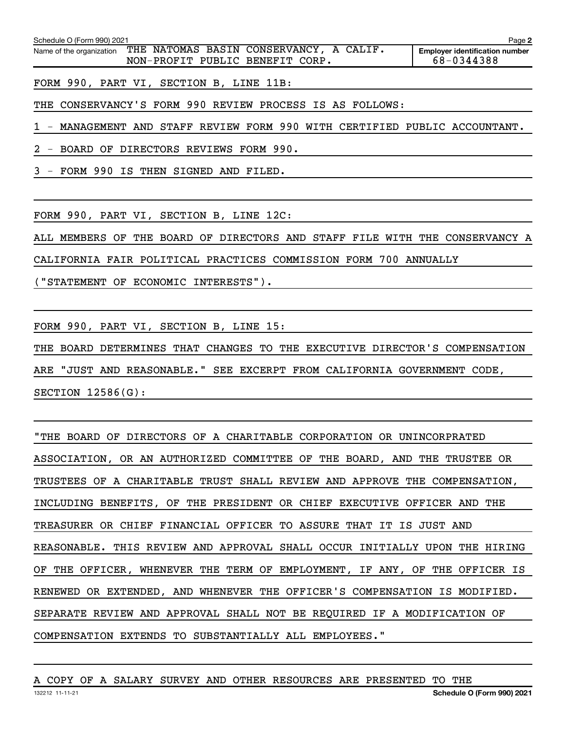| Schedule O (Form 990) 2021 |                                                                            | Page 2                                              |
|----------------------------|----------------------------------------------------------------------------|-----------------------------------------------------|
| Name of the organization   | THE NATOMAS BASIN CONSERVANCY, A CALIF.<br>NON-PROFIT PUBLIC BENEFIT CORP. | <b>Employer identification number</b><br>68-0344388 |

FORM 990, PART VI, SECTION B, LINE 11B:

THE CONSERVANCY'S FORM 990 REVIEW PROCESS IS AS FOLLOWS:

1 - MANAGEMENT AND STAFF REVIEW FORM 990 WITH CERTIFIED PUBLIC ACCOUNTANT.

2 - BOARD OF DIRECTORS REVIEWS FORM 990.

3 - FORM 990 IS THEN SIGNED AND FILED.

FORM 990, PART VI, SECTION B, LINE 12C:

ALL MEMBERS OF THE BOARD OF DIRECTORS AND STAFF FILE WITH THE CONSERVANCY A

CALIFORNIA FAIR POLITICAL PRACTICES COMMISSION FORM 700 ANNUALLY

("STATEMENT OF ECONOMIC INTERESTS").

FORM 990, PART VI, SECTION B, LINE 15:

THE BOARD DETERMINES THAT CHANGES TO THE EXECUTIVE DIRECTOR'S COMPENSATION ARE "JUST AND REASONABLE." SEE EXCERPT FROM CALIFORNIA GOVERNMENT CODE, SECTION 12586(G):

"THE BOARD OF DIRECTORS OF A CHARITABLE CORPORATION OR UNINCORPRATED ASSOCIATION, OR AN AUTHORIZED COMMITTEE OF THE BOARD, AND THE TRUSTEE OR TRUSTEES OF A CHARITABLE TRUST SHALL REVIEW AND APPROVE THE COMPENSATION, INCLUDING BENEFITS, OF THE PRESIDENT OR CHIEF EXECUTIVE OFFICER AND THE TREASURER OR CHIEF FINANCIAL OFFICER TO ASSURE THAT IT IS JUST AND REASONABLE. THIS REVIEW AND APPROVAL SHALL OCCUR INITIALLY UPON THE HIRING OF THE OFFICER, WHENEVER THE TERM OF EMPLOYMENT, IF ANY, OF THE OFFICER IS RENEWED OR EXTENDED, AND WHENEVER THE OFFICER'S COMPENSATION IS MODIFIED. SEPARATE REVIEW AND APPROVAL SHALL NOT BE REQUIRED IF A MODIFICATION OF COMPENSATION EXTENDS TO SUBSTANTIALLY ALL EMPLOYEES."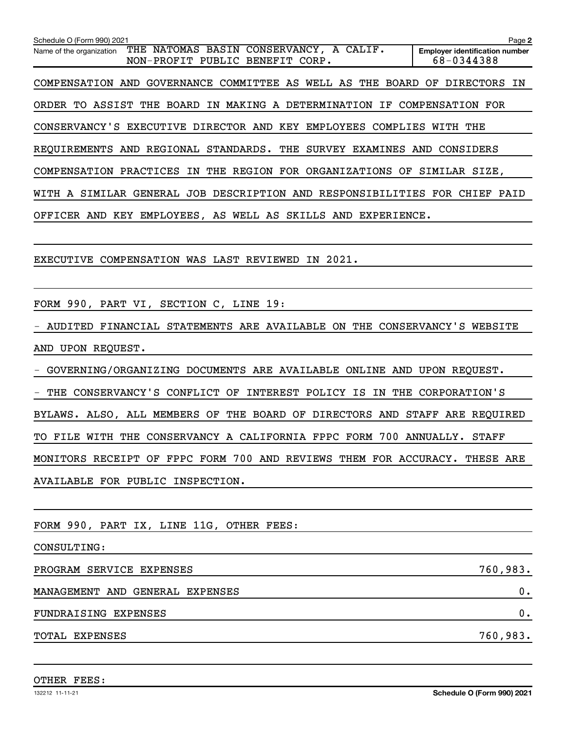| Schedule O (Form 990) 2021                                                                                | Page 2                                              |
|-----------------------------------------------------------------------------------------------------------|-----------------------------------------------------|
| THE NATOMAS BASIN CONSERVANCY, A CALIF.<br>Name of the organization<br>PUBLIC BENEFIT CORP.<br>NON-PROFIT | <b>Employer identification number</b><br>68-0344388 |
|                                                                                                           |                                                     |
| COMPENSATION AND GOVERNANCE COMMITTEE AS WELL AS THE BOARD OF DIRECTORS IN                                |                                                     |
| ORDER TO ASSIST THE BOARD IN MAKING A DETERMINATION IF COMPENSATION FOR                                   |                                                     |
| CONSERVANCY'S EXECUTIVE DIRECTOR AND KEY EMPLOYEES COMPLIES                                               | WITH THE                                            |
| REOUIREMENTS AND REGIONAL STANDARDS. THE SURVEY EXAMINES AND CONSIDERS                                    |                                                     |
| THE<br>REGION FOR ORGANIZATIONS OF<br>COMPENSATION PRACTICES IN                                           | SIMILAR SIZE,                                       |
| SIMILAR GENERAL JOB DESCRIPTION AND RESPONSIBILITIES<br>WITH A                                            | FOR CHIEF<br>PAID                                   |
| KEY EMPLOYEES, AS WELL AS SKILLS AND EXPERIENCE.<br>OFFICER AND                                           |                                                     |
|                                                                                                           |                                                     |

EXECUTIVE COMPENSATION WAS LAST REVIEWED IN 2021.

FORM 990, PART VI, SECTION C, LINE 19:

- AUDITED FINANCIAL STATEMENTS ARE AVAILABLE ON THE CONSERVANCY'S WEBSITE AND UPON REQUEST.

- GOVERNING/ORGANIZING DOCUMENTS ARE AVAILABLE ONLINE AND UPON REQUEST.

- THE CONSERVANCY'S CONFLICT OF INTEREST POLICY IS IN THE CORPORATION'S

BYLAWS. ALSO, ALL MEMBERS OF THE BOARD OF DIRECTORS AND STAFF ARE REQUIRED

TO FILE WITH THE CONSERVANCY A CALIFORNIA FPPC FORM 700 ANNUALLY. STAFF

MONITORS RECEIPT OF FPPC FORM 700 AND REVIEWS THEM FOR ACCURACY. THESE ARE AVAILABLE FOR PUBLIC INSPECTION.

FORM 990, PART IX, LINE 11G, OTHER FEES:

CONSULTING:

PROGRAM SERVICE EXPENSES 760,983.

MANAGEMENT AND GENERAL EXPENSES 0.

FUNDRAISING EXPENSES 0.

TOTAL EXPENSES 760,983.